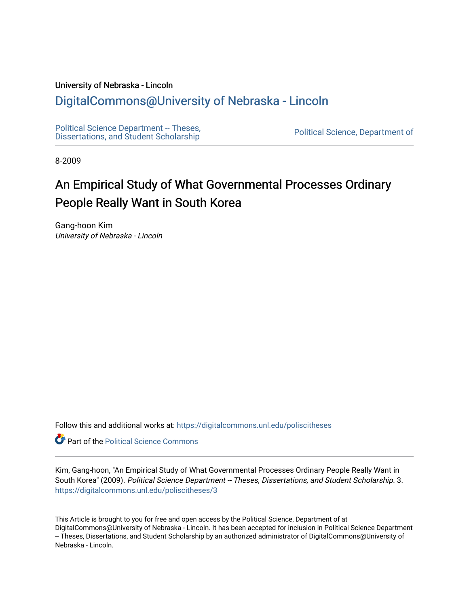# University of Nebraska - Lincoln

# [DigitalCommons@University of Nebraska - Lincoln](https://digitalcommons.unl.edu/)

[Political Science Department -- Theses,](https://digitalcommons.unl.edu/poliscitheses) Political Science Department - Theses,<br>[Dissertations, and Student Scholarship](https://digitalcommons.unl.edu/poliscitheses) Political Science, Department of

8-2009

# An Empirical Study of What Governmental Processes Ordinary People Really Want in South Korea

Gang-hoon Kim University of Nebraska - Lincoln

Follow this and additional works at: [https://digitalcommons.unl.edu/poliscitheses](https://digitalcommons.unl.edu/poliscitheses?utm_source=digitalcommons.unl.edu%2Fpoliscitheses%2F3&utm_medium=PDF&utm_campaign=PDFCoverPages)

**Part of the Political Science Commons** 

Kim, Gang-hoon, "An Empirical Study of What Governmental Processes Ordinary People Really Want in South Korea" (2009). Political Science Department -- Theses, Dissertations, and Student Scholarship. 3. [https://digitalcommons.unl.edu/poliscitheses/3](https://digitalcommons.unl.edu/poliscitheses/3?utm_source=digitalcommons.unl.edu%2Fpoliscitheses%2F3&utm_medium=PDF&utm_campaign=PDFCoverPages) 

This Article is brought to you for free and open access by the Political Science, Department of at DigitalCommons@University of Nebraska - Lincoln. It has been accepted for inclusion in Political Science Department -- Theses, Dissertations, and Student Scholarship by an authorized administrator of DigitalCommons@University of Nebraska - Lincoln.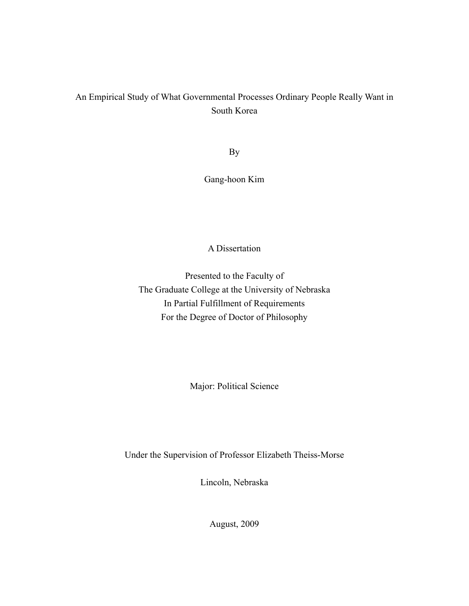# An Empirical Study of What Governmental Processes Ordinary People Really Want in South Korea

By

Gang-hoon Kim

# A Dissertation

Presented to the Faculty of The Graduate College at the University of Nebraska In Partial Fulfillment of Requirements For the Degree of Doctor of Philosophy

Major: Political Science

Under the Supervision of Professor Elizabeth Theiss-Morse

Lincoln, Nebraska

August, 2009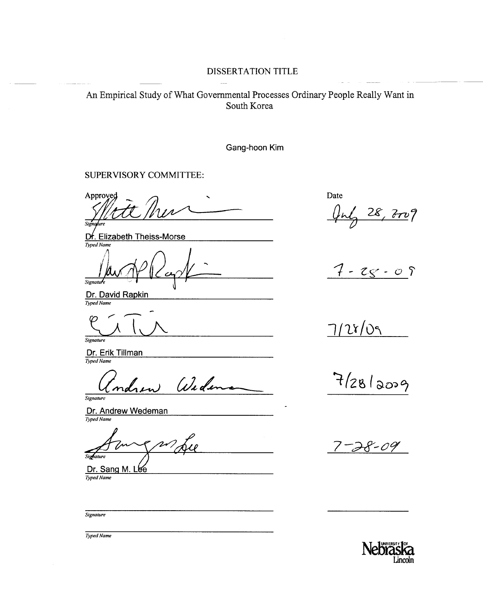# DISSERTATION TITLE

An Empirical Study of What Governmental Processes Ordinary People Really Want in South Korea

Gang-hoon Kim

#### SUPERVISORY COMMITTEE:

Approveg Sio

**Elizabeth Theiss-Morse** Dŕ. Typed Nam

Signatu

Dr. David Rapkin

Signature

Dr. Erik Tillman Typed Name

(i)i a

Signature

Dr. Andrew Wedeman Typed Name

Sighature Dr. Sang M. Lee

Signature

Typed Name

Date

 $28, 707$ 

 $7 - 25 - 09$ 

 $7/28/09$ 

 $7/28/2009$ 

8-09

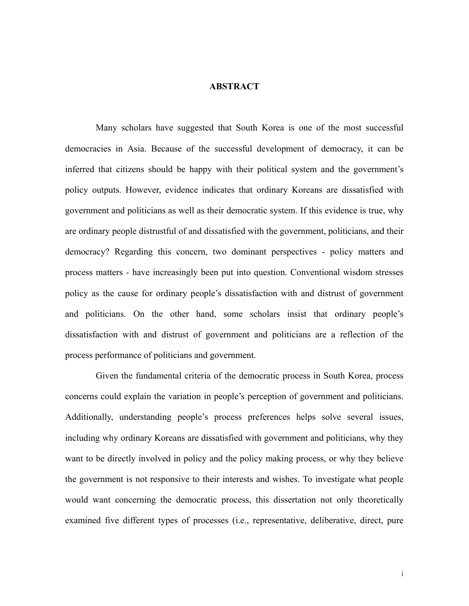### **ABSTRACT**

Many scholars have suggested that South Korea is one of the most successful democracies in Asia. Because of the successful development of democracy, it can be inferred that citizens should be happy with their political system and the government's policy outputs. However, evidence indicates that ordinary Koreans are dissatisfied with government and politicians as well as their democratic system. If this evidence is true, why are ordinary people distrustful of and dissatisfied with the government, politicians, and their democracy? Regarding this concern, two dominant perspectives - policy matters and process matters - have increasingly been put into question. Conventional wisdom stresses policy as the cause for ordinary people's dissatisfaction with and distrust of government and politicians. On the other hand, some scholars insist that ordinary people's dissatisfaction with and distrust of government and politicians are a reflection of the process performance of politicians and government.

Given the fundamental criteria of the democratic process in South Korea, process concerns could explain the variation in people's perception of government and politicians. Additionally, understanding people's process preferences helps solve several issues, including why ordinary Koreans are dissatisfied with government and politicians, why they want to be directly involved in policy and the policy making process, or why they believe the government is not responsive to their interests and wishes. To investigate what people would want concerning the democratic process, this dissertation not only theoretically examined five different types of processes (i.e., representative, deliberative, direct, pure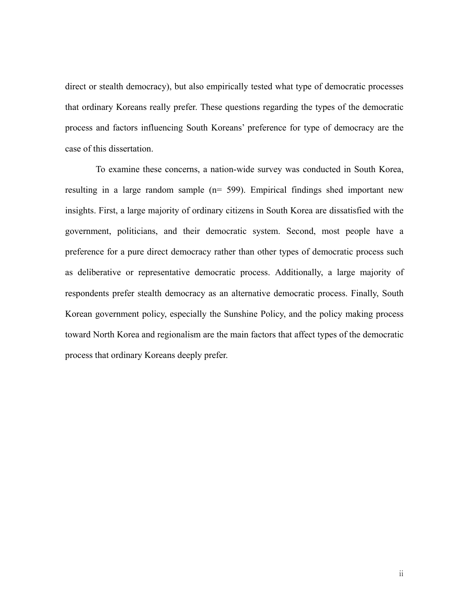direct or stealth democracy), but also empirically tested what type of democratic processes that ordinary Koreans really prefer. These questions regarding the types of the democratic process and factors influencing South Koreans' preference for type of democracy are the case of this dissertation.

To examine these concerns, a nation-wide survey was conducted in South Korea, resulting in a large random sample (n= 599). Empirical findings shed important new insights. First, a large majority of ordinary citizens in South Korea are dissatisfied with the government, politicians, and their democratic system. Second, most people have a preference for a pure direct democracy rather than other types of democratic process such as deliberative or representative democratic process. Additionally, a large majority of respondents prefer stealth democracy as an alternative democratic process. Finally, South Korean government policy, especially the Sunshine Policy, and the policy making process toward North Korea and regionalism are the main factors that affect types of the democratic process that ordinary Koreans deeply prefer.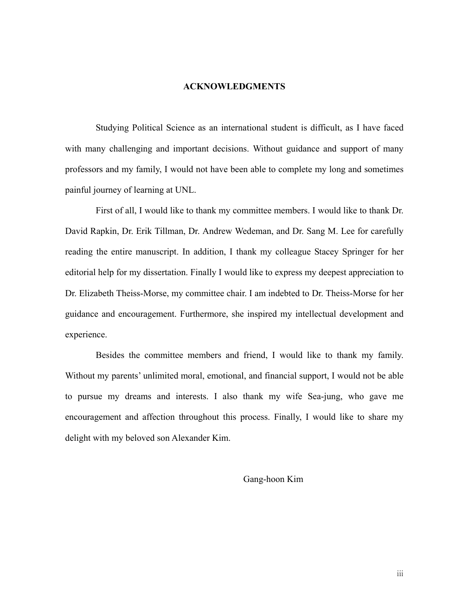#### **ACKNOWLEDGMENTS**

 Studying Political Science as an international student is difficult, as I have faced with many challenging and important decisions. Without guidance and support of many professors and my family, I would not have been able to complete my long and sometimes painful journey of learning at UNL.

 First of all, I would like to thank my committee members. I would like to thank Dr. David Rapkin, Dr. Erik Tillman, Dr. Andrew Wedeman, and Dr. Sang M. Lee for carefully reading the entire manuscript. In addition, I thank my colleague Stacey Springer for her editorial help for my dissertation. Finally I would like to express my deepest appreciation to Dr. Elizabeth Theiss-Morse, my committee chair. I am indebted to Dr. Theiss-Morse for her guidance and encouragement. Furthermore, she inspired my intellectual development and experience.

 Besides the committee members and friend, I would like to thank my family. Without my parents' unlimited moral, emotional, and financial support, I would not be able to pursue my dreams and interests. I also thank my wife Sea-jung, who gave me encouragement and affection throughout this process. Finally, I would like to share my delight with my beloved son Alexander Kim.

Gang-hoon Kim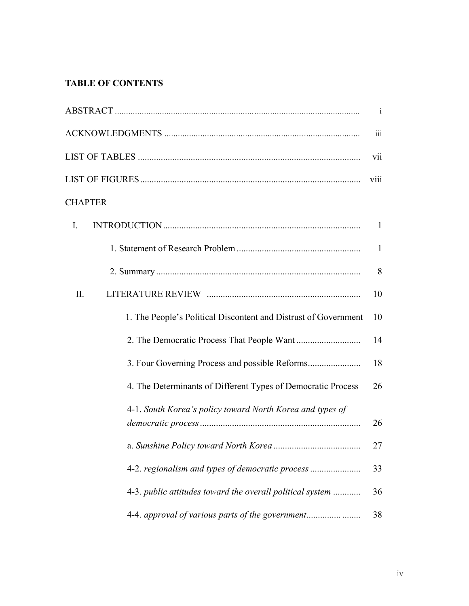# **TABLE OF CONTENTS**

|                                                                 | $\mathbf{i}$     |
|-----------------------------------------------------------------|------------------|
|                                                                 | $\overline{111}$ |
|                                                                 | vii              |
|                                                                 | viii             |
| <b>CHAPTER</b>                                                  |                  |
| $\mathbf{I}$ .                                                  | $\mathbf{1}$     |
|                                                                 | $\mathbf{1}$     |
|                                                                 | 8                |
| II.                                                             | 10               |
| 1. The People's Political Discontent and Distrust of Government | 10               |
|                                                                 | 14               |
| 3. Four Governing Process and possible Reforms                  | 18               |
| 4. The Determinants of Different Types of Democratic Process    | 26               |
| 4-1. South Korea's policy toward North Korea and types of       | 26               |
|                                                                 | 27               |
| 4-2. regionalism and types of democratic process                | 33               |
| 4-3. public attitudes toward the overall political system       | 36               |
| 4-4. approval of various parts of the government                | 38               |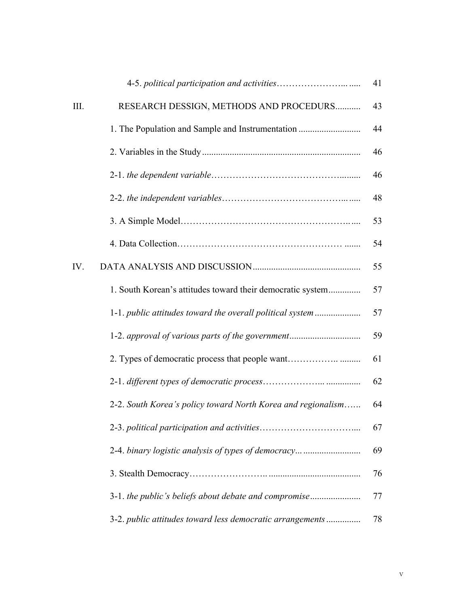|      |                                                              | 41 |
|------|--------------------------------------------------------------|----|
| III. | RESEARCH DESSIGN, METHODS AND PROCEDURS                      | 43 |
|      | 1. The Population and Sample and Instrumentation             | 44 |
|      |                                                              | 46 |
|      |                                                              | 46 |
|      |                                                              | 48 |
|      |                                                              | 53 |
|      |                                                              | 54 |
| IV.  |                                                              | 55 |
|      | 1. South Korean's attitudes toward their democratic system   | 57 |
|      | 1-1. public attitudes toward the overall political system    | 57 |
|      | 1-2. approval of various parts of the government             | 59 |
|      | 2. Types of democratic process that people want              | 61 |
|      |                                                              | 62 |
|      | 2-2. South Korea's policy toward North Korea and regionalism | 64 |
|      |                                                              | 67 |
|      | 2-4. binary logistic analysis of types of democracy          | 69 |
|      |                                                              | 76 |
|      | 3-1. the public's beliefs about debate and compromise        | 77 |
|      | 3-2. public attitudes toward less democratic arrangements    | 78 |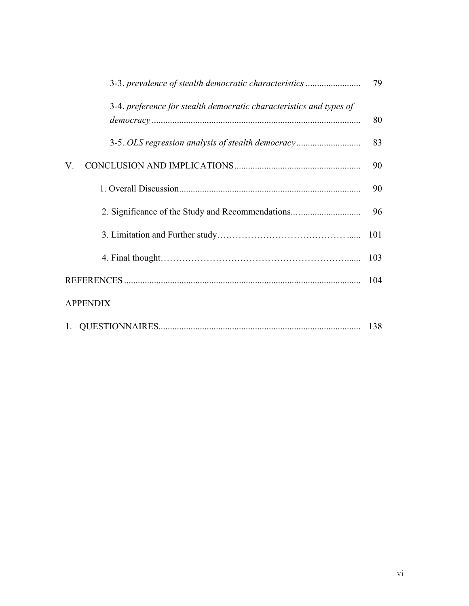| 3-3. prevalence of stealth democratic characteristics               | 79  |
|---------------------------------------------------------------------|-----|
| 3-4. preference for stealth democratic characteristics and types of | 80  |
| 3-5. OLS regression analysis of stealth democracy                   | 83  |
| V.                                                                  | 90  |
|                                                                     | 90  |
| 2. Significance of the Study and Recommendations                    | 96  |
|                                                                     | 101 |
|                                                                     | 103 |
|                                                                     | 104 |
| <b>APPENDIX</b>                                                     |     |
| 1.                                                                  | 138 |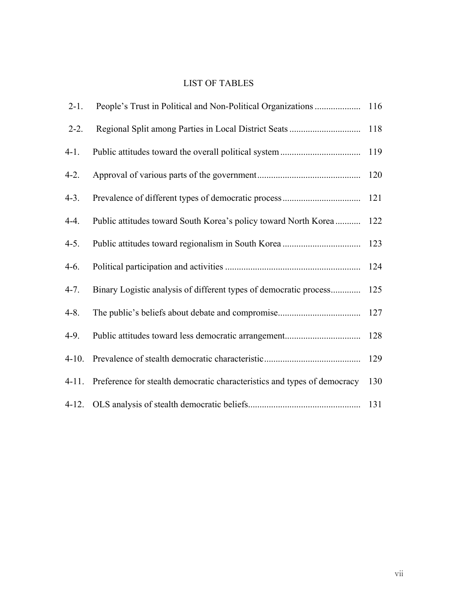# LIST OF TABLES

| $2 - 1$ .  |                                                                          |     |
|------------|--------------------------------------------------------------------------|-----|
| $2 - 2$ .  |                                                                          | 118 |
| $4-1.$     |                                                                          | 119 |
| $4-2.$     |                                                                          | 120 |
| $4-3.$     |                                                                          | 121 |
| $4-4.$     | Public attitudes toward South Korea's policy toward North Korea          | 122 |
| $4-5.$     |                                                                          | 123 |
| $4-6.$     |                                                                          | 124 |
| $4 - 7.$   | Binary Logistic analysis of different types of democratic process        | 125 |
| $4 - 8$ .  |                                                                          | 127 |
| $4-9.$     |                                                                          | 128 |
| $4-10.$    |                                                                          | 129 |
| $4 - 11$ . | Preference for stealth democratic characteristics and types of democracy | 130 |
| $4-12.$    |                                                                          | 131 |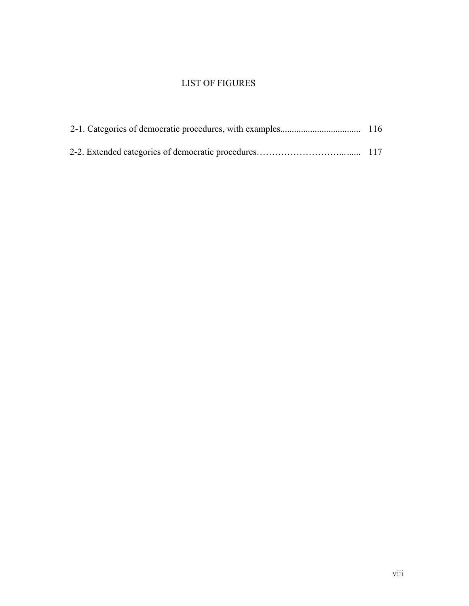# LIST OF FIGURES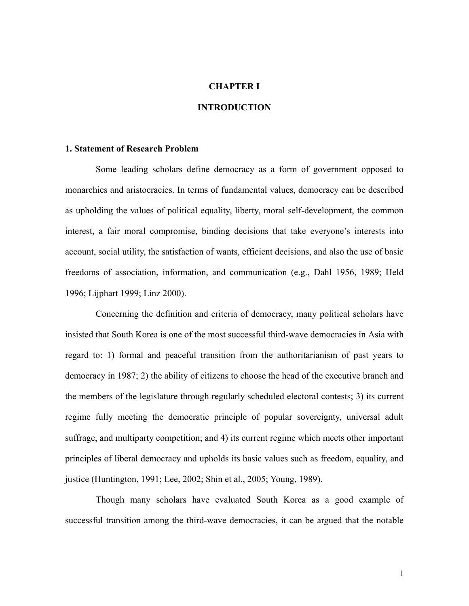# **CHAPTER I**

# **INTRODUCTION**

# **1. Statement of Research Problem**

Some leading scholars define democracy as a form of government opposed to monarchies and aristocracies. In terms of fundamental values, democracy can be described as upholding the values of political equality, liberty, moral self-development, the common interest, a fair moral compromise, binding decisions that take everyone's interests into account, social utility, the satisfaction of wants, efficient decisions, and also the use of basic freedoms of association, information, and communication (e.g., Dahl 1956, 1989; Held 1996; Lijphart 1999; Linz 2000).

Concerning the definition and criteria of democracy, many political scholars have insisted that South Korea is one of the most successful third-wave democracies in Asia with regard to: 1) formal and peaceful transition from the authoritarianism of past years to democracy in 1987; 2) the ability of citizens to choose the head of the executive branch and the members of the legislature through regularly scheduled electoral contests; 3) its current regime fully meeting the democratic principle of popular sovereignty, universal adult suffrage, and multiparty competition; and 4) its current regime which meets other important principles of liberal democracy and upholds its basic values such as freedom, equality, and justice (Huntington, 1991; Lee, 2002; Shin et al., 2005; Young, 1989).

Though many scholars have evaluated South Korea as a good example of successful transition among the third-wave democracies, it can be argued that the notable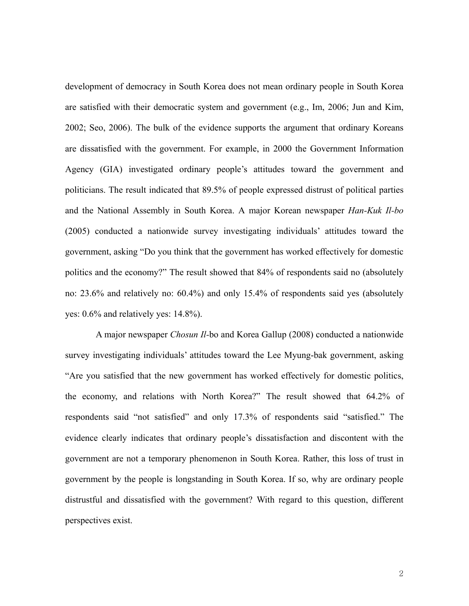development of democracy in South Korea does not mean ordinary people in South Korea are satisfied with their democratic system and government (e.g., Im, 2006; Jun and Kim, 2002; Seo, 2006). The bulk of the evidence supports the argument that ordinary Koreans are dissatisfied with the government. For example, in 2000 the Government Information Agency (GIA) investigated ordinary people's attitudes toward the government and politicians. The result indicated that 89.5% of people expressed distrust of political parties and the National Assembly in South Korea. A major Korean newspaper *Han-Kuk Il-bo* (2005) conducted a nationwide survey investigating individuals' attitudes toward the government, asking "Do you think that the government has worked effectively for domestic politics and the economy?" The result showed that 84% of respondents said no (absolutely no: 23.6% and relatively no: 60.4%) and only 15.4% of respondents said yes (absolutely yes: 0.6% and relatively yes: 14.8%).

A major newspaper *Chosun Il-*bo and Korea Gallup (2008) conducted a nationwide survey investigating individuals' attitudes toward the Lee Myung-bak government, asking "Are you satisfied that the new government has worked effectively for domestic politics, the economy, and relations with North Korea?" The result showed that 64.2% of respondents said "not satisfied" and only 17.3% of respondents said "satisfied." The evidence clearly indicates that ordinary people's dissatisfaction and discontent with the government are not a temporary phenomenon in South Korea. Rather, this loss of trust in government by the people is longstanding in South Korea. If so, why are ordinary people distrustful and dissatisfied with the government? With regard to this question, different perspectives exist.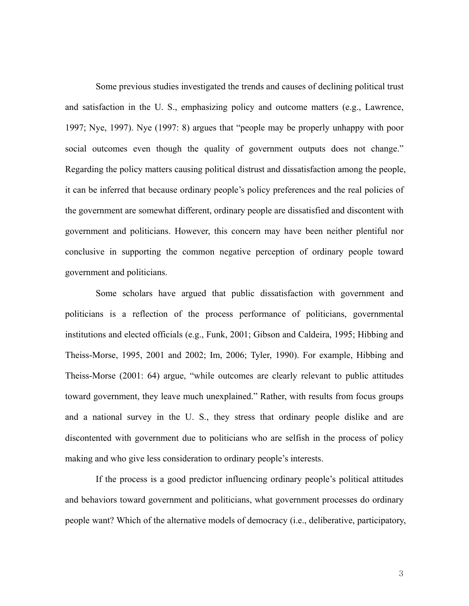Some previous studies investigated the trends and causes of declining political trust and satisfaction in the U. S., emphasizing policy and outcome matters (e.g., Lawrence, 1997; Nye, 1997). Nye (1997: 8) argues that "people may be properly unhappy with poor social outcomes even though the quality of government outputs does not change." Regarding the policy matters causing political distrust and dissatisfaction among the people, it can be inferred that because ordinary people's policy preferences and the real policies of the government are somewhat different, ordinary people are dissatisfied and discontent with government and politicians. However, this concern may have been neither plentiful nor conclusive in supporting the common negative perception of ordinary people toward government and politicians.

Some scholars have argued that public dissatisfaction with government and politicians is a reflection of the process performance of politicians, governmental institutions and elected officials (e.g., Funk, 2001; Gibson and Caldeira, 1995; Hibbing and Theiss-Morse, 1995, 2001 and 2002; Im, 2006; Tyler, 1990). For example, Hibbing and Theiss-Morse (2001: 64) argue, "while outcomes are clearly relevant to public attitudes toward government, they leave much unexplained." Rather, with results from focus groups and a national survey in the U. S., they stress that ordinary people dislike and are discontented with government due to politicians who are selfish in the process of policy making and who give less consideration to ordinary people's interests.

If the process is a good predictor influencing ordinary people's political attitudes and behaviors toward government and politicians, what government processes do ordinary people want? Which of the alternative models of democracy (i.e., deliberative, participatory,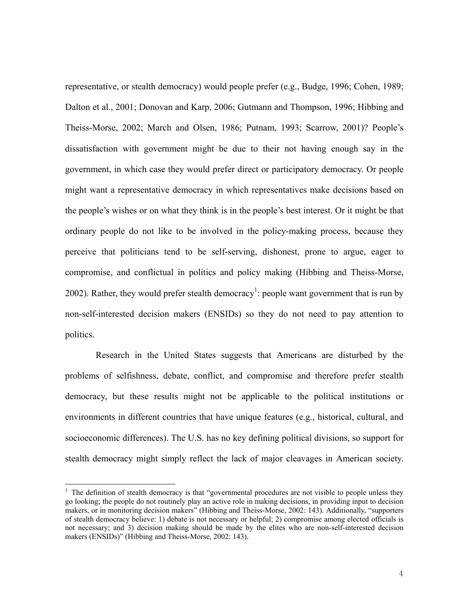representative, or stealth democracy) would people prefer (e.g., Budge, 1996; Cohen, 1989; Dalton et al., 2001; Donovan and Karp, 2006; Gutmann and Thompson, 1996; Hibbing and Theiss-Morse, 2002; March and Olsen, 1986; Putnam, 1993; Scarrow, 2001)? People's dissatisfaction with government might be due to their not having enough say in the government, in which case they would prefer direct or participatory democracy. Or people might want a representative democracy in which representatives make decisions based on the people's wishes or on what they think is in the people's best interest. Or it might be that ordinary people do not like to be involved in the policy-making process, because they perceive that politicians tend to be self-serving, dishonest, prone to argue, eager to compromise, and conflictual in politics and policy making (Hibbing and Theiss-Morse, 2002). Rather, they would prefer stealth democracy<sup>1</sup>: people want government that is run by non-self-interested decision makers (ENSIDs) so they do not need to pay attention to politics.

Research in the United States suggests that Americans are disturbed by the problems of selfishness, debate, conflict, and compromise and therefore prefer stealth democracy, but these results might not be applicable to the political institutions or environments in different countries that have unique features (e.g., historical, cultural, and socioeconomic differences). The U.S. has no key defining political divisions, so support for stealth democracy might simply reflect the lack of major cleavages in American society.

 $\overline{a}$ 

 $<sup>1</sup>$  The definition of stealth democracy is that "governmental procedures are not visible to people unless they</sup> go looking; the people do not routinely play an active role in making decisions, in providing input to decision makers, or in monitoring decision makers" (Hibbing and Theiss-Morse, 2002: 143). Additionally, "supporters of stealth democracy believe: 1) debate is not necessary or helpful; 2) compromise among elected officials is not necessary; and 3) decision making should be made by the elites who are non-self-interested decision makers (ENSIDs)" (Hibbing and Theiss-Morse, 2002: 143).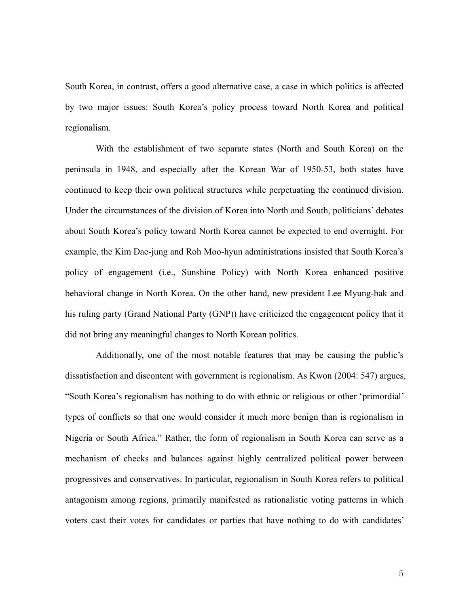South Korea, in contrast, offers a good alternative case, a case in which politics is affected by two major issues: South Korea's policy process toward North Korea and political regionalism.

With the establishment of two separate states (North and South Korea) on the peninsula in 1948, and especially after the Korean War of 1950-53, both states have continued to keep their own political structures while perpetuating the continued division. Under the circumstances of the division of Korea into North and South, politicians' debates about South Korea's policy toward North Korea cannot be expected to end overnight. For example, the Kim Dae-jung and Roh Moo-hyun administrations insisted that South Korea's policy of engagement (i.e., Sunshine Policy) with North Korea enhanced positive behavioral change in North Korea. On the other hand, new president Lee Myung-bak and his ruling party (Grand National Party (GNP)) have criticized the engagement policy that it did not bring any meaningful changes to North Korean politics.

Additionally, one of the most notable features that may be causing the public's dissatisfaction and discontent with government is regionalism. As Kwon (2004: 547) argues, "South Korea's regionalism has nothing to do with ethnic or religious or other 'primordial' types of conflicts so that one would consider it much more benign than is regionalism in Nigeria or South Africa." Rather, the form of regionalism in South Korea can serve as a mechanism of checks and balances against highly centralized political power between progressives and conservatives. In particular, regionalism in South Korea refers to political antagonism among regions, primarily manifested as rationalistic voting patterns in which voters cast their votes for candidates or parties that have nothing to do with candidates'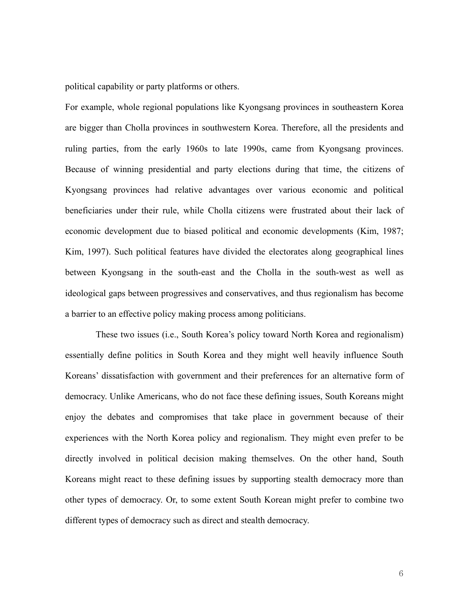political capability or party platforms or others.

For example, whole regional populations like Kyongsang provinces in southeastern Korea are bigger than Cholla provinces in southwestern Korea. Therefore, all the presidents and ruling parties, from the early 1960s to late 1990s, came from Kyongsang provinces. Because of winning presidential and party elections during that time, the citizens of Kyongsang provinces had relative advantages over various economic and political beneficiaries under their rule, while Cholla citizens were frustrated about their lack of economic development due to biased political and economic developments (Kim, 1987; Kim, 1997). Such political features have divided the electorates along geographical lines between Kyongsang in the south-east and the Cholla in the south-west as well as ideological gaps between progressives and conservatives, and thus regionalism has become a barrier to an effective policy making process among politicians.

These two issues (i.e., South Korea's policy toward North Korea and regionalism) essentially define politics in South Korea and they might well heavily influence South Koreans' dissatisfaction with government and their preferences for an alternative form of democracy. Unlike Americans, who do not face these defining issues, South Koreans might enjoy the debates and compromises that take place in government because of their experiences with the North Korea policy and regionalism. They might even prefer to be directly involved in political decision making themselves. On the other hand, South Koreans might react to these defining issues by supporting stealth democracy more than other types of democracy. Or, to some extent South Korean might prefer to combine two different types of democracy such as direct and stealth democracy.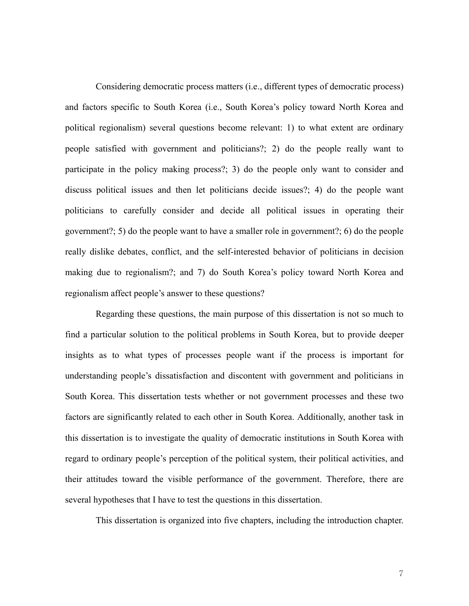Considering democratic process matters (i.e., different types of democratic process) and factors specific to South Korea (i.e., South Korea's policy toward North Korea and political regionalism) several questions become relevant: 1) to what extent are ordinary people satisfied with government and politicians?; 2) do the people really want to participate in the policy making process?; 3) do the people only want to consider and discuss political issues and then let politicians decide issues?; 4) do the people want politicians to carefully consider and decide all political issues in operating their government?; 5) do the people want to have a smaller role in government?; 6) do the people really dislike debates, conflict, and the self-interested behavior of politicians in decision making due to regionalism?; and 7) do South Korea's policy toward North Korea and regionalism affect people's answer to these questions?

Regarding these questions, the main purpose of this dissertation is not so much to find a particular solution to the political problems in South Korea, but to provide deeper insights as to what types of processes people want if the process is important for understanding people's dissatisfaction and discontent with government and politicians in South Korea. This dissertation tests whether or not government processes and these two factors are significantly related to each other in South Korea. Additionally, another task in this dissertation is to investigate the quality of democratic institutions in South Korea with regard to ordinary people's perception of the political system, their political activities, and their attitudes toward the visible performance of the government. Therefore, there are several hypotheses that I have to test the questions in this dissertation.

This dissertation is organized into five chapters, including the introduction chapter.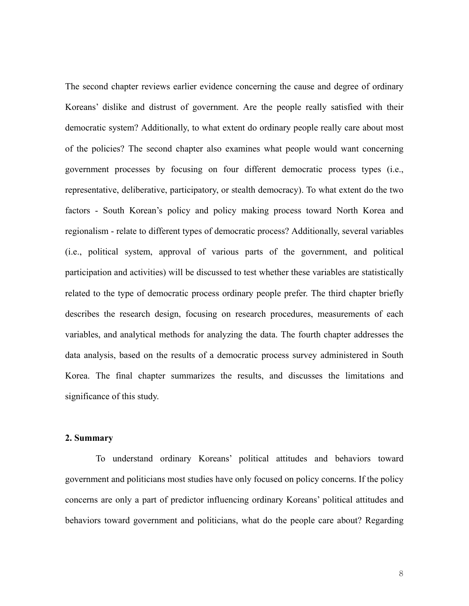The second chapter reviews earlier evidence concerning the cause and degree of ordinary Koreans' dislike and distrust of government. Are the people really satisfied with their democratic system? Additionally, to what extent do ordinary people really care about most of the policies? The second chapter also examines what people would want concerning government processes by focusing on four different democratic process types (i.e., representative, deliberative, participatory, or stealth democracy). To what extent do the two factors - South Korean's policy and policy making process toward North Korea and regionalism - relate to different types of democratic process? Additionally, several variables (i.e., political system, approval of various parts of the government, and political participation and activities) will be discussed to test whether these variables are statistically related to the type of democratic process ordinary people prefer. The third chapter briefly describes the research design, focusing on research procedures, measurements of each variables, and analytical methods for analyzing the data. The fourth chapter addresses the data analysis, based on the results of a democratic process survey administered in South Korea. The final chapter summarizes the results, and discusses the limitations and significance of this study.

# **2. Summary**

To understand ordinary Koreans' political attitudes and behaviors toward government and politicians most studies have only focused on policy concerns. If the policy concerns are only a part of predictor influencing ordinary Koreans' political attitudes and behaviors toward government and politicians, what do the people care about? Regarding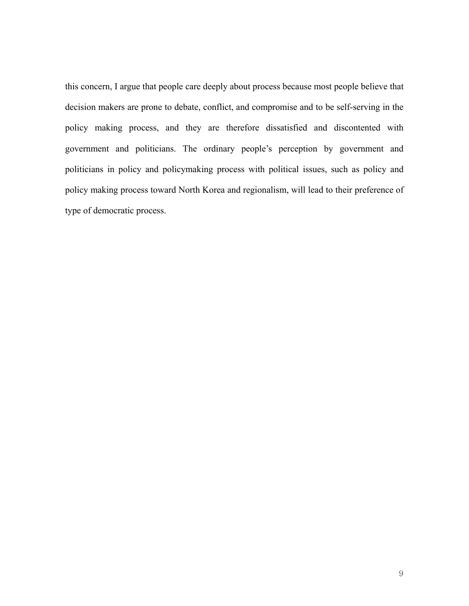this concern, I argue that people care deeply about process because most people believe that decision makers are prone to debate, conflict, and compromise and to be self-serving in the policy making process, and they are therefore dissatisfied and discontented with government and politicians. The ordinary people's perception by government and politicians in policy and policymaking process with political issues, such as policy and policy making process toward North Korea and regionalism, will lead to their preference of type of democratic process.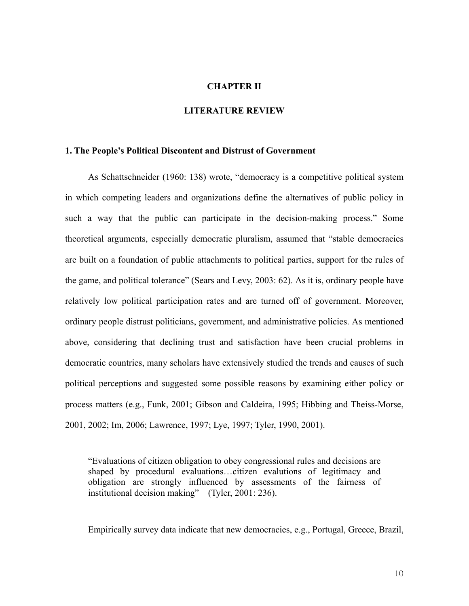## **CHAPTER II**

# **LITERATURE REVIEW**

#### **1. The People's Political Discontent and Distrust of Government**

As Schattschneider (1960: 138) wrote, "democracy is a competitive political system in which competing leaders and organizations define the alternatives of public policy in such a way that the public can participate in the decision-making process." Some theoretical arguments, especially democratic pluralism, assumed that "stable democracies are built on a foundation of public attachments to political parties, support for the rules of the game, and political tolerance" (Sears and Levy, 2003: 62). As it is, ordinary people have relatively low political participation rates and are turned off of government. Moreover, ordinary people distrust politicians, government, and administrative policies. As mentioned above, considering that declining trust and satisfaction have been crucial problems in democratic countries, many scholars have extensively studied the trends and causes of such political perceptions and suggested some possible reasons by examining either policy or process matters (e.g., Funk, 2001; Gibson and Caldeira, 1995; Hibbing and Theiss-Morse, 2001, 2002; Im, 2006; Lawrence, 1997; Lye, 1997; Tyler, 1990, 2001).

"Evaluations of citizen obligation to obey congressional rules and decisions are shaped by procedural evaluations…citizen evalutions of legitimacy and obligation are strongly influenced by assessments of the fairness of institutional decision making" (Tyler, 2001: 236).

Empirically survey data indicate that new democracies, e.g., Portugal, Greece, Brazil,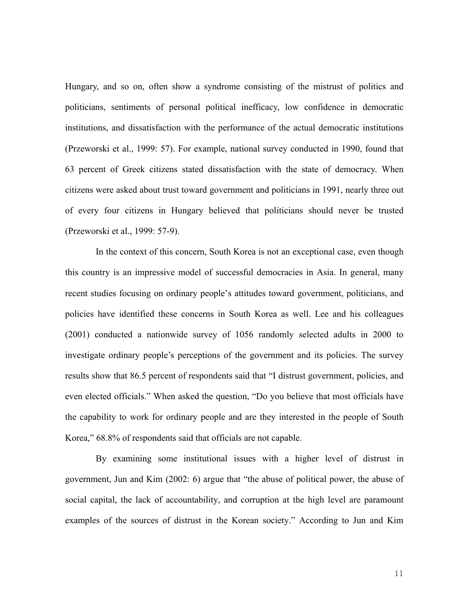Hungary, and so on, often show a syndrome consisting of the mistrust of politics and politicians, sentiments of personal political inefficacy, low confidence in democratic institutions, and dissatisfaction with the performance of the actual democratic institutions (Przeworski et al., 1999: 57). For example, national survey conducted in 1990, found that 63 percent of Greek citizens stated dissatisfaction with the state of democracy. When citizens were asked about trust toward government and politicians in 1991, nearly three out of every four citizens in Hungary believed that politicians should never be trusted (Przeworski et al., 1999: 57-9).

In the context of this concern, South Korea is not an exceptional case, even though this country is an impressive model of successful democracies in Asia. In general, many recent studies focusing on ordinary people's attitudes toward government, politicians, and policies have identified these concerns in South Korea as well. Lee and his colleagues (2001) conducted a nationwide survey of 1056 randomly selected adults in 2000 to investigate ordinary people's perceptions of the government and its policies. The survey results show that 86.5 percent of respondents said that "I distrust government, policies, and even elected officials." When asked the question, "Do you believe that most officials have the capability to work for ordinary people and are they interested in the people of South Korea," 68.8% of respondents said that officials are not capable.

By examining some institutional issues with a higher level of distrust in government, Jun and Kim (2002: 6) argue that "the abuse of political power, the abuse of social capital, the lack of accountability, and corruption at the high level are paramount examples of the sources of distrust in the Korean society." According to Jun and Kim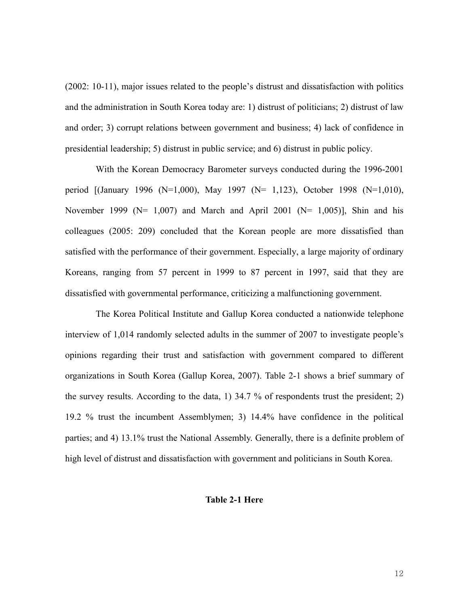(2002: 10-11), major issues related to the people's distrust and dissatisfaction with politics and the administration in South Korea today are: 1) distrust of politicians; 2) distrust of law and order; 3) corrupt relations between government and business; 4) lack of confidence in presidential leadership; 5) distrust in public service; and 6) distrust in public policy.

With the Korean Democracy Barometer surveys conducted during the 1996-2001 period [(January 1996 (N=1,000), May 1997 (N= 1,123), October 1998 (N=1,010), November 1999 ( $N= 1,007$ ) and March and April 2001 ( $N= 1,005$ )], Shin and his colleagues (2005: 209) concluded that the Korean people are more dissatisfied than satisfied with the performance of their government. Especially, a large majority of ordinary Koreans, ranging from 57 percent in 1999 to 87 percent in 1997, said that they are dissatisfied with governmental performance, criticizing a malfunctioning government.

The Korea Political Institute and Gallup Korea conducted a nationwide telephone interview of 1,014 randomly selected adults in the summer of 2007 to investigate people's opinions regarding their trust and satisfaction with government compared to different organizations in South Korea (Gallup Korea, 2007). Table 2-1 shows a brief summary of the survey results. According to the data, 1) 34.7 % of respondents trust the president; 2) 19.2 % trust the incumbent Assemblymen; 3) 14.4% have confidence in the political parties; and 4) 13.1% trust the National Assembly. Generally, there is a definite problem of high level of distrust and dissatisfaction with government and politicians in South Korea.

#### **Table 2-1 Here**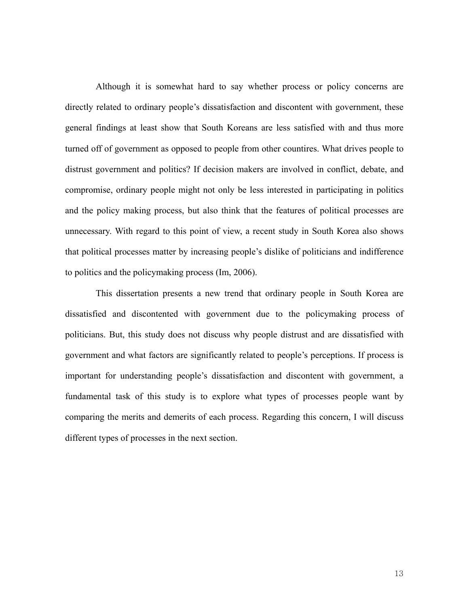Although it is somewhat hard to say whether process or policy concerns are directly related to ordinary people's dissatisfaction and discontent with government, these general findings at least show that South Koreans are less satisfied with and thus more turned off of government as opposed to people from other countires. What drives people to distrust government and politics? If decision makers are involved in conflict, debate, and compromise, ordinary people might not only be less interested in participating in politics and the policy making process, but also think that the features of political processes are unnecessary. With regard to this point of view, a recent study in South Korea also shows that political processes matter by increasing people's dislike of politicians and indifference to politics and the policymaking process (Im, 2006).

This dissertation presents a new trend that ordinary people in South Korea are dissatisfied and discontented with government due to the policymaking process of politicians. But, this study does not discuss why people distrust and are dissatisfied with government and what factors are significantly related to people's perceptions. If process is important for understanding people's dissatisfaction and discontent with government, a fundamental task of this study is to explore what types of processes people want by comparing the merits and demerits of each process. Regarding this concern, I will discuss different types of processes in the next section.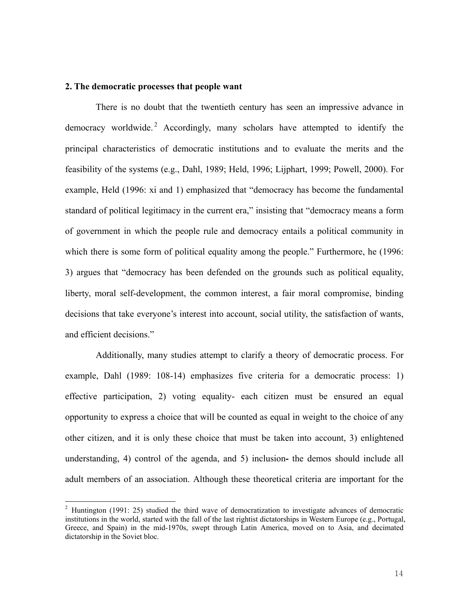# **2. The democratic processes that people want**

 $\overline{a}$ 

There is no doubt that the twentieth century has seen an impressive advance in democracy worldwide.<sup>2</sup> Accordingly, many scholars have attempted to identify the principal characteristics of democratic institutions and to evaluate the merits and the feasibility of the systems (e.g., Dahl, 1989; Held, 1996; Lijphart, 1999; Powell, 2000). For example, Held (1996: xi and 1) emphasized that "democracy has become the fundamental standard of political legitimacy in the current era," insisting that "democracy means a form of government in which the people rule and democracy entails a political community in which there is some form of political equality among the people." Furthermore, he (1996: 3) argues that "democracy has been defended on the grounds such as political equality, liberty, moral self-development, the common interest, a fair moral compromise, binding decisions that take everyone's interest into account, social utility, the satisfaction of wants, and efficient decisions."

Additionally, many studies attempt to clarify a theory of democratic process. For example, Dahl (1989: 108-14) emphasizes five criteria for a democratic process: 1) effective participation, 2) voting equality- each citizen must be ensured an equal opportunity to express a choice that will be counted as equal in weight to the choice of any other citizen, and it is only these choice that must be taken into account, 3) enlightened understanding, 4) control of the agenda, and 5) inclusion**-** the demos should include all adult members of an association. Although these theoretical criteria are important for the

<sup>&</sup>lt;sup>2</sup> Huntington (1991: 25) studied the third wave of democratization to investigate advances of democratic institutions in the world, started with the fall of the last rightist dictatorships in Western Europe (e.g., Portugal, Greece, and Spain) in the mid-1970s, swept through Latin America, moved on to Asia, and decimated dictatorship in the Soviet bloc.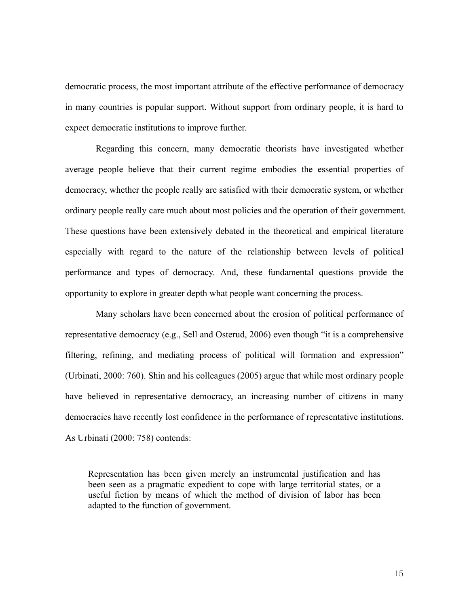democratic process, the most important attribute of the effective performance of democracy in many countries is popular support. Without support from ordinary people, it is hard to expect democratic institutions to improve further.

Regarding this concern, many democratic theorists have investigated whether average people believe that their current regime embodies the essential properties of democracy, whether the people really are satisfied with their democratic system, or whether ordinary people really care much about most policies and the operation of their government. These questions have been extensively debated in the theoretical and empirical literature especially with regard to the nature of the relationship between levels of political performance and types of democracy. And, these fundamental questions provide the opportunity to explore in greater depth what people want concerning the process.

Many scholars have been concerned about the erosion of political performance of representative democracy (e.g., Sell and Osterud, 2006) even though "it is a comprehensive filtering, refining, and mediating process of political will formation and expression" (Urbinati, 2000: 760). Shin and his colleagues (2005) argue that while most ordinary people have believed in representative democracy, an increasing number of citizens in many democracies have recently lost confidence in the performance of representative institutions. As Urbinati (2000: 758) contends:

Representation has been given merely an instrumental justification and has been seen as a pragmatic expedient to cope with large territorial states, or a useful fiction by means of which the method of division of labor has been adapted to the function of government.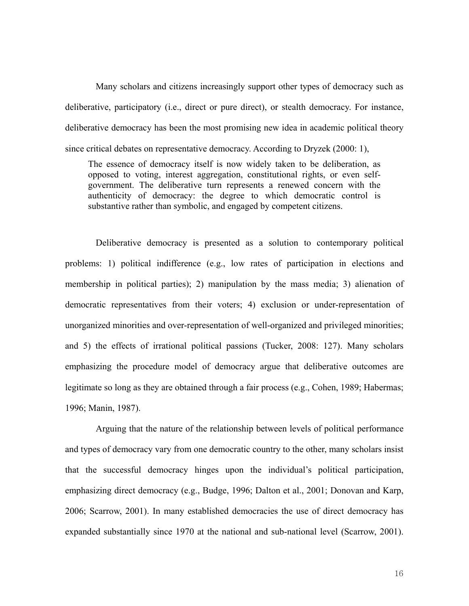Many scholars and citizens increasingly support other types of democracy such as deliberative, participatory (i.e., direct or pure direct), or stealth democracy. For instance, deliberative democracy has been the most promising new idea in academic political theory since critical debates on representative democracy. According to Dryzek (2000: 1),

The essence of democracy itself is now widely taken to be deliberation, as opposed to voting, interest aggregation, constitutional rights, or even selfgovernment. The deliberative turn represents a renewed concern with the authenticity of democracy: the degree to which democratic control is substantive rather than symbolic, and engaged by competent citizens.

Deliberative democracy is presented as a solution to contemporary political problems: 1) political indifference (e.g., low rates of participation in elections and membership in political parties); 2) manipulation by the mass media; 3) alienation of democratic representatives from their voters; 4) exclusion or under-representation of unorganized minorities and over-representation of well-organized and privileged minorities; and 5) the effects of irrational political passions (Tucker, 2008: 127). Many scholars emphasizing the procedure model of democracy argue that deliberative outcomes are legitimate so long as they are obtained through a fair process (e.g., Cohen, 1989; Habermas; 1996; Manin, 1987).

Arguing that the nature of the relationship between levels of political performance and types of democracy vary from one democratic country to the other, many scholars insist that the successful democracy hinges upon the individual's political participation, emphasizing direct democracy (e.g., Budge, 1996; Dalton et al., 2001; Donovan and Karp, 2006; Scarrow, 2001). In many established democracies the use of direct democracy has expanded substantially since 1970 at the national and sub-national level (Scarrow, 2001).

16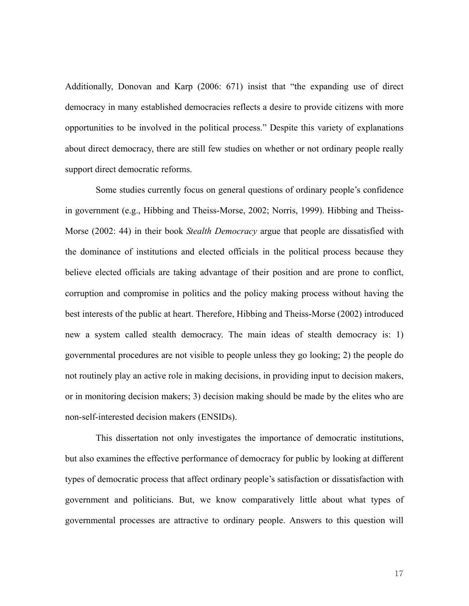Additionally, Donovan and Karp (2006: 671) insist that "the expanding use of direct democracy in many established democracies reflects a desire to provide citizens with more opportunities to be involved in the political process." Despite this variety of explanations about direct democracy, there are still few studies on whether or not ordinary people really support direct democratic reforms.

Some studies currently focus on general questions of ordinary people's confidence in government (e.g., Hibbing and Theiss-Morse, 2002; Norris, 1999). Hibbing and Theiss-Morse (2002: 44) in their book *Stealth Democracy* argue that people are dissatisfied with the dominance of institutions and elected officials in the political process because they believe elected officials are taking advantage of their position and are prone to conflict, corruption and compromise in politics and the policy making process without having the best interests of the public at heart. Therefore, Hibbing and Theiss-Morse (2002) introduced new a system called stealth democracy. The main ideas of stealth democracy is: 1) governmental procedures are not visible to people unless they go looking; 2) the people do not routinely play an active role in making decisions, in providing input to decision makers, or in monitoring decision makers; 3) decision making should be made by the elites who are non-self-interested decision makers (ENSIDs).

This dissertation not only investigates the importance of democratic institutions, but also examines the effective performance of democracy for public by looking at different types of democratic process that affect ordinary people's satisfaction or dissatisfaction with government and politicians. But, we know comparatively little about what types of governmental processes are attractive to ordinary people. Answers to this question will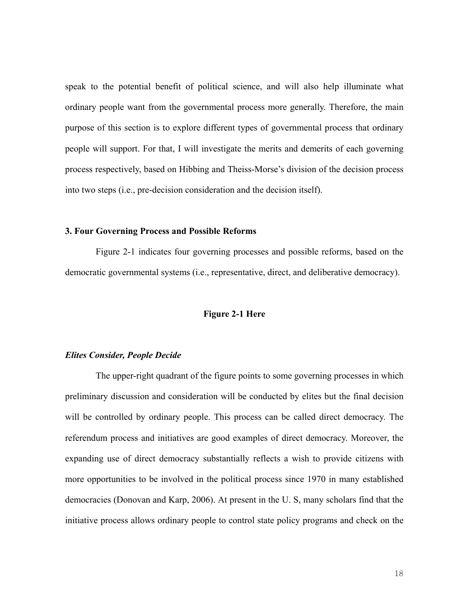speak to the potential benefit of political science, and will also help illuminate what ordinary people want from the governmental process more generally. Therefore, the main purpose of this section is to explore different types of governmental process that ordinary people will support. For that, I will investigate the merits and demerits of each governing process respectively, based on Hibbing and Theiss-Morse's division of the decision process into two steps (i.e., pre-decision consideration and the decision itself).

#### **3. Four Governing Process and Possible Reforms**

 Figure 2-1 indicates four governing processes and possible reforms, based on the democratic governmental systems (i.e., representative, direct, and deliberative democracy).

## **Figure 2-1 Here**

# *Elites Consider, People Decide*

The upper-right quadrant of the figure points to some governing processes in which preliminary discussion and consideration will be conducted by elites but the final decision will be controlled by ordinary people. This process can be called direct democracy. The referendum process and initiatives are good examples of direct democracy. Moreover, the expanding use of direct democracy substantially reflects a wish to provide citizens with more opportunities to be involved in the political process since 1970 in many established democracies (Donovan and Karp, 2006). At present in the U. S, many scholars find that the initiative process allows ordinary people to control state policy programs and check on the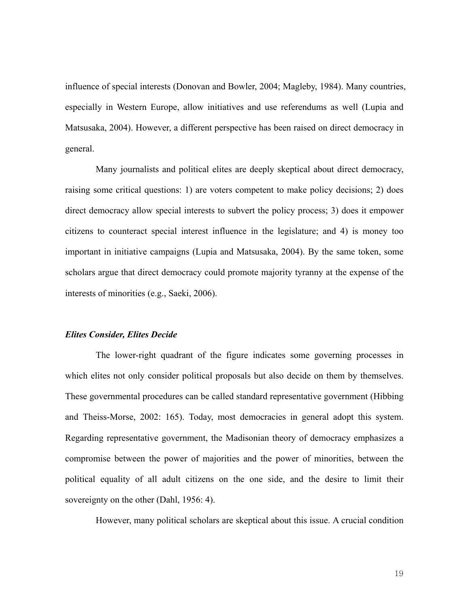influence of special interests (Donovan and Bowler, 2004; Magleby, 1984). Many countries, especially in Western Europe, allow initiatives and use referendums as well (Lupia and Matsusaka, 2004). However, a different perspective has been raised on direct democracy in general.

Many journalists and political elites are deeply skeptical about direct democracy, raising some critical questions: 1) are voters competent to make policy decisions; 2) does direct democracy allow special interests to subvert the policy process; 3) does it empower citizens to counteract special interest influence in the legislature; and 4) is money too important in initiative campaigns (Lupia and Matsusaka, 2004). By the same token, some scholars argue that direct democracy could promote majority tyranny at the expense of the interests of minorities (e.g., Saeki, 2006).

# *Elites Consider, Elites Decide*

The lower-right quadrant of the figure indicates some governing processes in which elites not only consider political proposals but also decide on them by themselves. These governmental procedures can be called standard representative government (Hibbing and Theiss-Morse, 2002: 165). Today, most democracies in general adopt this system. Regarding representative government, the Madisonian theory of democracy emphasizes a compromise between the power of majorities and the power of minorities, between the political equality of all adult citizens on the one side, and the desire to limit their sovereignty on the other (Dahl, 1956: 4).

However, many political scholars are skeptical about this issue. A crucial condition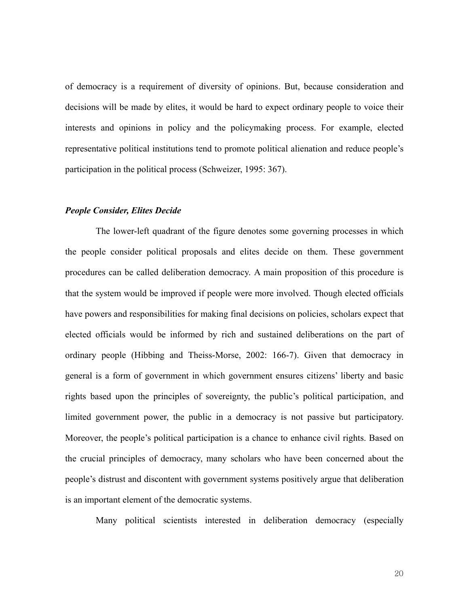of democracy is a requirement of diversity of opinions. But, because consideration and decisions will be made by elites, it would be hard to expect ordinary people to voice their interests and opinions in policy and the policymaking process. For example, elected representative political institutions tend to promote political alienation and reduce people's participation in the political process (Schweizer, 1995: 367).

# *People Consider, Elites Decide*

The lower-left quadrant of the figure denotes some governing processes in which the people consider political proposals and elites decide on them. These government procedures can be called deliberation democracy. A main proposition of this procedure is that the system would be improved if people were more involved. Though elected officials have powers and responsibilities for making final decisions on policies, scholars expect that elected officials would be informed by rich and sustained deliberations on the part of ordinary people (Hibbing and Theiss-Morse, 2002: 166-7). Given that democracy in general is a form of government in which government ensures citizens' liberty and basic rights based upon the principles of sovereignty, the public's political participation, and limited government power, the public in a democracy is not passive but participatory. Moreover, the people's political participation is a chance to enhance civil rights. Based on the crucial principles of democracy, many scholars who have been concerned about the people's distrust and discontent with government systems positively argue that deliberation is an important element of the democratic systems.

Many political scientists interested in deliberation democracy (especially

20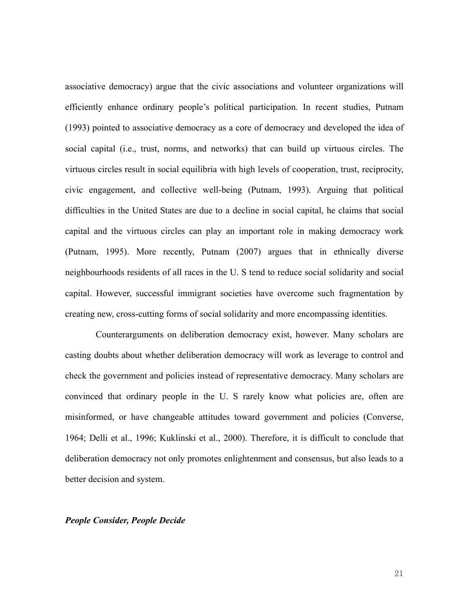associative democracy) argue that the civic associations and volunteer organizations will efficiently enhance ordinary people's political participation. In recent studies, Putnam (1993) pointed to associative democracy as a core of democracy and developed the idea of social capital (i.e., trust, norms, and networks) that can build up virtuous circles. The virtuous circles result in social equilibria with high levels of cooperation, trust, reciprocity, civic engagement, and collective well-being (Putnam, 1993). Arguing that political difficulties in the United States are due to a decline in social capital, he claims that social capital and the virtuous circles can play an important role in making democracy work (Putnam, 1995). More recently, Putnam (2007) argues that in ethnically diverse neighbourhoods residents of all races in the U. S tend to reduce social solidarity and social capital. However, successful immigrant societies have overcome such fragmentation by creating new, cross-cutting forms of social solidarity and more encompassing identities.

Counterarguments on deliberation democracy exist, however. Many scholars are casting doubts about whether deliberation democracy will work as leverage to control and check the government and policies instead of representative democracy. Many scholars are convinced that ordinary people in the U. S rarely know what policies are, often are misinformed, or have changeable attitudes toward government and policies (Converse, 1964; Delli et al., 1996; Kuklinski et al., 2000). Therefore, it is difficult to conclude that deliberation democracy not only promotes enlightenment and consensus, but also leads to a better decision and system.

### *People Consider, People Decide*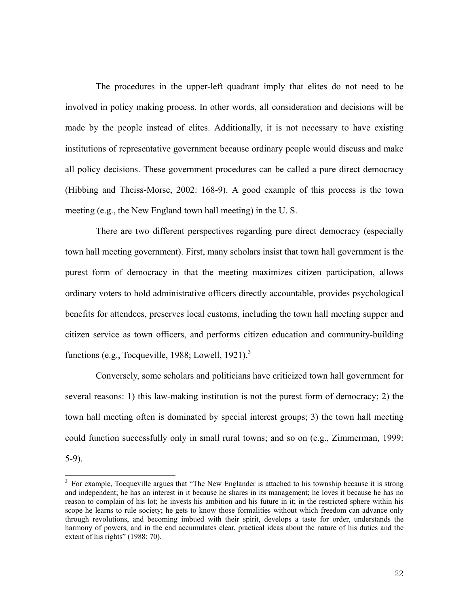The procedures in the upper-left quadrant imply that elites do not need to be involved in policy making process. In other words, all consideration and decisions will be made by the people instead of elites. Additionally, it is not necessary to have existing institutions of representative government because ordinary people would discuss and make all policy decisions. These government procedures can be called a pure direct democracy (Hibbing and Theiss-Morse, 2002: 168-9). A good example of this process is the town meeting (e.g., the New England town hall meeting) in the U. S.

There are two different perspectives regarding pure direct democracy (especially town hall meeting government). First, many scholars insist that town hall government is the purest form of democracy in that the meeting maximizes citizen participation, allows ordinary voters to hold administrative officers directly accountable, provides psychological benefits for attendees, preserves local customs, including the town hall meeting supper and citizen service as town officers, and performs citizen education and community-building functions (e.g., Tocqueville, 1988; Lowell, 1921).<sup>3</sup>

 Conversely, some scholars and politicians have criticized town hall government for several reasons: 1) this law-making institution is not the purest form of democracy; 2) the town hall meeting often is dominated by special interest groups; 3) the town hall meeting could function successfully only in small rural towns; and so on (e.g., Zimmerman, 1999:

5-9).

 $\overline{a}$ 

<sup>&</sup>lt;sup>3</sup> For example, Tocqueville argues that "The New Englander is attached to his township because it is strong and independent; he has an interest in it because he shares in its management; he loves it because he has no reason to complain of his lot; he invests his ambition and his future in it; in the restricted sphere within his scope he learns to rule society; he gets to know those formalities without which freedom can advance only through revolutions, and becoming imbued with their spirit, develops a taste for order, understands the harmony of powers, and in the end accumulates clear, practical ideas about the nature of his duties and the extent of his rights" (1988: 70).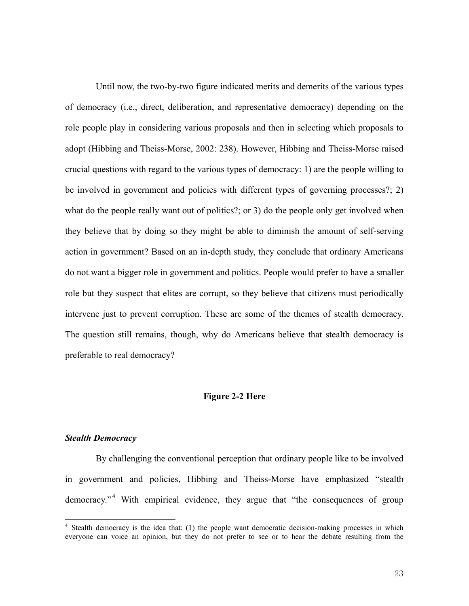Until now, the two-by-two figure indicated merits and demerits of the various types of democracy (i.e., direct, deliberation, and representative democracy) depending on the role people play in considering various proposals and then in selecting which proposals to adopt (Hibbing and Theiss-Morse, 2002: 238). However, Hibbing and Theiss-Morse raised crucial questions with regard to the various types of democracy: 1) are the people willing to be involved in government and policies with different types of governing processes?; 2) what do the people really want out of politics?; or 3) do the people only get involved when they believe that by doing so they might be able to diminish the amount of self-serving action in government? Based on an in-depth study, they conclude that ordinary Americans do not want a bigger role in government and politics. People would prefer to have a smaller role but they suspect that elites are corrupt, so they believe that citizens must periodically intervene just to prevent corruption. These are some of the themes of stealth democracy. The question still remains, though, why do Americans believe that stealth democracy is preferable to real democracy?

### **Figure 2-2 Here**

# *Stealth Democracy*

 $\overline{a}$ 

By challenging the conventional perception that ordinary people like to be involved in government and policies, Hibbing and Theiss-Morse have emphasized "stealth democracy."<sup>4</sup> With empirical evidence, they argue that "the consequences of group

<sup>&</sup>lt;sup>4</sup> Stealth democracy is the idea that: (1) the people want democratic decision-making processes in which everyone can voice an opinion, but they do not prefer to see or to hear the debate resulting from the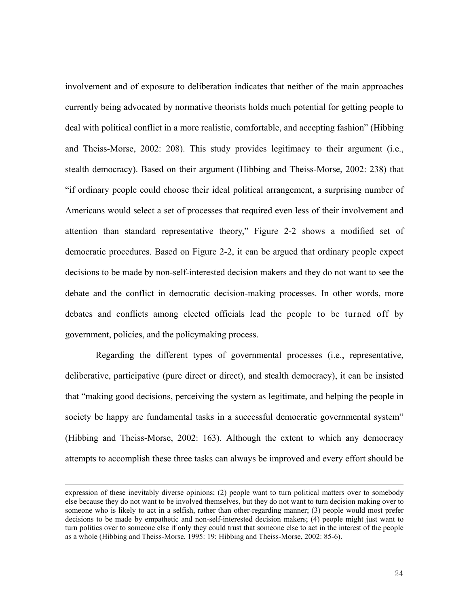involvement and of exposure to deliberation indicates that neither of the main approaches currently being advocated by normative theorists holds much potential for getting people to deal with political conflict in a more realistic, comfortable, and accepting fashion" (Hibbing and Theiss-Morse, 2002: 208). This study provides legitimacy to their argument (i.e., stealth democracy). Based on their argument (Hibbing and Theiss-Morse, 2002: 238) that "if ordinary people could choose their ideal political arrangement, a surprising number of Americans would select a set of processes that required even less of their involvement and attention than standard representative theory," Figure 2-2 shows a modified set of democratic procedures. Based on Figure 2-2, it can be argued that ordinary people expect decisions to be made by non-self-interested decision makers and they do not want to see the debate and the conflict in democratic decision-making processes. In other words, more debates and conflicts among elected officials lead the people to be turned off by government, policies, and the policymaking process.

Regarding the different types of governmental processes (i.e., representative, deliberative, participative (pure direct or direct), and stealth democracy), it can be insisted that "making good decisions, perceiving the system as legitimate, and helping the people in society be happy are fundamental tasks in a successful democratic governmental system" (Hibbing and Theiss-Morse, 2002: 163). Although the extent to which any democracy attempts to accomplish these three tasks can always be improved and every effort should be

 $\overline{a}$ 

expression of these inevitably diverse opinions; (2) people want to turn political matters over to somebody else because they do not want to be involved themselves, but they do not want to turn decision making over to someone who is likely to act in a selfish, rather than other-regarding manner; (3) people would most prefer decisions to be made by empathetic and non-self-interested decision makers; (4) people might just want to turn politics over to someone else if only they could trust that someone else to act in the interest of the people as a whole (Hibbing and Theiss-Morse, 1995: 19; Hibbing and Theiss-Morse, 2002: 85-6).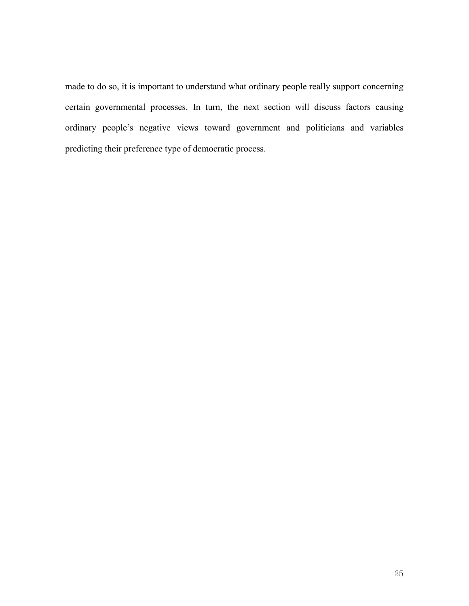made to do so, it is important to understand what ordinary people really support concerning certain governmental processes. In turn, the next section will discuss factors causing ordinary people's negative views toward government and politicians and variables predicting their preference type of democratic process.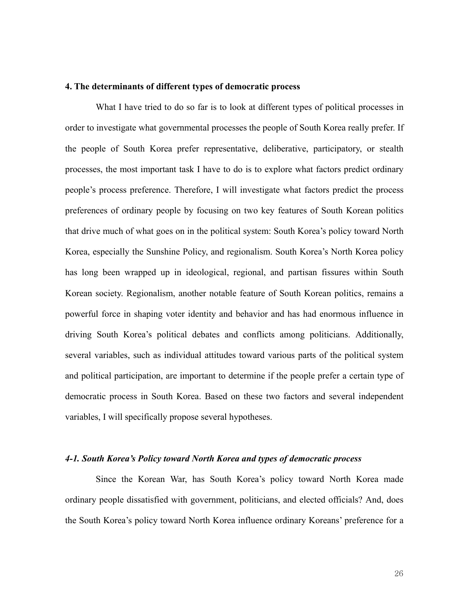### **4. The determinants of different types of democratic process**

What I have tried to do so far is to look at different types of political processes in order to investigate what governmental processes the people of South Korea really prefer. If the people of South Korea prefer representative, deliberative, participatory, or stealth processes, the most important task I have to do is to explore what factors predict ordinary people's process preference. Therefore, I will investigate what factors predict the process preferences of ordinary people by focusing on two key features of South Korean politics that drive much of what goes on in the political system: South Korea's policy toward North Korea, especially the Sunshine Policy, and regionalism. South Korea's North Korea policy has long been wrapped up in ideological, regional, and partisan fissures within South Korean society. Regionalism, another notable feature of South Korean politics, remains a powerful force in shaping voter identity and behavior and has had enormous influence in driving South Korea's political debates and conflicts among politicians. Additionally, several variables, such as individual attitudes toward various parts of the political system and political participation, are important to determine if the people prefer a certain type of democratic process in South Korea. Based on these two factors and several independent variables, I will specifically propose several hypotheses.

# *4-1. South Korea's Policy toward North Korea and types of democratic process*

Since the Korean War, has South Korea's policy toward North Korea made ordinary people dissatisfied with government, politicians, and elected officials? And, does the South Korea's policy toward North Korea influence ordinary Koreans' preference for a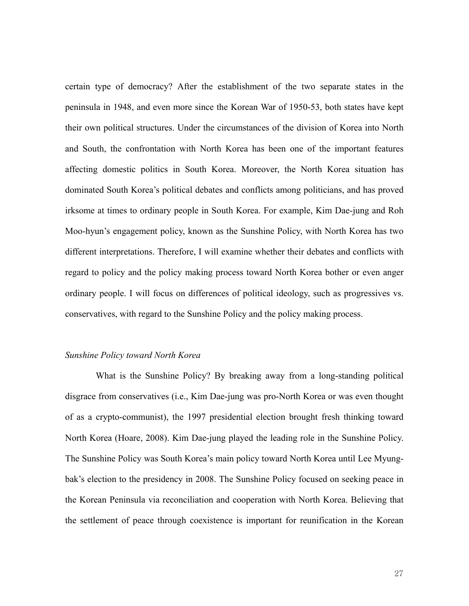certain type of democracy? After the establishment of the two separate states in the peninsula in 1948, and even more since the Korean War of 1950-53, both states have kept their own political structures. Under the circumstances of the division of Korea into North and South, the confrontation with North Korea has been one of the important features affecting domestic politics in South Korea. Moreover, the North Korea situation has dominated South Korea's political debates and conflicts among politicians, and has proved irksome at times to ordinary people in South Korea. For example, Kim Dae-jung and Roh Moo-hyun's engagement policy, known as the Sunshine Policy, with North Korea has two different interpretations. Therefore, I will examine whether their debates and conflicts with regard to policy and the policy making process toward North Korea bother or even anger ordinary people. I will focus on differences of political ideology, such as progressives vs. conservatives, with regard to the Sunshine Policy and the policy making process.

### *Sunshine Policy toward North Korea*

What is the Sunshine Policy? By breaking away from a long-standing political disgrace from conservatives (i.e., Kim Dae-jung was pro-North Korea or was even thought of as a crypto-communist), the 1997 presidential election brought fresh thinking toward North Korea (Hoare, 2008). Kim Dae-jung played the leading role in the Sunshine Policy. The Sunshine Policy was South Korea's main policy toward North Korea until Lee Myungbak's election to the presidency in 2008. The Sunshine Policy focused on seeking peace in the Korean Peninsula via reconciliation and cooperation with North Korea. Believing that the settlement of peace through coexistence is important for reunification in the Korean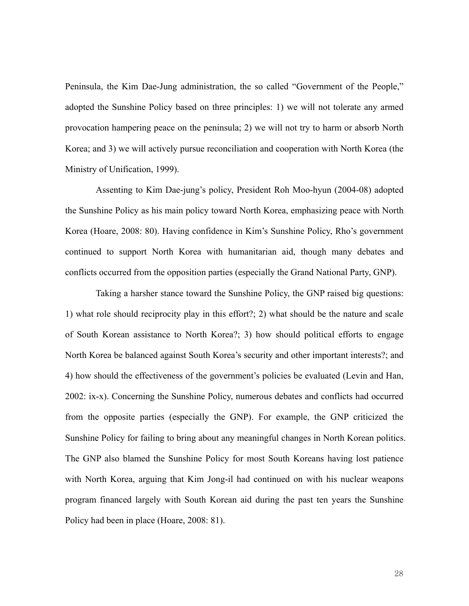Peninsula, the Kim Dae-Jung administration, the so called "Government of the People," adopted the Sunshine Policy based on three principles: 1) we will not tolerate any armed provocation hampering peace on the peninsula; 2) we will not try to harm or absorb North Korea; and 3) we will actively pursue reconciliation and cooperation with North Korea (the Ministry of Unification, 1999).

Assenting to Kim Dae-jung's policy, President Roh Moo-hyun (2004-08) adopted the Sunshine Policy as his main policy toward North Korea, emphasizing peace with North Korea (Hoare, 2008: 80). Having confidence in Kim's Sunshine Policy, Rho's government continued to support North Korea with humanitarian aid, though many debates and conflicts occurred from the opposition parties (especially the Grand National Party, GNP).

Taking a harsher stance toward the Sunshine Policy, the GNP raised big questions: 1) what role should reciprocity play in this effort?; 2) what should be the nature and scale of South Korean assistance to North Korea?; 3) how should political efforts to engage North Korea be balanced against South Korea's security and other important interests?; and 4) how should the effectiveness of the government's policies be evaluated (Levin and Han, 2002: ix-x). Concerning the Sunshine Policy, numerous debates and conflicts had occurred from the opposite parties (especially the GNP). For example, the GNP criticized the Sunshine Policy for failing to bring about any meaningful changes in North Korean politics. The GNP also blamed the Sunshine Policy for most South Koreans having lost patience with North Korea, arguing that Kim Jong-il had continued on with his nuclear weapons program financed largely with South Korean aid during the past ten years the Sunshine Policy had been in place (Hoare, 2008: 81).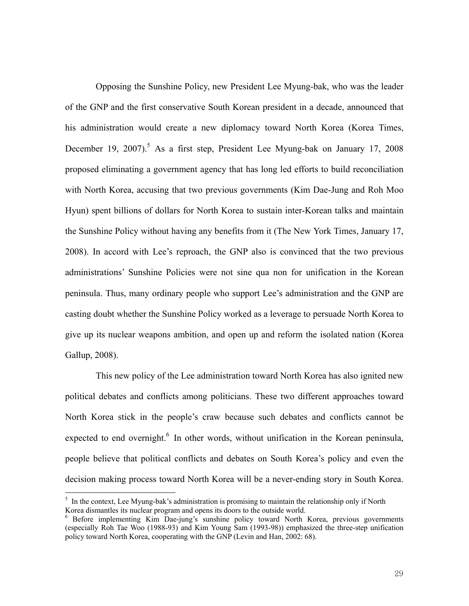Opposing the Sunshine Policy, new President Lee Myung-bak, who was the leader of the GNP and the first conservative South Korean president in a decade, announced that his administration would create a new diplomacy toward North Korea (Korea Times, December 19, 2007).<sup>5</sup> As a first step, President Lee Myung-bak on January 17, 2008 proposed eliminating a government agency that has long led efforts to build reconciliation with North Korea, accusing that two previous governments (Kim Dae-Jung and Roh Moo Hyun) spent billions of dollars for North Korea to sustain inter-Korean talks and maintain the Sunshine Policy without having any benefits from it (The New York Times, January 17, 2008). In accord with Lee's reproach, the GNP also is convinced that the two previous administrations' Sunshine Policies were not sine qua non for unification in the Korean peninsula. Thus, many ordinary people who support Lee's administration and the GNP are casting doubt whether the Sunshine Policy worked as a leverage to persuade North Korea to give up its nuclear weapons ambition, and open up and reform the isolated nation (Korea Gallup, 2008).

This new policy of the Lee administration toward North Korea has also ignited new political debates and conflicts among politicians. These two different approaches toward North Korea stick in the people's craw because such debates and conflicts cannot be expected to end overnight.<sup>6</sup> In other words, without unification in the Korean peninsula, people believe that political conflicts and debates on South Korea's policy and even the decision making process toward North Korea will be a never-ending story in South Korea.

<sup>&</sup>lt;sup>5</sup> In the context, Lee Myung-bak's administration is promising to maintain the relationship only if North Korea dismantles its nuclear program and opens its doors to the outside world.<br><sup>6</sup> Before implementing Kim Dae-jung's sunshine policy toward North Korea, previous governments

<sup>(</sup>especially Roh Tae Woo (1988-93) and Kim Young Sam (1993-98)) emphasized the three-step unification policy toward North Korea, cooperating with the GNP (Levin and Han, 2002: 68).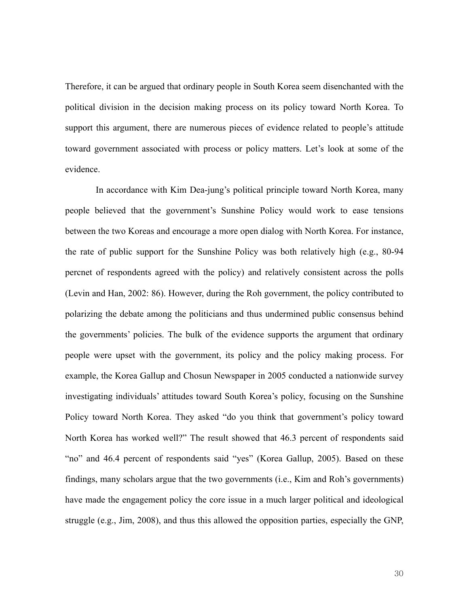Therefore, it can be argued that ordinary people in South Korea seem disenchanted with the political division in the decision making process on its policy toward North Korea. To support this argument, there are numerous pieces of evidence related to people's attitude toward government associated with process or policy matters. Let's look at some of the evidence.

In accordance with Kim Dea-jung's political principle toward North Korea, many people believed that the government's Sunshine Policy would work to ease tensions between the two Koreas and encourage a more open dialog with North Korea. For instance, the rate of public support for the Sunshine Policy was both relatively high (e.g., 80-94 percnet of respondents agreed with the policy) and relatively consistent across the polls (Levin and Han, 2002: 86). However, during the Roh government, the policy contributed to polarizing the debate among the politicians and thus undermined public consensus behind the governments' policies. The bulk of the evidence supports the argument that ordinary people were upset with the government, its policy and the policy making process. For example, the Korea Gallup and Chosun Newspaper in 2005 conducted a nationwide survey investigating individuals' attitudes toward South Korea's policy, focusing on the Sunshine Policy toward North Korea. They asked "do you think that government's policy toward North Korea has worked well?" The result showed that 46.3 percent of respondents said "no" and 46.4 percent of respondents said "yes" (Korea Gallup, 2005). Based on these findings, many scholars argue that the two governments (i.e., Kim and Roh's governments) have made the engagement policy the core issue in a much larger political and ideological struggle (e.g., Jim, 2008), and thus this allowed the opposition parties, especially the GNP,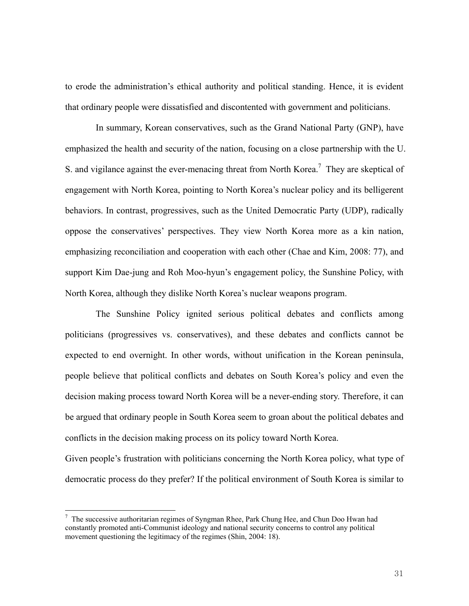to erode the administration's ethical authority and political standing. Hence, it is evident that ordinary people were dissatisfied and discontented with government and politicians.

In summary, Korean conservatives, such as the Grand National Party (GNP), have emphasized the health and security of the nation, focusing on a close partnership with the U. S. and vigilance against the ever-menacing threat from North Korea.<sup>7</sup> They are skeptical of engagement with North Korea, pointing to North Korea's nuclear policy and its belligerent behaviors. In contrast, progressives, such as the United Democratic Party (UDP), radically oppose the conservatives' perspectives. They view North Korea more as a kin nation, emphasizing reconciliation and cooperation with each other (Chae and Kim, 2008: 77), and support Kim Dae-jung and Roh Moo-hyun's engagement policy, the Sunshine Policy, with North Korea, although they dislike North Korea's nuclear weapons program.

The Sunshine Policy ignited serious political debates and conflicts among politicians (progressives vs. conservatives), and these debates and conflicts cannot be expected to end overnight. In other words, without unification in the Korean peninsula, people believe that political conflicts and debates on South Korea's policy and even the decision making process toward North Korea will be a never-ending story. Therefore, it can be argued that ordinary people in South Korea seem to groan about the political debates and conflicts in the decision making process on its policy toward North Korea.

Given people's frustration with politicians concerning the North Korea policy, what type of democratic process do they prefer? If the political environment of South Korea is similar to

 $7$  The successive authoritarian regimes of Syngman Rhee, Park Chung Hee, and Chun Doo Hwan had constantly promoted anti-Communist ideology and national security concerns to control any political movement questioning the legitimacy of the regimes (Shin, 2004: 18).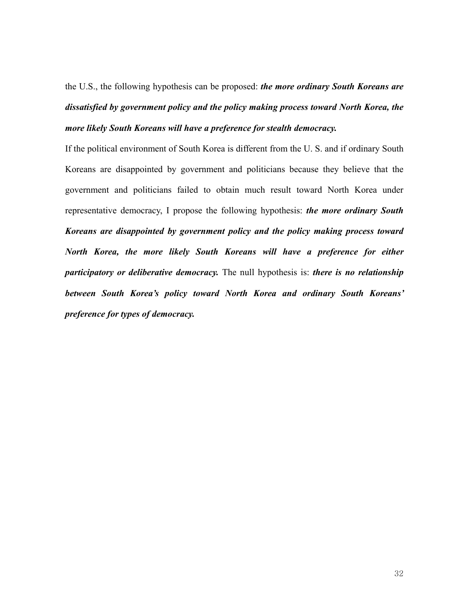the U.S., the following hypothesis can be proposed: *the more ordinary South Koreans are dissatisfied by government policy and the policy making process toward North Korea, the more likely South Koreans will have a preference for stealth democracy.*

If the political environment of South Korea is different from the U. S. and if ordinary South Koreans are disappointed by government and politicians because they believe that the government and politicians failed to obtain much result toward North Korea under representative democracy, I propose the following hypothesis: *the more ordinary South Koreans are disappointed by government policy and the policy making process toward North Korea, the more likely South Koreans will have a preference for either participatory or deliberative democracy.* The null hypothesis is: *there is no relationship between South Korea's policy toward North Korea and ordinary South Koreans' preference for types of democracy.*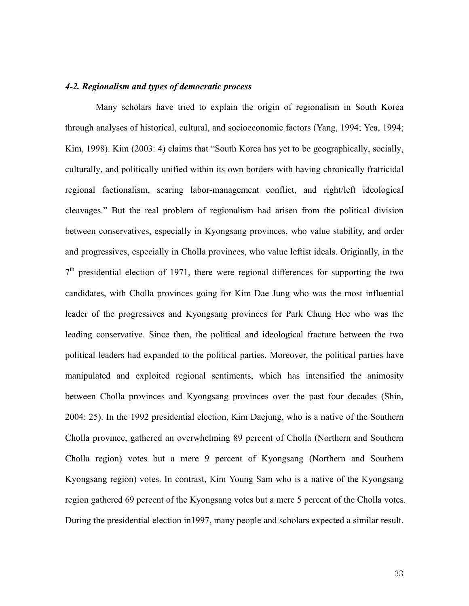### *4-2. Regionalism and types of democratic process*

Many scholars have tried to explain the origin of regionalism in South Korea through analyses of historical, cultural, and socioeconomic factors (Yang, 1994; Yea, 1994; Kim, 1998). Kim (2003: 4) claims that "South Korea has yet to be geographically, socially, culturally, and politically unified within its own borders with having chronically fratricidal regional factionalism, searing labor-management conflict, and right/left ideological cleavages." But the real problem of regionalism had arisen from the political division between conservatives, especially in Kyongsang provinces, who value stability, and order and progressives, especially in Cholla provinces, who value leftist ideals. Originally, in the  $7<sup>th</sup>$  presidential election of 1971, there were regional differences for supporting the two candidates, with Cholla provinces going for Kim Dae Jung who was the most influential leader of the progressives and Kyongsang provinces for Park Chung Hee who was the leading conservative. Since then, the political and ideological fracture between the two political leaders had expanded to the political parties. Moreover, the political parties have manipulated and exploited regional sentiments, which has intensified the animosity between Cholla provinces and Kyongsang provinces over the past four decades (Shin, 2004: 25). In the 1992 presidential election, Kim Daejung, who is a native of the Southern Cholla province, gathered an overwhelming 89 percent of Cholla (Northern and Southern Cholla region) votes but a mere 9 percent of Kyongsang (Northern and Southern Kyongsang region) votes. In contrast, Kim Young Sam who is a native of the Kyongsang region gathered 69 percent of the Kyongsang votes but a mere 5 percent of the Cholla votes. During the presidential election in1997, many people and scholars expected a similar result.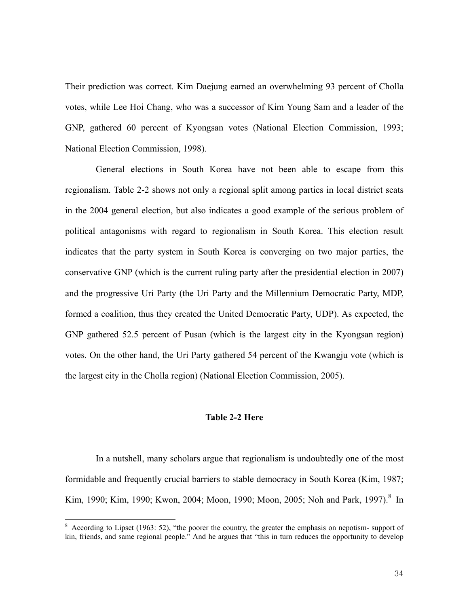Their prediction was correct. Kim Daejung earned an overwhelming 93 percent of Cholla votes, while Lee Hoi Chang, who was a successor of Kim Young Sam and a leader of the GNP, gathered 60 percent of Kyongsan votes (National Election Commission, 1993; National Election Commission, 1998).

General elections in South Korea have not been able to escape from this regionalism. Table 2-2 shows not only a regional split among parties in local district seats in the 2004 general election, but also indicates a good example of the serious problem of political antagonisms with regard to regionalism in South Korea. This election result indicates that the party system in South Korea is converging on two major parties, the conservative GNP (which is the current ruling party after the presidential election in 2007) and the progressive Uri Party (the Uri Party and the Millennium Democratic Party, MDP, formed a coalition, thus they created the United Democratic Party, UDP). As expected, the GNP gathered 52.5 percent of Pusan (which is the largest city in the Kyongsan region) votes. On the other hand, the Uri Party gathered 54 percent of the Kwangju vote (which is the largest city in the Cholla region) (National Election Commission, 2005).

# **Table 2-2 Here**

In a nutshell, many scholars argue that regionalism is undoubtedly one of the most formidable and frequently crucial barriers to stable democracy in South Korea (Kim, 1987; Kim, 1990; Kim, 1990; Kwon, 2004; Moon, 1990; Moon, 2005; Noh and Park, 1997).<sup>8</sup> In

<sup>&</sup>lt;sup>8</sup> According to Lipset (1963: 52), "the poorer the country, the greater the emphasis on nepotism- support of kin, friends, and same regional people." And he argues that "this in turn reduces the opportunity to develop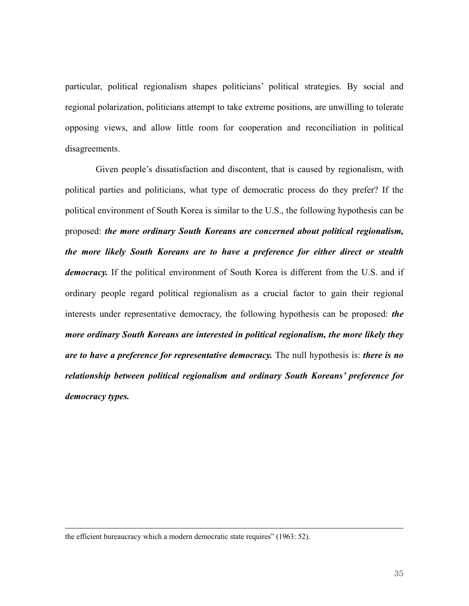particular, political regionalism shapes politicians' political strategies. By social and regional polarization, politicians attempt to take extreme positions, are unwilling to tolerate opposing views, and allow little room for cooperation and reconciliation in political disagreements.

Given people's dissatisfaction and discontent, that is caused by regionalism, with political parties and politicians, what type of democratic process do they prefer? If the political environment of South Korea is similar to the U.S., the following hypothesis can be proposed: *the more ordinary South Koreans are concerned about political regionalism, the more likely South Koreans are to have a preference for either direct or stealth democracy.* If the political environment of South Korea is different from the U.S. and if ordinary people regard political regionalism as a crucial factor to gain their regional interests under representative democracy, the following hypothesis can be proposed: *the more ordinary South Koreans are interested in political regionalism, the more likely they are to have a preference for representative democracy.* The null hypothesis is: *there is no relationship between political regionalism and ordinary South Koreans' preference for democracy types.*

the efficient bureaucracy which a modern democratic state requires" (1963: 52).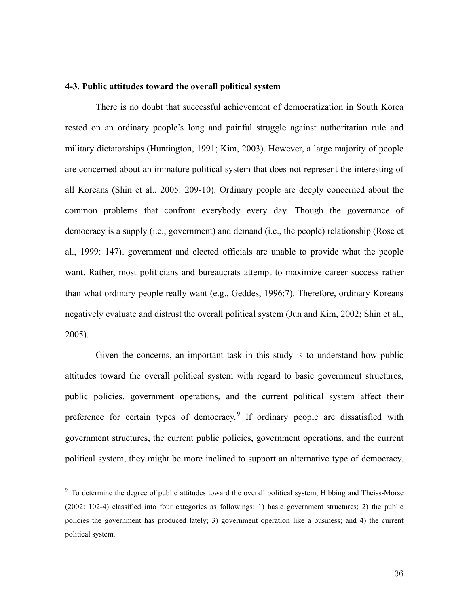### **4-3. Public attitudes toward the overall political system**

 There is no doubt that successful achievement of democratization in South Korea rested on an ordinary people's long and painful struggle against authoritarian rule and military dictatorships (Huntington, 1991; Kim, 2003). However, a large majority of people are concerned about an immature political system that does not represent the interesting of all Koreans (Shin et al., 2005: 209-10). Ordinary people are deeply concerned about the common problems that confront everybody every day. Though the governance of democracy is a supply (i.e., government) and demand (i.e., the people) relationship (Rose et al., 1999: 147), government and elected officials are unable to provide what the people want. Rather, most politicians and bureaucrats attempt to maximize career success rather than what ordinary people really want (e.g., Geddes, 1996:7). Therefore, ordinary Koreans negatively evaluate and distrust the overall political system (Jun and Kim, 2002; Shin et al., 2005).

Given the concerns, an important task in this study is to understand how public attitudes toward the overall political system with regard to basic government structures, public policies, government operations, and the current political system affect their preference for certain types of democracy.<sup>9</sup> If ordinary people are dissatisfied with government structures, the current public policies, government operations, and the current political system, they might be more inclined to support an alternative type of democracy.

<sup>&</sup>lt;sup>9</sup> To determine the degree of public attitudes toward the overall political system, Hibbing and Theiss-Morse (2002: 102-4) classified into four categories as followings: 1) basic government structures; 2) the public policies the government has produced lately; 3) government operation like a business; and 4) the current political system.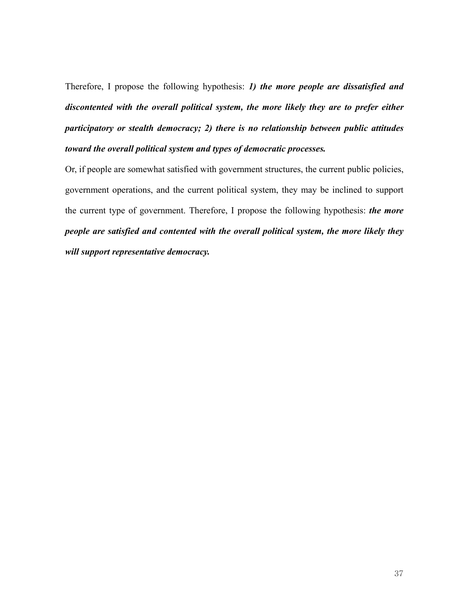Therefore, I propose the following hypothesis: *1) the more people are dissatisfied and discontented with the overall political system, the more likely they are to prefer either participatory or stealth democracy; 2) there is no relationship between public attitudes toward the overall political system and types of democratic processes.*

Or, if people are somewhat satisfied with government structures, the current public policies, government operations, and the current political system, they may be inclined to support the current type of government. Therefore, I propose the following hypothesis: *the more people are satisfied and contented with the overall political system, the more likely they will support representative democracy.*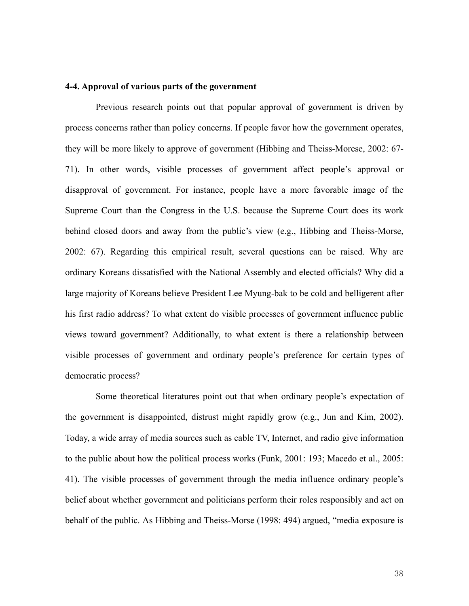### **4-4. Approval of various parts of the government**

Previous research points out that popular approval of government is driven by process concerns rather than policy concerns. If people favor how the government operates, they will be more likely to approve of government (Hibbing and Theiss-Morese, 2002: 67- 71). In other words, visible processes of government affect people's approval or disapproval of government. For instance, people have a more favorable image of the Supreme Court than the Congress in the U.S. because the Supreme Court does its work behind closed doors and away from the public's view (e.g., Hibbing and Theiss-Morse, 2002: 67). Regarding this empirical result, several questions can be raised. Why are ordinary Koreans dissatisfied with the National Assembly and elected officials? Why did a large majority of Koreans believe President Lee Myung-bak to be cold and belligerent after his first radio address? To what extent do visible processes of government influence public views toward government? Additionally, to what extent is there a relationship between visible processes of government and ordinary people's preference for certain types of democratic process?

Some theoretical literatures point out that when ordinary people's expectation of the government is disappointed, distrust might rapidly grow (e.g., Jun and Kim, 2002). Today, a wide array of media sources such as cable TV, Internet, and radio give information to the public about how the political process works (Funk, 2001: 193; Macedo et al., 2005: 41). The visible processes of government through the media influence ordinary people's belief about whether government and politicians perform their roles responsibly and act on behalf of the public. As Hibbing and Theiss-Morse (1998: 494) argued, "media exposure is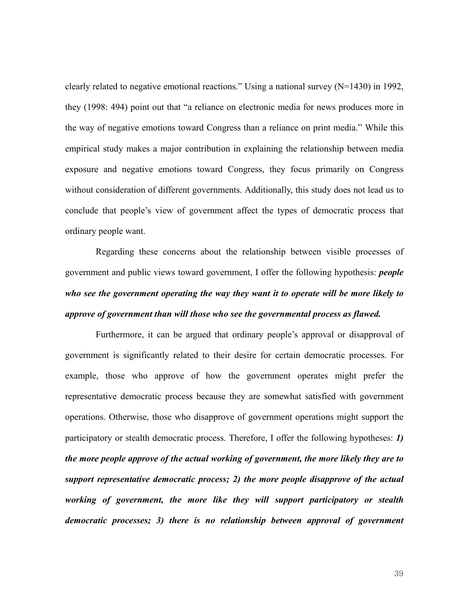clearly related to negative emotional reactions." Using a national survey (N=1430) in 1992, they (1998: 494) point out that "a reliance on electronic media for news produces more in the way of negative emotions toward Congress than a reliance on print media." While this empirical study makes a major contribution in explaining the relationship between media exposure and negative emotions toward Congress, they focus primarily on Congress without consideration of different governments. Additionally, this study does not lead us to conclude that people's view of government affect the types of democratic process that ordinary people want.

Regarding these concerns about the relationship between visible processes of government and public views toward government, I offer the following hypothesis: *people who see the government operating the way they want it to operate will be more likely to approve of government than will those who see the governmental process as flawed.* 

Furthermore, it can be argued that ordinary people's approval or disapproval of government is significantly related to their desire for certain democratic processes. For example, those who approve of how the government operates might prefer the representative democratic process because they are somewhat satisfied with government operations. Otherwise, those who disapprove of government operations might support the participatory or stealth democratic process. Therefore, I offer the following hypotheses: *1) the more people approve of the actual working of government, the more likely they are to support representative democratic process; 2) the more people disapprove of the actual working of government, the more like they will support participatory or stealth democratic processes; 3) there is no relationship between approval of government*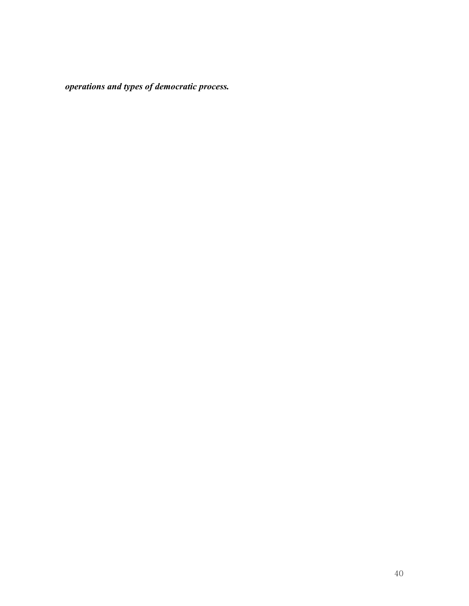*operations and types of democratic process.*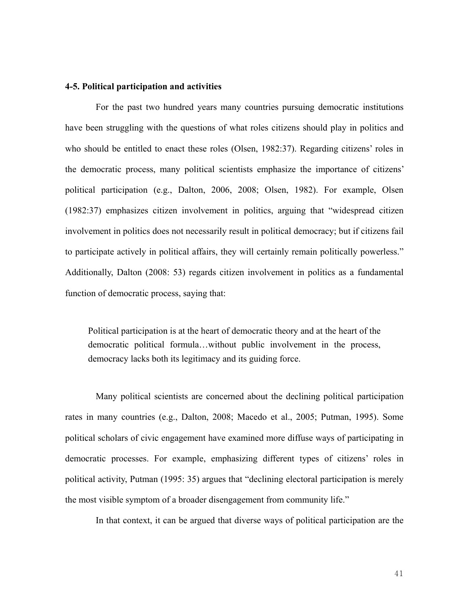### **4-5. Political participation and activities**

For the past two hundred years many countries pursuing democratic institutions have been struggling with the questions of what roles citizens should play in politics and who should be entitled to enact these roles (Olsen, 1982:37). Regarding citizens' roles in the democratic process, many political scientists emphasize the importance of citizens' political participation (e.g., Dalton, 2006, 2008; Olsen, 1982). For example, Olsen (1982:37) emphasizes citizen involvement in politics, arguing that "widespread citizen involvement in politics does not necessarily result in political democracy; but if citizens fail to participate actively in political affairs, they will certainly remain politically powerless." Additionally, Dalton (2008: 53) regards citizen involvement in politics as a fundamental function of democratic process, saying that:

Political participation is at the heart of democratic theory and at the heart of the democratic political formula…without public involvement in the process, democracy lacks both its legitimacy and its guiding force.

Many political scientists are concerned about the declining political participation rates in many countries (e.g., Dalton, 2008; Macedo et al., 2005; Putman, 1995). Some political scholars of civic engagement have examined more diffuse ways of participating in democratic processes. For example, emphasizing different types of citizens' roles in political activity, Putman (1995: 35) argues that "declining electoral participation is merely the most visible symptom of a broader disengagement from community life."

In that context, it can be argued that diverse ways of political participation are the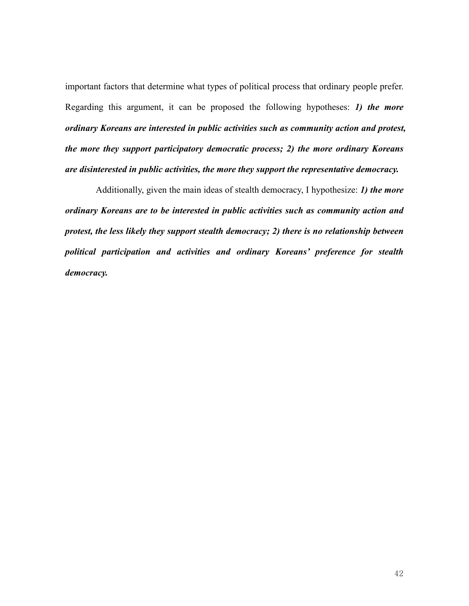important factors that determine what types of political process that ordinary people prefer. Regarding this argument, it can be proposed the following hypotheses: *1) the more ordinary Koreans are interested in public activities such as community action and protest, the more they support participatory democratic process; 2) the more ordinary Koreans are disinterested in public activities, the more they support the representative democracy.* 

Additionally, given the main ideas of stealth democracy, I hypothesize: *1) the more ordinary Koreans are to be interested in public activities such as community action and protest, the less likely they support stealth democracy; 2) there is no relationship between political participation and activities and ordinary Koreans' preference for stealth democracy.*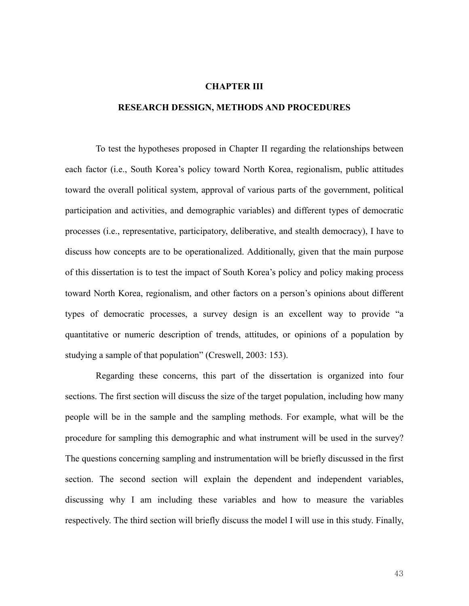#### **CHAPTER III**

### **RESEARCH DESSIGN, METHODS AND PROCEDURES**

To test the hypotheses proposed in Chapter II regarding the relationships between each factor (i.e., South Korea's policy toward North Korea, regionalism, public attitudes toward the overall political system, approval of various parts of the government, political participation and activities, and demographic variables) and different types of democratic processes (i.e., representative, participatory, deliberative, and stealth democracy), I have to discuss how concepts are to be operationalized. Additionally, given that the main purpose of this dissertation is to test the impact of South Korea's policy and policy making process toward North Korea, regionalism, and other factors on a person's opinions about different types of democratic processes, a survey design is an excellent way to provide "a quantitative or numeric description of trends, attitudes, or opinions of a population by studying a sample of that population" (Creswell, 2003: 153).

Regarding these concerns, this part of the dissertation is organized into four sections. The first section will discuss the size of the target population, including how many people will be in the sample and the sampling methods. For example, what will be the procedure for sampling this demographic and what instrument will be used in the survey? The questions concerning sampling and instrumentation will be briefly discussed in the first section. The second section will explain the dependent and independent variables, discussing why I am including these variables and how to measure the variables respectively. The third section will briefly discuss the model I will use in this study. Finally,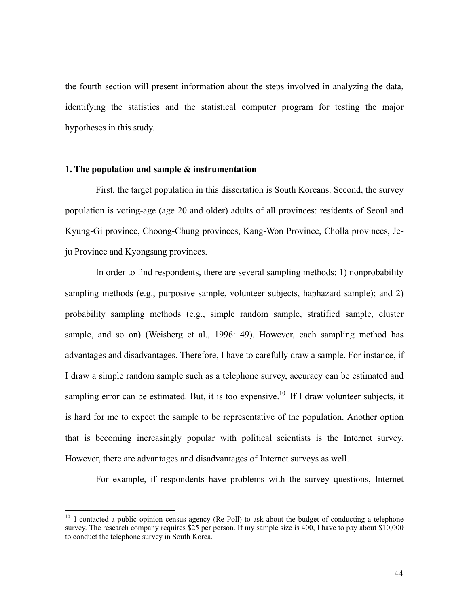the fourth section will present information about the steps involved in analyzing the data, identifying the statistics and the statistical computer program for testing the major hypotheses in this study.

### **1. The population and sample & instrumentation**

 $\overline{a}$ 

First, the target population in this dissertation is South Koreans. Second, the survey population is voting-age (age 20 and older) adults of all provinces: residents of Seoul and Kyung-Gi province, Choong-Chung provinces, Kang-Won Province, Cholla provinces, Jeju Province and Kyongsang provinces.

In order to find respondents, there are several sampling methods: 1) nonprobability sampling methods (e.g., purposive sample, volunteer subjects, haphazard sample); and 2) probability sampling methods (e.g., simple random sample, stratified sample, cluster sample, and so on) (Weisberg et al., 1996: 49). However, each sampling method has advantages and disadvantages. Therefore, I have to carefully draw a sample. For instance, if I draw a simple random sample such as a telephone survey, accuracy can be estimated and sampling error can be estimated. But, it is too expensive.<sup>10</sup> If I draw volunteer subjects, it is hard for me to expect the sample to be representative of the population. Another option that is becoming increasingly popular with political scientists is the Internet survey. However, there are advantages and disadvantages of Internet surveys as well.

For example, if respondents have problems with the survey questions, Internet

 $10\,$  I contacted a public opinion census agency (Re-Poll) to ask about the budget of conducting a telephone survey. The research company requires \$25 per person. If my sample size is 400, I have to pay about \$10,000 to conduct the telephone survey in South Korea.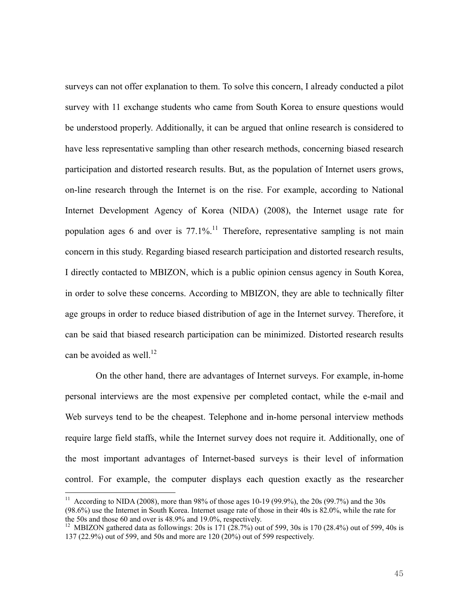surveys can not offer explanation to them. To solve this concern, I already conducted a pilot survey with 11 exchange students who came from South Korea to ensure questions would be understood properly. Additionally, it can be argued that online research is considered to have less representative sampling than other research methods, concerning biased research participation and distorted research results. But, as the population of Internet users grows, on-line research through the Internet is on the rise. For example, according to National Internet Development Agency of Korea (NIDA) (2008), the Internet usage rate for population ages 6 and over is  $77.1\%$ .<sup>11</sup> Therefore, representative sampling is not main concern in this study. Regarding biased research participation and distorted research results, I directly contacted to MBIZON, which is a public opinion census agency in South Korea, in order to solve these concerns. According to MBIZON, they are able to technically filter age groups in order to reduce biased distribution of age in the Internet survey. Therefore, it can be said that biased research participation can be minimized. Distorted research results can be avoided as well.<sup>12</sup>

On the other hand, there are advantages of Internet surveys. For example, in-home personal interviews are the most expensive per completed contact, while the e-mail and Web surveys tend to be the cheapest. Telephone and in-home personal interview methods require large field staffs, while the Internet survey does not require it. Additionally, one of the most important advantages of Internet-based surveys is their level of information control. For example, the computer displays each question exactly as the researcher

<sup>&</sup>lt;sup>11</sup> According to NIDA (2008), more than 98% of those ages 10-19 (99.9%), the 20s (99.7%) and the 30s (98.6%) use the Internet in South Korea. Internet usage rate of those in their 40s is 82.0%, while the rate for the 50s and those 60 and over is 48.9% and 19.0%, respectively.

<sup>&</sup>lt;sup>12</sup> MBIZON gathered data as followings: 20s is 171 (28.7%) out of 599, 30s is 170 (28.4%) out of 599, 40s is 137 (22.9%) out of 599, and 50s and more are 120 (20%) out of 599 respectively.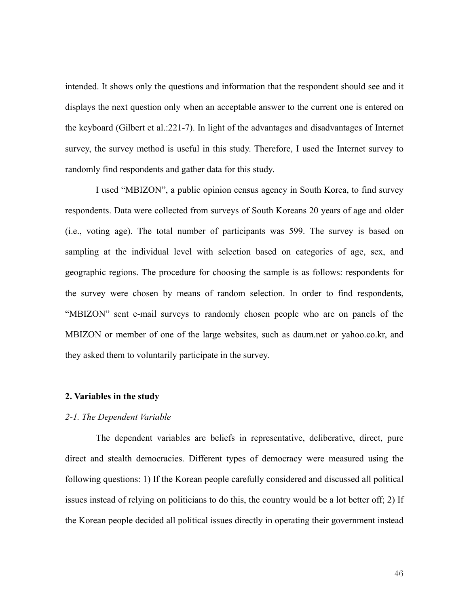intended. It shows only the questions and information that the respondent should see and it displays the next question only when an acceptable answer to the current one is entered on the keyboard (Gilbert et al.:221-7). In light of the advantages and disadvantages of Internet survey, the survey method is useful in this study. Therefore, I used the Internet survey to randomly find respondents and gather data for this study.

I used "MBIZON", a public opinion census agency in South Korea, to find survey respondents. Data were collected from surveys of South Koreans 20 years of age and older (i.e., voting age). The total number of participants was 599. The survey is based on sampling at the individual level with selection based on categories of age, sex, and geographic regions. The procedure for choosing the sample is as follows: respondents for the survey were chosen by means of random selection. In order to find respondents, "MBIZON" sent e-mail surveys to randomly chosen people who are on panels of the MBIZON or member of one of the large websites, such as daum.net or yahoo.co.kr, and they asked them to voluntarily participate in the survey.

### **2. Variables in the study**

### *2-1. The Dependent Variable*

The dependent variables are beliefs in representative, deliberative, direct, pure direct and stealth democracies. Different types of democracy were measured using the following questions: 1) If the Korean people carefully considered and discussed all political issues instead of relying on politicians to do this, the country would be a lot better off; 2) If the Korean people decided all political issues directly in operating their government instead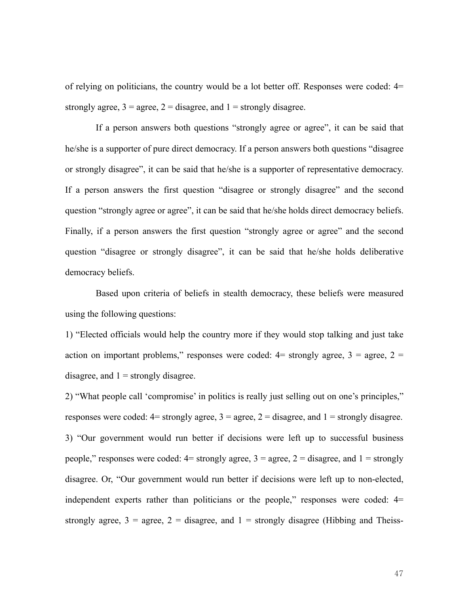of relying on politicians, the country would be a lot better off. Responses were coded:  $4=$ strongly agree,  $3 = \text{agree}$ ,  $2 = \text{disagree}$ , and  $1 = \text{strongly disagree}$ .

If a person answers both questions "strongly agree or agree", it can be said that he/she is a supporter of pure direct democracy. If a person answers both questions "disagree or strongly disagree", it can be said that he/she is a supporter of representative democracy. If a person answers the first question "disagree or strongly disagree" and the second question "strongly agree or agree", it can be said that he/she holds direct democracy beliefs. Finally, if a person answers the first question "strongly agree or agree" and the second question "disagree or strongly disagree", it can be said that he/she holds deliberative democracy beliefs.

Based upon criteria of beliefs in stealth democracy, these beliefs were measured using the following questions:

1) "Elected officials would help the country more if they would stop talking and just take action on important problems," responses were coded:  $4=$  strongly agree,  $3=$  agree,  $2=$ disagree, and  $1 =$  strongly disagree.

2) "What people call 'compromise' in politics is really just selling out on one's principles," responses were coded:  $4=$  strongly agree,  $3=$  agree,  $2=$  disagree, and  $1=$  strongly disagree. 3) "Our government would run better if decisions were left up to successful business people," responses were coded:  $4=$  strongly agree,  $3=$  agree,  $2=$  disagree, and  $1=$  strongly disagree. Or, "Our government would run better if decisions were left up to non-elected, independent experts rather than politicians or the people," responses were coded: 4= strongly agree,  $3 =$  agree,  $2 =$  disagree, and  $1 =$  strongly disagree (Hibbing and Theiss-

47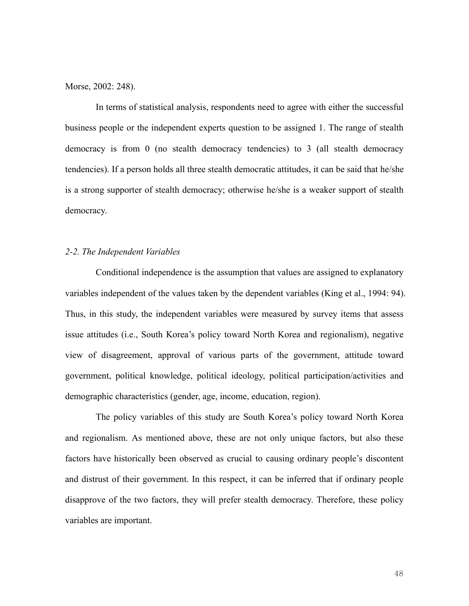Morse, 2002: 248).

In terms of statistical analysis, respondents need to agree with either the successful business people or the independent experts question to be assigned 1. The range of stealth democracy is from 0 (no stealth democracy tendencies) to 3 (all stealth democracy tendencies). If a person holds all three stealth democratic attitudes, it can be said that he/she is a strong supporter of stealth democracy; otherwise he/she is a weaker support of stealth democracy.

### *2-2. The Independent Variables*

 Conditional independence is the assumption that values are assigned to explanatory variables independent of the values taken by the dependent variables (King et al., 1994: 94). Thus, in this study, the independent variables were measured by survey items that assess issue attitudes (i.e., South Korea's policy toward North Korea and regionalism), negative view of disagreement, approval of various parts of the government, attitude toward government, political knowledge, political ideology, political participation/activities and demographic characteristics (gender, age, income, education, region).

 The policy variables of this study are South Korea's policy toward North Korea and regionalism. As mentioned above, these are not only unique factors, but also these factors have historically been observed as crucial to causing ordinary people's discontent and distrust of their government. In this respect, it can be inferred that if ordinary people disapprove of the two factors, they will prefer stealth democracy. Therefore, these policy variables are important.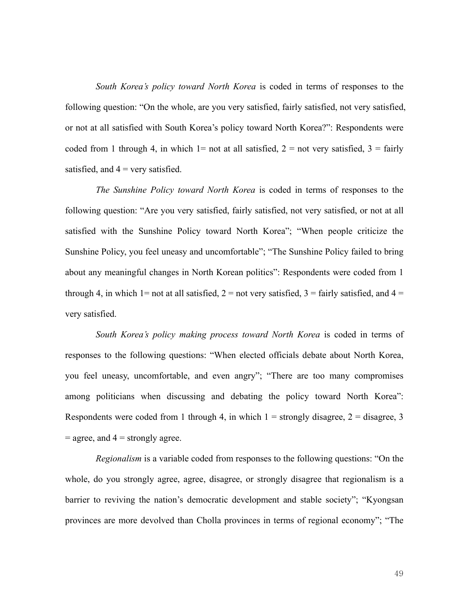*South Korea's policy toward North Korea* is coded in terms of responses to the following question: "On the whole, are you very satisfied, fairly satisfied, not very satisfied, or not at all satisfied with South Korea's policy toward North Korea?": Respondents were coded from 1 through 4, in which  $1=$  not at all satisfied,  $2=$  not very satisfied,  $3=$  fairly satisfied, and  $4 = \text{very satisfied.}$ 

*The Sunshine Policy toward North Korea* is coded in terms of responses to the following question: "Are you very satisfied, fairly satisfied, not very satisfied, or not at all satisfied with the Sunshine Policy toward North Korea"; "When people criticize the Sunshine Policy, you feel uneasy and uncomfortable"; "The Sunshine Policy failed to bring about any meaningful changes in North Korean politics": Respondents were coded from 1 through 4, in which 1= not at all satisfied,  $2 =$  not very satisfied,  $3 =$  fairly satisfied, and  $4 =$ very satisfied.

*South Korea's policy making process toward North Korea* is coded in terms of responses to the following questions: "When elected officials debate about North Korea, you feel uneasy, uncomfortable, and even angry"; "There are too many compromises among politicians when discussing and debating the policy toward North Korea": Respondents were coded from 1 through 4, in which  $1 =$  strongly disagree,  $2 =$  disagree, 3  $=$  agree, and  $4 =$  strongly agree.

*Regionalism* is a variable coded from responses to the following questions: "On the whole, do you strongly agree, agree, disagree, or strongly disagree that regionalism is a barrier to reviving the nation's democratic development and stable society"; "Kyongsan provinces are more devolved than Cholla provinces in terms of regional economy"; "The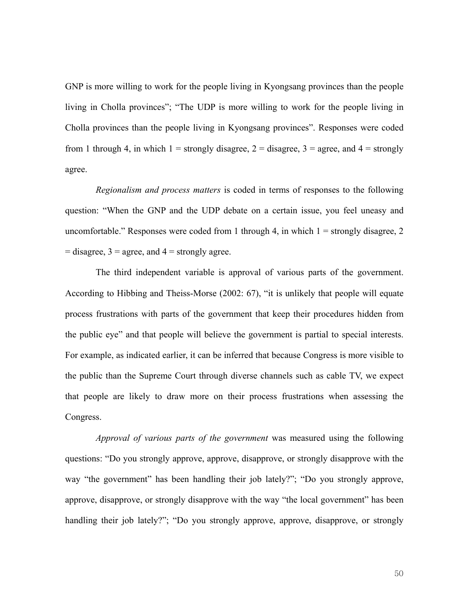GNP is more willing to work for the people living in Kyongsang provinces than the people living in Cholla provinces"; "The UDP is more willing to work for the people living in Cholla provinces than the people living in Kyongsang provinces". Responses were coded from 1 through 4, in which  $1 =$  strongly disagree,  $2 =$  disagree,  $3 =$  agree, and  $4 =$  strongly agree.

*Regionalism and process matters* is coded in terms of responses to the following question: "When the GNP and the UDP debate on a certain issue, you feel uneasy and uncomfortable." Responses were coded from 1 through 4, in which  $1 =$  strongly disagree, 2  $=$  disagree, 3  $=$  agree, and 4  $=$  strongly agree.

The third independent variable is approval of various parts of the government. According to Hibbing and Theiss-Morse (2002: 67), "it is unlikely that people will equate process frustrations with parts of the government that keep their procedures hidden from the public eye" and that people will believe the government is partial to special interests. For example, as indicated earlier, it can be inferred that because Congress is more visible to the public than the Supreme Court through diverse channels such as cable TV, we expect that people are likely to draw more on their process frustrations when assessing the Congress.

*Approval of various parts of the government* was measured using the following questions: "Do you strongly approve, approve, disapprove, or strongly disapprove with the way "the government" has been handling their job lately?"; "Do you strongly approve, approve, disapprove, or strongly disapprove with the way "the local government" has been handling their job lately?"; "Do you strongly approve, approve, disapprove, or strongly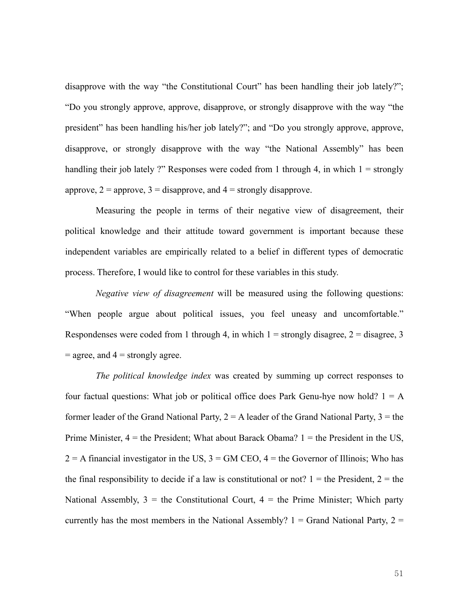disapprove with the way "the Constitutional Court" has been handling their job lately?"; "Do you strongly approve, approve, disapprove, or strongly disapprove with the way "the president" has been handling his/her job lately?"; and "Do you strongly approve, approve, disapprove, or strongly disapprove with the way "the National Assembly" has been handling their job lately ?" Responses were coded from 1 through 4, in which  $1 =$  strongly approve,  $2 =$  approve,  $3 =$  disapprove, and  $4 =$  strongly disapprove.

Measuring the people in terms of their negative view of disagreement, their political knowledge and their attitude toward government is important because these independent variables are empirically related to a belief in different types of democratic process. Therefore, I would like to control for these variables in this study.

*Negative view of disagreement* will be measured using the following questions: "When people argue about political issues, you feel uneasy and uncomfortable." Respondenses were coded from 1 through 4, in which  $1 =$  strongly disagree,  $2 =$  disagree, 3  $=$  agree, and  $4 =$  strongly agree.

*The political knowledge index* was created by summing up correct responses to four factual questions: What job or political office does Park Genu-hye now hold?  $1 = A$ former leader of the Grand National Party,  $2 = A$  leader of the Grand National Party,  $3 =$  the Prime Minister,  $4 =$  the President; What about Barack Obama?  $1 =$  the President in the US,  $2 = A$  financial investigator in the US,  $3 = GM$  CEO,  $4 =$  the Governor of Illinois; Who has the final responsibility to decide if a law is constitutional or not?  $1 =$  the President,  $2 =$  the National Assembly,  $3 =$  the Constitutional Court,  $4 =$  the Prime Minister; Which party currently has the most members in the National Assembly?  $1 =$  Grand National Party,  $2 =$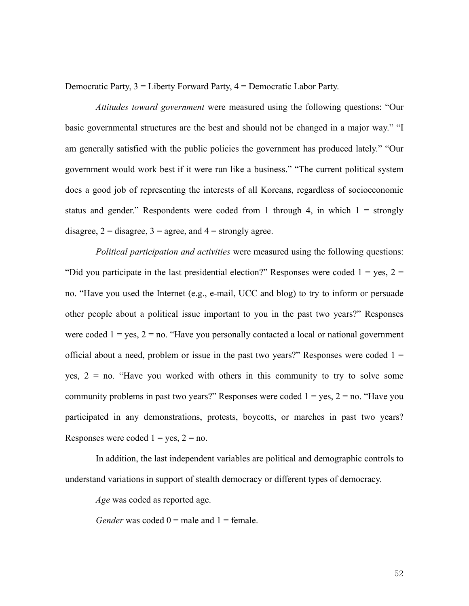Democratic Party, 3 = Liberty Forward Party, 4 = Democratic Labor Party.

*Attitudes toward government* were measured using the following questions: "Our basic governmental structures are the best and should not be changed in a major way." "I am generally satisfied with the public policies the government has produced lately." "Our government would work best if it were run like a business." "The current political system does a good job of representing the interests of all Koreans, regardless of socioeconomic status and gender." Respondents were coded from 1 through 4, in which  $1 =$  strongly disagree,  $2 =$  disagree,  $3 =$  agree, and  $4 =$  strongly agree.

*Political participation and activities* were measured using the following questions: "Did you participate in the last presidential election?" Responses were coded  $1 = yes$ ,  $2 =$ no. "Have you used the Internet (e.g., e-mail, UCC and blog) to try to inform or persuade other people about a political issue important to you in the past two years?" Responses were coded  $1 = yes$ ,  $2 = no$ . "Have you personally contacted a local or national government official about a need, problem or issue in the past two years?" Responses were coded  $1 =$ yes,  $2 = no$ . "Have you worked with others in this community to try to solve some community problems in past two years?" Responses were coded  $1 = yes$ ,  $2 = no$ . "Have you participated in any demonstrations, protests, boycotts, or marches in past two years? Responses were coded  $1 = yes$ ,  $2 = no$ .

In addition, the last independent variables are political and demographic controls to understand variations in support of stealth democracy or different types of democracy.

*Age* was coded as reported age.

*Gender* was coded  $0 =$  male and  $1 =$  female.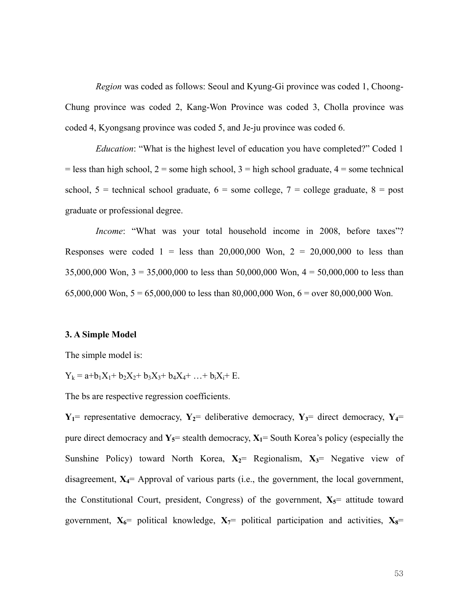*Region* was coded as follows: Seoul and Kyung-Gi province was coded 1, Choong-Chung province was coded 2, Kang-Won Province was coded 3, Cholla province was coded 4, Kyongsang province was coded 5, and Je-ju province was coded 6.

*Education*: "What is the highest level of education you have completed?" Coded 1  $=$  less than high school,  $2 =$  some high school,  $3 =$  high school graduate,  $4 =$  some technical school,  $5 =$  technical school graduate,  $6 =$  some college,  $7 =$  college graduate,  $8 =$  post graduate or professional degree.

*Income*: "What was your total household income in 2008, before taxes"? Responses were coded  $1 =$  less than 20,000,000 Won,  $2 = 20,000,000$  to less than 35,000,000 Won,  $3 = 35,000,000$  to less than 50,000,000 Won,  $4 = 50,000,000$  to less than 65,000,000 Won,  $5 = 65,000,000$  to less than 80,000,000 Won,  $6 =$  over 80,000,000 Won.

#### **3. A Simple Model**

The simple model is:

 $Y_k = a + b_1X_1 + b_2X_2 + b_3X_3 + b_4X_4 + ... + b_iX_i + E$ .

The bs are respective regression coefficients.

 $Y_1$ = representative democracy,  $Y_2$ = deliberative democracy,  $Y_3$ = direct democracy,  $Y_4$ = pure direct democracy and  $Y_5$ = stealth democracy,  $X_1$ = South Korea's policy (especially the Sunshine Policy) toward North Korea,  $X_2$ = Regionalism,  $X_3$ = Negative view of disagreement,  $X_4$ = Approval of various parts (i.e., the government, the local government, the Constitutional Court, president, Congress) of the government,  $X_5$ = attitude toward government,  $X_0$ = political knowledge,  $X_7$ = political participation and activities,  $X_8$ =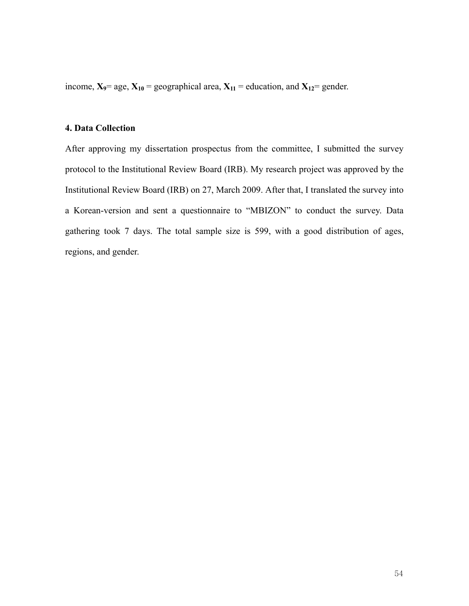income,  $X_9$ = age,  $X_{10}$  = geographical area,  $X_{11}$  = education, and  $X_{12}$ = gender.

# **4. Data Collection**

After approving my dissertation prospectus from the committee, I submitted the survey protocol to the Institutional Review Board (IRB). My research project was approved by the Institutional Review Board (IRB) on 27, March 2009. After that, I translated the survey into a Korean-version and sent a questionnaire to "MBIZON" to conduct the survey. Data gathering took 7 days. The total sample size is 599, with a good distribution of ages, regions, and gender.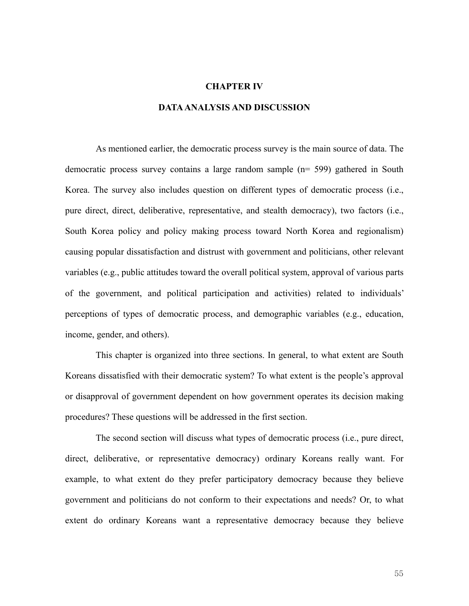#### **CHAPTER IV**

# **DATA ANALYSIS AND DISCUSSION**

As mentioned earlier, the democratic process survey is the main source of data. The democratic process survey contains a large random sample (n= 599) gathered in South Korea. The survey also includes question on different types of democratic process (i.e., pure direct, direct, deliberative, representative, and stealth democracy), two factors (i.e., South Korea policy and policy making process toward North Korea and regionalism) causing popular dissatisfaction and distrust with government and politicians, other relevant variables (e.g., public attitudes toward the overall political system, approval of various parts of the government, and political participation and activities) related to individuals' perceptions of types of democratic process, and demographic variables (e.g., education, income, gender, and others).

This chapter is organized into three sections. In general, to what extent are South Koreans dissatisfied with their democratic system? To what extent is the people's approval or disapproval of government dependent on how government operates its decision making procedures? These questions will be addressed in the first section.

The second section will discuss what types of democratic process (i.e., pure direct, direct, deliberative, or representative democracy) ordinary Koreans really want. For example, to what extent do they prefer participatory democracy because they believe government and politicians do not conform to their expectations and needs? Or, to what extent do ordinary Koreans want a representative democracy because they believe

55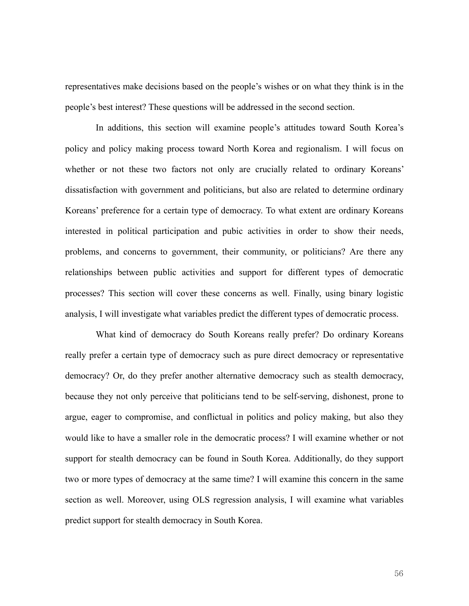representatives make decisions based on the people's wishes or on what they think is in the people's best interest? These questions will be addressed in the second section.

In additions, this section will examine people's attitudes toward South Korea's policy and policy making process toward North Korea and regionalism. I will focus on whether or not these two factors not only are crucially related to ordinary Koreans' dissatisfaction with government and politicians, but also are related to determine ordinary Koreans' preference for a certain type of democracy. To what extent are ordinary Koreans interested in political participation and pubic activities in order to show their needs, problems, and concerns to government, their community, or politicians? Are there any relationships between public activities and support for different types of democratic processes? This section will cover these concerns as well. Finally, using binary logistic analysis, I will investigate what variables predict the different types of democratic process.

What kind of democracy do South Koreans really prefer? Do ordinary Koreans really prefer a certain type of democracy such as pure direct democracy or representative democracy? Or, do they prefer another alternative democracy such as stealth democracy, because they not only perceive that politicians tend to be self-serving, dishonest, prone to argue, eager to compromise, and conflictual in politics and policy making, but also they would like to have a smaller role in the democratic process? I will examine whether or not support for stealth democracy can be found in South Korea. Additionally, do they support two or more types of democracy at the same time? I will examine this concern in the same section as well. Moreover, using OLS regression analysis, I will examine what variables predict support for stealth democracy in South Korea.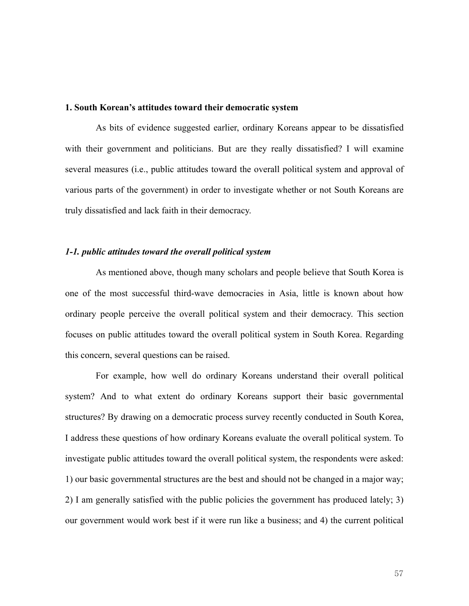#### **1. South Korean's attitudes toward their democratic system**

 As bits of evidence suggested earlier, ordinary Koreans appear to be dissatisfied with their government and politicians. But are they really dissatisfied? I will examine several measures (i.e., public attitudes toward the overall political system and approval of various parts of the government) in order to investigate whether or not South Koreans are truly dissatisfied and lack faith in their democracy.

# *1-1. public attitudes toward the overall political system*

As mentioned above, though many scholars and people believe that South Korea is one of the most successful third-wave democracies in Asia, little is known about how ordinary people perceive the overall political system and their democracy. This section focuses on public attitudes toward the overall political system in South Korea. Regarding this concern, several questions can be raised.

For example, how well do ordinary Koreans understand their overall political system? And to what extent do ordinary Koreans support their basic governmental structures? By drawing on a democratic process survey recently conducted in South Korea, I address these questions of how ordinary Koreans evaluate the overall political system. To investigate public attitudes toward the overall political system, the respondents were asked: 1) our basic governmental structures are the best and should not be changed in a major way; 2) I am generally satisfied with the public policies the government has produced lately; 3) our government would work best if it were run like a business; and 4) the current political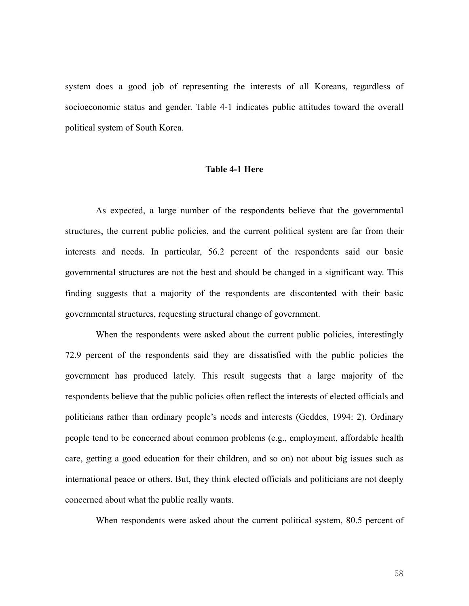system does a good job of representing the interests of all Koreans, regardless of socioeconomic status and gender. Table 4-1 indicates public attitudes toward the overall political system of South Korea.

# **Table 4-1 Here**

As expected, a large number of the respondents believe that the governmental structures, the current public policies, and the current political system are far from their interests and needs. In particular, 56.2 percent of the respondents said our basic governmental structures are not the best and should be changed in a significant way. This finding suggests that a majority of the respondents are discontented with their basic governmental structures, requesting structural change of government.

When the respondents were asked about the current public policies, interestingly 72.9 percent of the respondents said they are dissatisfied with the public policies the government has produced lately. This result suggests that a large majority of the respondents believe that the public policies often reflect the interests of elected officials and politicians rather than ordinary people's needs and interests (Geddes, 1994: 2). Ordinary people tend to be concerned about common problems (e.g., employment, affordable health care, getting a good education for their children, and so on) not about big issues such as international peace or others. But, they think elected officials and politicians are not deeply concerned about what the public really wants.

When respondents were asked about the current political system, 80.5 percent of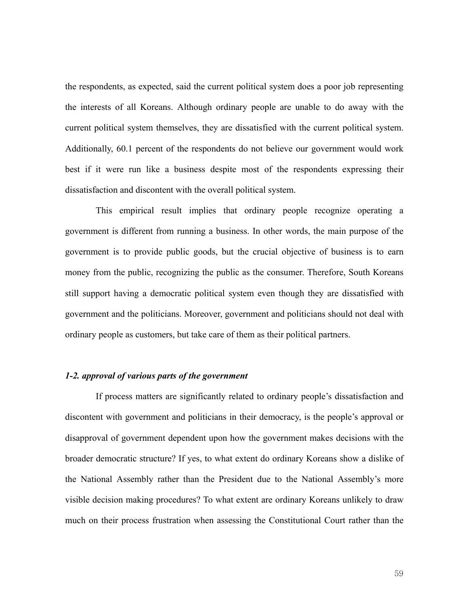the respondents, as expected, said the current political system does a poor job representing the interests of all Koreans. Although ordinary people are unable to do away with the current political system themselves, they are dissatisfied with the current political system. Additionally, 60.1 percent of the respondents do not believe our government would work best if it were run like a business despite most of the respondents expressing their dissatisfaction and discontent with the overall political system.

This empirical result implies that ordinary people recognize operating a government is different from running a business. In other words, the main purpose of the government is to provide public goods, but the crucial objective of business is to earn money from the public, recognizing the public as the consumer. Therefore, South Koreans still support having a democratic political system even though they are dissatisfied with government and the politicians. Moreover, government and politicians should not deal with ordinary people as customers, but take care of them as their political partners.

# *1-2. approval of various parts of the government*

If process matters are significantly related to ordinary people's dissatisfaction and discontent with government and politicians in their democracy, is the people's approval or disapproval of government dependent upon how the government makes decisions with the broader democratic structure? If yes, to what extent do ordinary Koreans show a dislike of the National Assembly rather than the President due to the National Assembly's more visible decision making procedures? To what extent are ordinary Koreans unlikely to draw much on their process frustration when assessing the Constitutional Court rather than the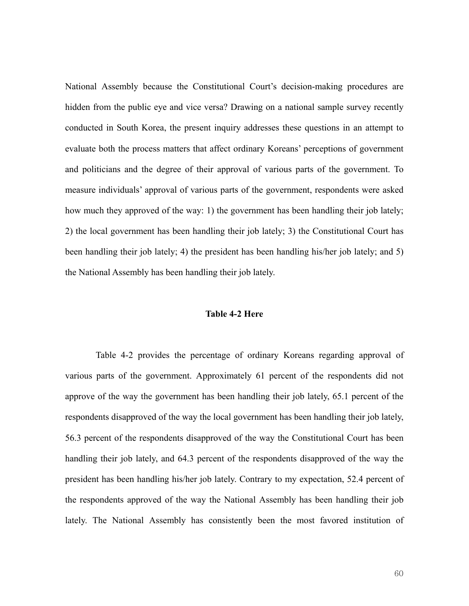National Assembly because the Constitutional Court's decision-making procedures are hidden from the public eye and vice versa? Drawing on a national sample survey recently conducted in South Korea, the present inquiry addresses these questions in an attempt to evaluate both the process matters that affect ordinary Koreans' perceptions of government and politicians and the degree of their approval of various parts of the government. To measure individuals' approval of various parts of the government, respondents were asked how much they approved of the way: 1) the government has been handling their job lately; 2) the local government has been handling their job lately; 3) the Constitutional Court has been handling their job lately; 4) the president has been handling his/her job lately; and 5) the National Assembly has been handling their job lately.

### **Table 4-2 Here**

 Table 4-2 provides the percentage of ordinary Koreans regarding approval of various parts of the government. Approximately 61 percent of the respondents did not approve of the way the government has been handling their job lately, 65.1 percent of the respondents disapproved of the way the local government has been handling their job lately, 56.3 percent of the respondents disapproved of the way the Constitutional Court has been handling their job lately, and 64.3 percent of the respondents disapproved of the way the president has been handling his/her job lately. Contrary to my expectation, 52.4 percent of the respondents approved of the way the National Assembly has been handling their job lately. The National Assembly has consistently been the most favored institution of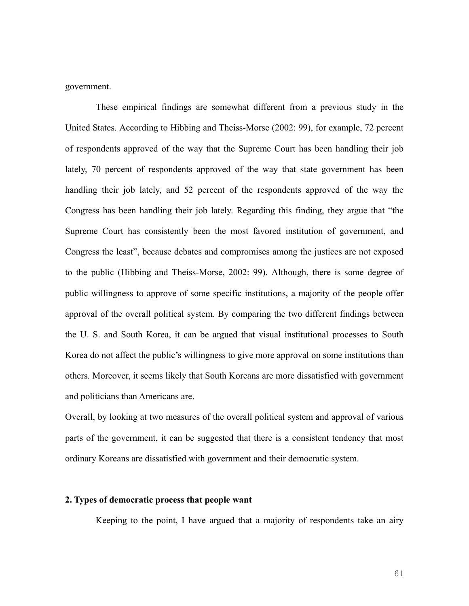government.

These empirical findings are somewhat different from a previous study in the United States. According to Hibbing and Theiss-Morse (2002: 99), for example, 72 percent of respondents approved of the way that the Supreme Court has been handling their job lately, 70 percent of respondents approved of the way that state government has been handling their job lately, and 52 percent of the respondents approved of the way the Congress has been handling their job lately. Regarding this finding, they argue that "the Supreme Court has consistently been the most favored institution of government, and Congress the least", because debates and compromises among the justices are not exposed to the public (Hibbing and Theiss-Morse, 2002: 99). Although, there is some degree of public willingness to approve of some specific institutions, a majority of the people offer approval of the overall political system. By comparing the two different findings between the U. S. and South Korea, it can be argued that visual institutional processes to South Korea do not affect the public's willingness to give more approval on some institutions than others. Moreover, it seems likely that South Koreans are more dissatisfied with government and politicians than Americans are.

Overall, by looking at two measures of the overall political system and approval of various parts of the government, it can be suggested that there is a consistent tendency that most ordinary Koreans are dissatisfied with government and their democratic system.

### **2. Types of democratic process that people want**

Keeping to the point, I have argued that a majority of respondents take an airy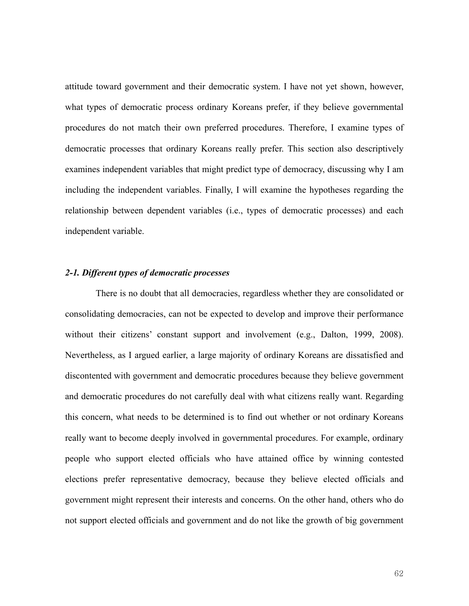attitude toward government and their democratic system. I have not yet shown, however, what types of democratic process ordinary Koreans prefer, if they believe governmental procedures do not match their own preferred procedures. Therefore, I examine types of democratic processes that ordinary Koreans really prefer. This section also descriptively examines independent variables that might predict type of democracy, discussing why I am including the independent variables. Finally, I will examine the hypotheses regarding the relationship between dependent variables (i.e., types of democratic processes) and each independent variable.

#### *2-1. Different types of democratic processes*

There is no doubt that all democracies, regardless whether they are consolidated or consolidating democracies, can not be expected to develop and improve their performance without their citizens' constant support and involvement (e.g., Dalton, 1999, 2008). Nevertheless, as I argued earlier, a large majority of ordinary Koreans are dissatisfied and discontented with government and democratic procedures because they believe government and democratic procedures do not carefully deal with what citizens really want. Regarding this concern, what needs to be determined is to find out whether or not ordinary Koreans really want to become deeply involved in governmental procedures. For example, ordinary people who support elected officials who have attained office by winning contested elections prefer representative democracy, because they believe elected officials and government might represent their interests and concerns. On the other hand, others who do not support elected officials and government and do not like the growth of big government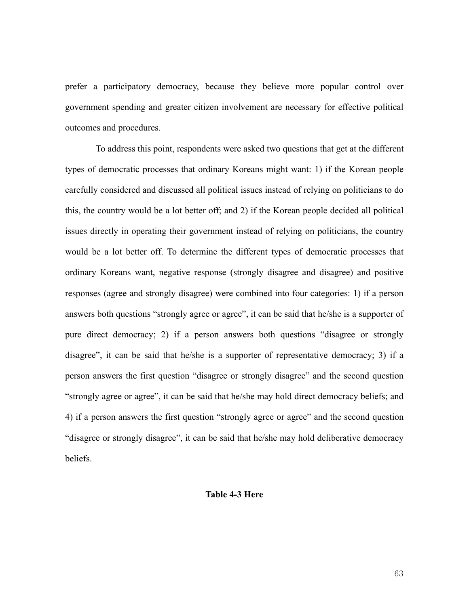prefer a participatory democracy, because they believe more popular control over government spending and greater citizen involvement are necessary for effective political outcomes and procedures.

To address this point, respondents were asked two questions that get at the different types of democratic processes that ordinary Koreans might want: 1) if the Korean people carefully considered and discussed all political issues instead of relying on politicians to do this, the country would be a lot better off; and 2) if the Korean people decided all political issues directly in operating their government instead of relying on politicians, the country would be a lot better off. To determine the different types of democratic processes that ordinary Koreans want, negative response (strongly disagree and disagree) and positive responses (agree and strongly disagree) were combined into four categories: 1) if a person answers both questions "strongly agree or agree", it can be said that he/she is a supporter of pure direct democracy; 2) if a person answers both questions "disagree or strongly disagree", it can be said that he/she is a supporter of representative democracy; 3) if a person answers the first question "disagree or strongly disagree" and the second question "strongly agree or agree", it can be said that he/she may hold direct democracy beliefs; and 4) if a person answers the first question "strongly agree or agree" and the second question "disagree or strongly disagree", it can be said that he/she may hold deliberative democracy beliefs.

#### **Table 4-3 Here**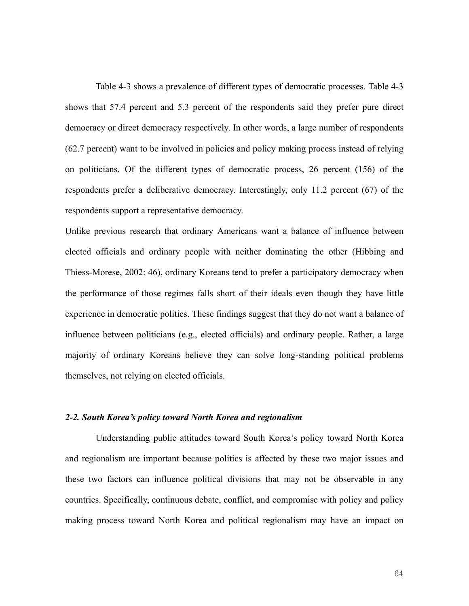Table 4-3 shows a prevalence of different types of democratic processes. Table 4-3 shows that 57.4 percent and 5.3 percent of the respondents said they prefer pure direct democracy or direct democracy respectively. In other words, a large number of respondents (62.7 percent) want to be involved in policies and policy making process instead of relying on politicians. Of the different types of democratic process, 26 percent (156) of the respondents prefer a deliberative democracy. Interestingly, only 11.2 percent (67) of the respondents support a representative democracy.

Unlike previous research that ordinary Americans want a balance of influence between elected officials and ordinary people with neither dominating the other (Hibbing and Thiess-Morese, 2002: 46), ordinary Koreans tend to prefer a participatory democracy when the performance of those regimes falls short of their ideals even though they have little experience in democratic politics. These findings suggest that they do not want a balance of influence between politicians (e.g., elected officials) and ordinary people. Rather, a large majority of ordinary Koreans believe they can solve long-standing political problems themselves, not relying on elected officials.

#### *2-2. South Korea's policy toward North Korea and regionalism*

Understanding public attitudes toward South Korea's policy toward North Korea and regionalism are important because politics is affected by these two major issues and these two factors can influence political divisions that may not be observable in any countries. Specifically, continuous debate, conflict, and compromise with policy and policy making process toward North Korea and political regionalism may have an impact on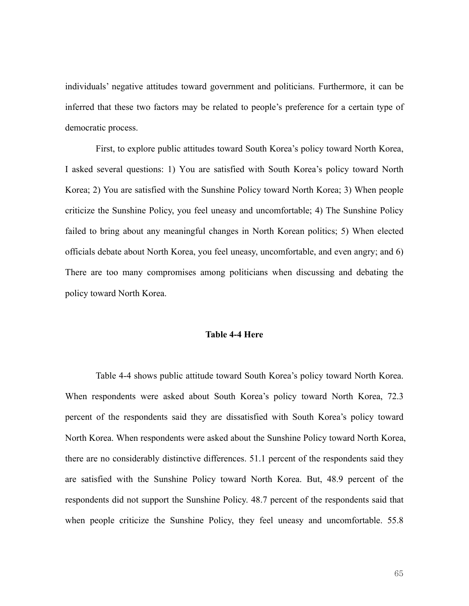individuals' negative attitudes toward government and politicians. Furthermore, it can be inferred that these two factors may be related to people's preference for a certain type of democratic process.

First, to explore public attitudes toward South Korea's policy toward North Korea, I asked several questions: 1) You are satisfied with South Korea's policy toward North Korea; 2) You are satisfied with the Sunshine Policy toward North Korea; 3) When people criticize the Sunshine Policy, you feel uneasy and uncomfortable; 4) The Sunshine Policy failed to bring about any meaningful changes in North Korean politics; 5) When elected officials debate about North Korea, you feel uneasy, uncomfortable, and even angry; and 6) There are too many compromises among politicians when discussing and debating the policy toward North Korea.

#### **Table 4-4 Here**

Table 4-4 shows public attitude toward South Korea's policy toward North Korea. When respondents were asked about South Korea's policy toward North Korea, 72.3 percent of the respondents said they are dissatisfied with South Korea's policy toward North Korea. When respondents were asked about the Sunshine Policy toward North Korea, there are no considerably distinctive differences. 51.1 percent of the respondents said they are satisfied with the Sunshine Policy toward North Korea. But, 48.9 percent of the respondents did not support the Sunshine Policy. 48.7 percent of the respondents said that when people criticize the Sunshine Policy, they feel uneasy and uncomfortable. 55.8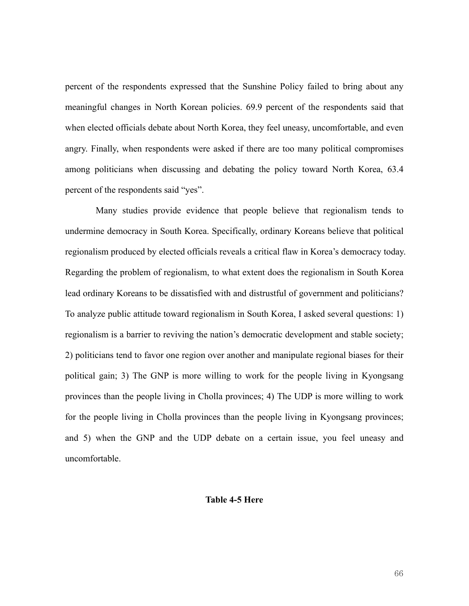percent of the respondents expressed that the Sunshine Policy failed to bring about any meaningful changes in North Korean policies. 69.9 percent of the respondents said that when elected officials debate about North Korea, they feel uneasy, uncomfortable, and even angry. Finally, when respondents were asked if there are too many political compromises among politicians when discussing and debating the policy toward North Korea, 63.4 percent of the respondents said "yes".

Many studies provide evidence that people believe that regionalism tends to undermine democracy in South Korea. Specifically, ordinary Koreans believe that political regionalism produced by elected officials reveals a critical flaw in Korea's democracy today. Regarding the problem of regionalism, to what extent does the regionalism in South Korea lead ordinary Koreans to be dissatisfied with and distrustful of government and politicians? To analyze public attitude toward regionalism in South Korea, I asked several questions: 1) regionalism is a barrier to reviving the nation's democratic development and stable society; 2) politicians tend to favor one region over another and manipulate regional biases for their political gain; 3) The GNP is more willing to work for the people living in Kyongsang provinces than the people living in Cholla provinces; 4) The UDP is more willing to work for the people living in Cholla provinces than the people living in Kyongsang provinces; and 5) when the GNP and the UDP debate on a certain issue, you feel uneasy and uncomfortable.

#### **Table 4-5 Here**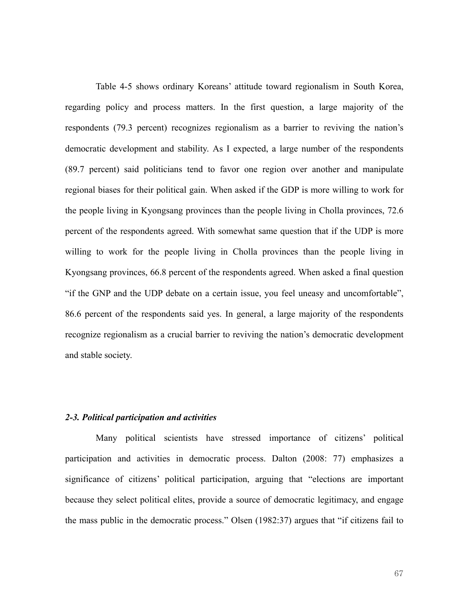Table 4-5 shows ordinary Koreans' attitude toward regionalism in South Korea, regarding policy and process matters. In the first question, a large majority of the respondents (79.3 percent) recognizes regionalism as a barrier to reviving the nation's democratic development and stability. As I expected, a large number of the respondents (89.7 percent) said politicians tend to favor one region over another and manipulate regional biases for their political gain. When asked if the GDP is more willing to work for the people living in Kyongsang provinces than the people living in Cholla provinces, 72.6 percent of the respondents agreed. With somewhat same question that if the UDP is more willing to work for the people living in Cholla provinces than the people living in Kyongsang provinces, 66.8 percent of the respondents agreed. When asked a final question "if the GNP and the UDP debate on a certain issue, you feel uneasy and uncomfortable", 86.6 percent of the respondents said yes. In general, a large majority of the respondents recognize regionalism as a crucial barrier to reviving the nation's democratic development and stable society.

#### *2-3. Political participation and activities*

Many political scientists have stressed importance of citizens' political participation and activities in democratic process. Dalton (2008: 77) emphasizes a significance of citizens' political participation, arguing that "elections are important because they select political elites, provide a source of democratic legitimacy, and engage the mass public in the democratic process." Olsen (1982:37) argues that "if citizens fail to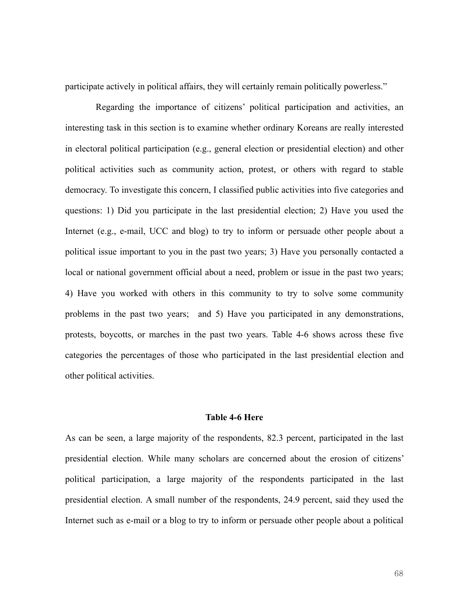participate actively in political affairs, they will certainly remain politically powerless."

Regarding the importance of citizens' political participation and activities, an interesting task in this section is to examine whether ordinary Koreans are really interested in electoral political participation (e.g., general election or presidential election) and other political activities such as community action, protest, or others with regard to stable democracy. To investigate this concern, I classified public activities into five categories and questions: 1) Did you participate in the last presidential election; 2) Have you used the Internet (e.g., e-mail, UCC and blog) to try to inform or persuade other people about a political issue important to you in the past two years; 3) Have you personally contacted a local or national government official about a need, problem or issue in the past two years; 4) Have you worked with others in this community to try to solve some community problems in the past two years; and 5) Have you participated in any demonstrations, protests, boycotts, or marches in the past two years. Table 4-6 shows across these five categories the percentages of those who participated in the last presidential election and other political activities.

# **Table 4-6 Here**

As can be seen, a large majority of the respondents, 82.3 percent, participated in the last presidential election. While many scholars are concerned about the erosion of citizens' political participation, a large majority of the respondents participated in the last presidential election. A small number of the respondents, 24.9 percent, said they used the Internet such as e-mail or a blog to try to inform or persuade other people about a political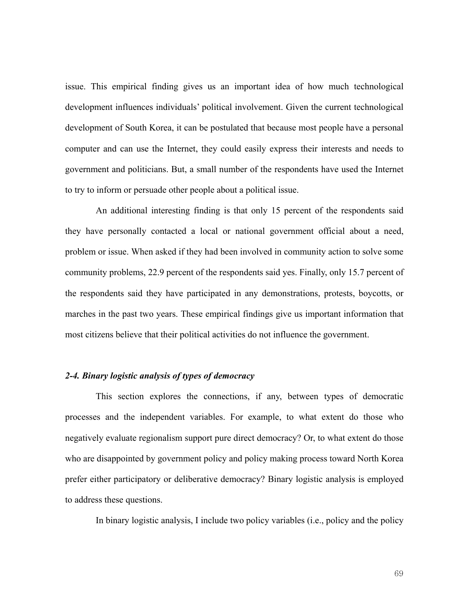issue. This empirical finding gives us an important idea of how much technological development influences individuals' political involvement. Given the current technological development of South Korea, it can be postulated that because most people have a personal computer and can use the Internet, they could easily express their interests and needs to government and politicians. But, a small number of the respondents have used the Internet to try to inform or persuade other people about a political issue.

An additional interesting finding is that only 15 percent of the respondents said they have personally contacted a local or national government official about a need, problem or issue. When asked if they had been involved in community action to solve some community problems, 22.9 percent of the respondents said yes. Finally, only 15.7 percent of the respondents said they have participated in any demonstrations, protests, boycotts, or marches in the past two years. These empirical findings give us important information that most citizens believe that their political activities do not influence the government.

# *2-4. Binary logistic analysis of types of democracy*

This section explores the connections, if any, between types of democratic processes and the independent variables. For example, to what extent do those who negatively evaluate regionalism support pure direct democracy? Or, to what extent do those who are disappointed by government policy and policy making process toward North Korea prefer either participatory or deliberative democracy? Binary logistic analysis is employed to address these questions.

In binary logistic analysis, I include two policy variables (i.e., policy and the policy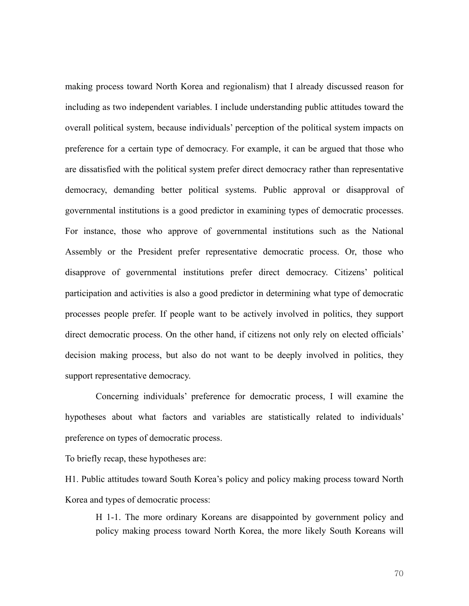making process toward North Korea and regionalism) that I already discussed reason for including as two independent variables. I include understanding public attitudes toward the overall political system, because individuals' perception of the political system impacts on preference for a certain type of democracy. For example, it can be argued that those who are dissatisfied with the political system prefer direct democracy rather than representative democracy, demanding better political systems. Public approval or disapproval of governmental institutions is a good predictor in examining types of democratic processes. For instance, those who approve of governmental institutions such as the National Assembly or the President prefer representative democratic process. Or, those who disapprove of governmental institutions prefer direct democracy. Citizens' political participation and activities is also a good predictor in determining what type of democratic processes people prefer. If people want to be actively involved in politics, they support direct democratic process. On the other hand, if citizens not only rely on elected officials' decision making process, but also do not want to be deeply involved in politics, they support representative democracy.

Concerning individuals' preference for democratic process, I will examine the hypotheses about what factors and variables are statistically related to individuals' preference on types of democratic process.

To briefly recap, these hypotheses are:

H1. Public attitudes toward South Korea's policy and policy making process toward North Korea and types of democratic process:

H 1-1. The more ordinary Koreans are disappointed by government policy and policy making process toward North Korea, the more likely South Koreans will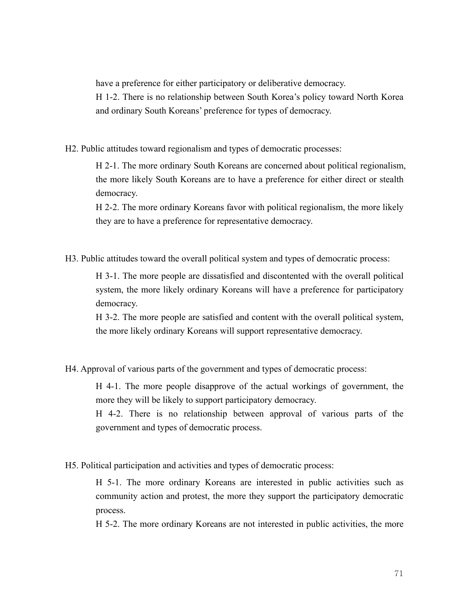have a preference for either participatory or deliberative democracy. H 1-2. There is no relationship between South Korea's policy toward North Korea and ordinary South Koreans' preference for types of democracy.

H2. Public attitudes toward regionalism and types of democratic processes:

H 2-1. The more ordinary South Koreans are concerned about political regionalism, the more likely South Koreans are to have a preference for either direct or stealth democracy.

H 2-2. The more ordinary Koreans favor with political regionalism, the more likely they are to have a preference for representative democracy.

H3. Public attitudes toward the overall political system and types of democratic process:

H 3-1. The more people are dissatisfied and discontented with the overall political system, the more likely ordinary Koreans will have a preference for participatory democracy.

H 3-2. The more people are satisfied and content with the overall political system, the more likely ordinary Koreans will support representative democracy.

H4. Approval of various parts of the government and types of democratic process:

H 4-1. The more people disapprove of the actual workings of government, the more they will be likely to support participatory democracy.

H 4-2. There is no relationship between approval of various parts of the government and types of democratic process.

H5. Political participation and activities and types of democratic process:

H 5-1. The more ordinary Koreans are interested in public activities such as community action and protest, the more they support the participatory democratic process.

H 5-2. The more ordinary Koreans are not interested in public activities, the more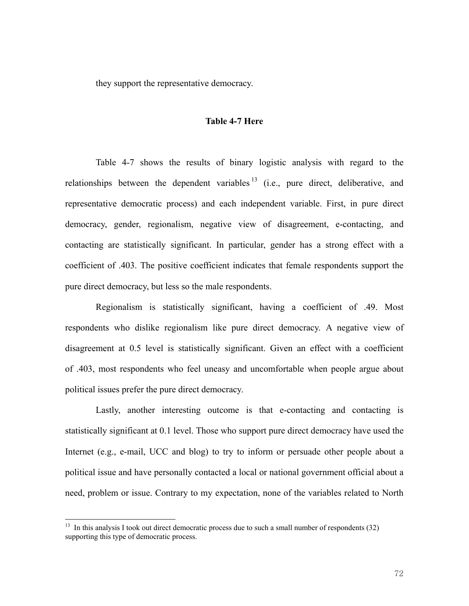they support the representative democracy.

#### **Table 4-7 Here**

Table 4-7 shows the results of binary logistic analysis with regard to the relationships between the dependent variables  $\frac{13}{12}$  (i.e., pure direct, deliberative, and representative democratic process) and each independent variable. First, in pure direct democracy, gender, regionalism, negative view of disagreement, e-contacting, and contacting are statistically significant. In particular, gender has a strong effect with a coefficient of .403. The positive coefficient indicates that female respondents support the pure direct democracy, but less so the male respondents.

Regionalism is statistically significant, having a coefficient of .49. Most respondents who dislike regionalism like pure direct democracy. A negative view of disagreement at 0.5 level is statistically significant. Given an effect with a coefficient of .403, most respondents who feel uneasy and uncomfortable when people argue about political issues prefer the pure direct democracy.

Lastly, another interesting outcome is that e-contacting and contacting is statistically significant at 0.1 level. Those who support pure direct democracy have used the Internet (e.g., e-mail, UCC and blog) to try to inform or persuade other people about a political issue and have personally contacted a local or national government official about a need, problem or issue. Contrary to my expectation, none of the variables related to North

 $\overline{a}$ 

 $13$  In this analysis I took out direct democratic process due to such a small number of respondents (32) supporting this type of democratic process.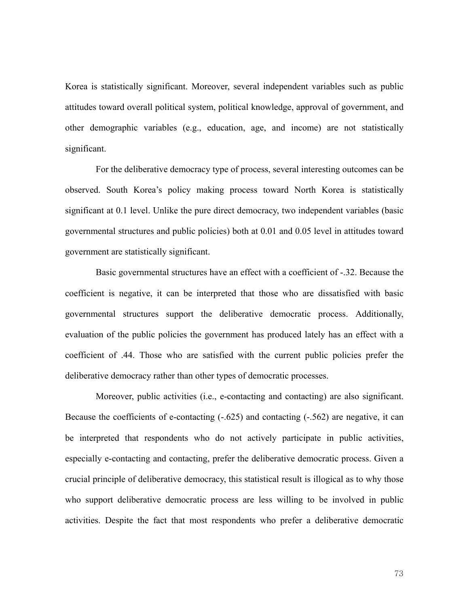Korea is statistically significant. Moreover, several independent variables such as public attitudes toward overall political system, political knowledge, approval of government, and other demographic variables (e.g., education, age, and income) are not statistically significant.

For the deliberative democracy type of process, several interesting outcomes can be observed. South Korea's policy making process toward North Korea is statistically significant at 0.1 level. Unlike the pure direct democracy, two independent variables (basic governmental structures and public policies) both at 0.01 and 0.05 level in attitudes toward government are statistically significant.

Basic governmental structures have an effect with a coefficient of -.32. Because the coefficient is negative, it can be interpreted that those who are dissatisfied with basic governmental structures support the deliberative democratic process. Additionally, evaluation of the public policies the government has produced lately has an effect with a coefficient of .44. Those who are satisfied with the current public policies prefer the deliberative democracy rather than other types of democratic processes.

Moreover, public activities (i.e., e-contacting and contacting) are also significant. Because the coefficients of e-contacting  $(-.625)$  and contacting  $(-.562)$  are negative, it can be interpreted that respondents who do not actively participate in public activities, especially e-contacting and contacting, prefer the deliberative democratic process. Given a crucial principle of deliberative democracy, this statistical result is illogical as to why those who support deliberative democratic process are less willing to be involved in public activities. Despite the fact that most respondents who prefer a deliberative democratic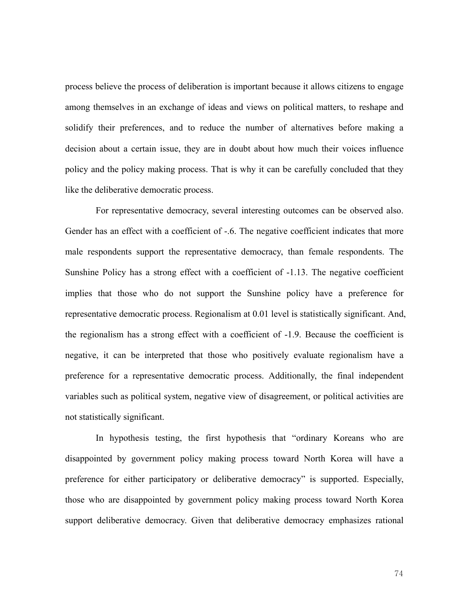process believe the process of deliberation is important because it allows citizens to engage among themselves in an exchange of ideas and views on political matters, to reshape and solidify their preferences, and to reduce the number of alternatives before making a decision about a certain issue, they are in doubt about how much their voices influence policy and the policy making process. That is why it can be carefully concluded that they like the deliberative democratic process.

For representative democracy, several interesting outcomes can be observed also. Gender has an effect with a coefficient of -.6. The negative coefficient indicates that more male respondents support the representative democracy, than female respondents. The Sunshine Policy has a strong effect with a coefficient of -1.13. The negative coefficient implies that those who do not support the Sunshine policy have a preference for representative democratic process. Regionalism at 0.01 level is statistically significant. And, the regionalism has a strong effect with a coefficient of -1.9. Because the coefficient is negative, it can be interpreted that those who positively evaluate regionalism have a preference for a representative democratic process. Additionally, the final independent variables such as political system, negative view of disagreement, or political activities are not statistically significant.

In hypothesis testing, the first hypothesis that "ordinary Koreans who are disappointed by government policy making process toward North Korea will have a preference for either participatory or deliberative democracy" is supported. Especially, those who are disappointed by government policy making process toward North Korea support deliberative democracy. Given that deliberative democracy emphasizes rational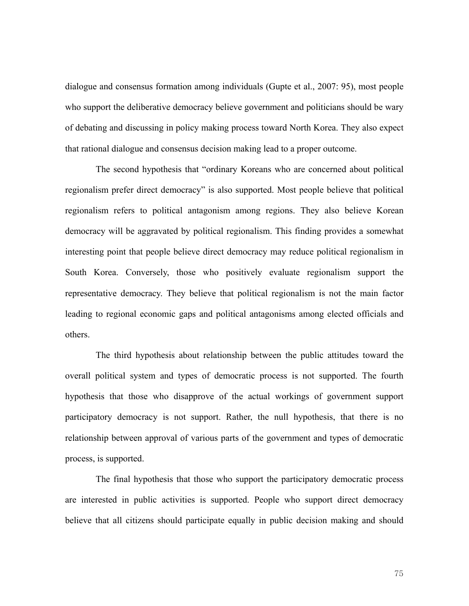dialogue and consensus formation among individuals (Gupte et al., 2007: 95), most people who support the deliberative democracy believe government and politicians should be wary of debating and discussing in policy making process toward North Korea. They also expect that rational dialogue and consensus decision making lead to a proper outcome.

The second hypothesis that "ordinary Koreans who are concerned about political regionalism prefer direct democracy" is also supported. Most people believe that political regionalism refers to political antagonism among regions. They also believe Korean democracy will be aggravated by political regionalism. This finding provides a somewhat interesting point that people believe direct democracy may reduce political regionalism in South Korea. Conversely, those who positively evaluate regionalism support the representative democracy. They believe that political regionalism is not the main factor leading to regional economic gaps and political antagonisms among elected officials and others.

The third hypothesis about relationship between the public attitudes toward the overall political system and types of democratic process is not supported. The fourth hypothesis that those who disapprove of the actual workings of government support participatory democracy is not support. Rather, the null hypothesis, that there is no relationship between approval of various parts of the government and types of democratic process, is supported.

The final hypothesis that those who support the participatory democratic process are interested in public activities is supported. People who support direct democracy believe that all citizens should participate equally in public decision making and should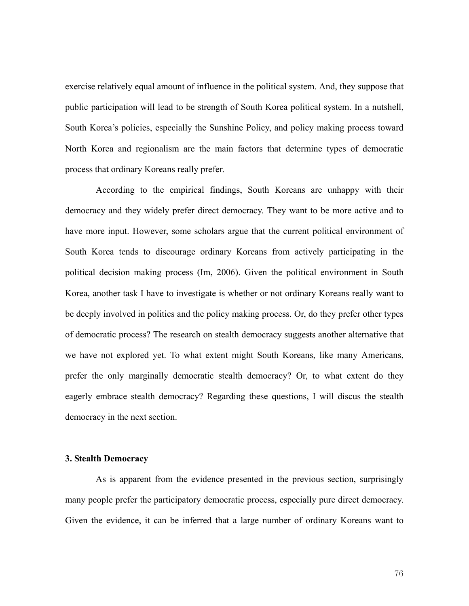exercise relatively equal amount of influence in the political system. And, they suppose that public participation will lead to be strength of South Korea political system. In a nutshell, South Korea's policies, especially the Sunshine Policy, and policy making process toward North Korea and regionalism are the main factors that determine types of democratic process that ordinary Koreans really prefer.

According to the empirical findings, South Koreans are unhappy with their democracy and they widely prefer direct democracy. They want to be more active and to have more input. However, some scholars argue that the current political environment of South Korea tends to discourage ordinary Koreans from actively participating in the political decision making process (Im, 2006). Given the political environment in South Korea, another task I have to investigate is whether or not ordinary Koreans really want to be deeply involved in politics and the policy making process. Or, do they prefer other types of democratic process? The research on stealth democracy suggests another alternative that we have not explored yet. To what extent might South Koreans, like many Americans, prefer the only marginally democratic stealth democracy? Or, to what extent do they eagerly embrace stealth democracy? Regarding these questions, I will discus the stealth democracy in the next section.

### **3. Stealth Democracy**

As is apparent from the evidence presented in the previous section, surprisingly many people prefer the participatory democratic process, especially pure direct democracy. Given the evidence, it can be inferred that a large number of ordinary Koreans want to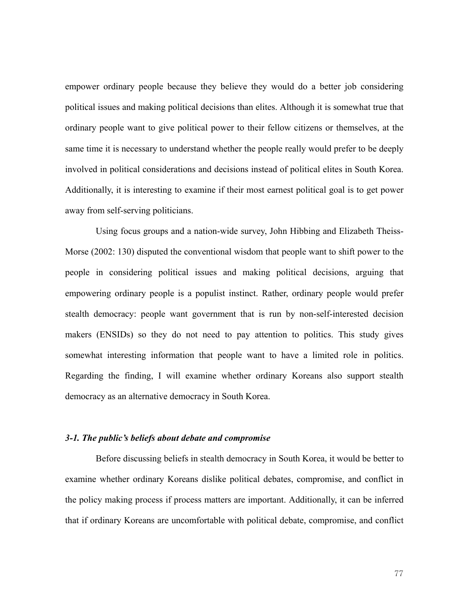empower ordinary people because they believe they would do a better job considering political issues and making political decisions than elites. Although it is somewhat true that ordinary people want to give political power to their fellow citizens or themselves, at the same time it is necessary to understand whether the people really would prefer to be deeply involved in political considerations and decisions instead of political elites in South Korea. Additionally, it is interesting to examine if their most earnest political goal is to get power away from self-serving politicians.

Using focus groups and a nation-wide survey, John Hibbing and Elizabeth Theiss-Morse (2002: 130) disputed the conventional wisdom that people want to shift power to the people in considering political issues and making political decisions, arguing that empowering ordinary people is a populist instinct. Rather, ordinary people would prefer stealth democracy: people want government that is run by non-self-interested decision makers (ENSIDs) so they do not need to pay attention to politics. This study gives somewhat interesting information that people want to have a limited role in politics. Regarding the finding, I will examine whether ordinary Koreans also support stealth democracy as an alternative democracy in South Korea.

# *3-1. The public's beliefs about debate and compromise*

Before discussing beliefs in stealth democracy in South Korea, it would be better to examine whether ordinary Koreans dislike political debates, compromise, and conflict in the policy making process if process matters are important. Additionally, it can be inferred that if ordinary Koreans are uncomfortable with political debate, compromise, and conflict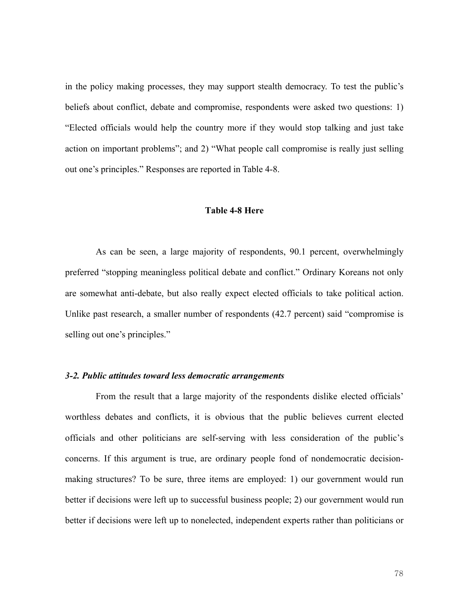in the policy making processes, they may support stealth democracy. To test the public's beliefs about conflict, debate and compromise, respondents were asked two questions: 1) "Elected officials would help the country more if they would stop talking and just take action on important problems"; and 2) "What people call compromise is really just selling out one's principles." Responses are reported in Table 4-8.

#### **Table 4-8 Here**

 As can be seen, a large majority of respondents, 90.1 percent, overwhelmingly preferred "stopping meaningless political debate and conflict." Ordinary Koreans not only are somewhat anti-debate, but also really expect elected officials to take political action. Unlike past research, a smaller number of respondents (42.7 percent) said "compromise is selling out one's principles."

## *3-2. Public attitudes toward less democratic arrangements*

 From the result that a large majority of the respondents dislike elected officials' worthless debates and conflicts, it is obvious that the public believes current elected officials and other politicians are self-serving with less consideration of the public's concerns. If this argument is true, are ordinary people fond of nondemocratic decisionmaking structures? To be sure, three items are employed: 1) our government would run better if decisions were left up to successful business people; 2) our government would run better if decisions were left up to nonelected, independent experts rather than politicians or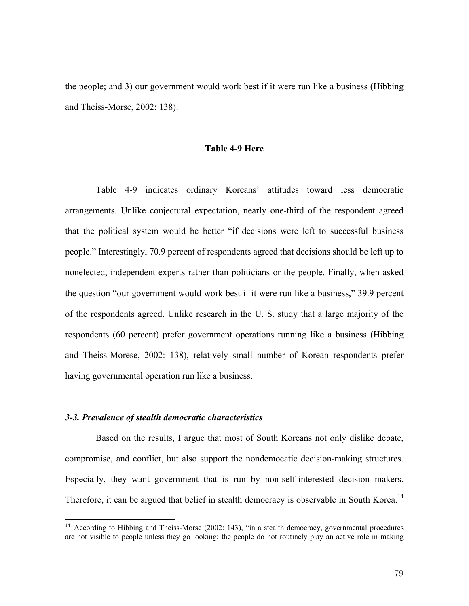the people; and 3) our government would work best if it were run like a business (Hibbing and Theiss-Morse, 2002: 138).

## **Table 4-9 Here**

Table 4-9 indicates ordinary Koreans' attitudes toward less democratic arrangements. Unlike conjectural expectation, nearly one-third of the respondent agreed that the political system would be better "if decisions were left to successful business people." Interestingly, 70.9 percent of respondents agreed that decisions should be left up to nonelected, independent experts rather than politicians or the people. Finally, when asked the question "our government would work best if it were run like a business," 39.9 percent of the respondents agreed. Unlike research in the U. S. study that a large majority of the respondents (60 percent) prefer government operations running like a business (Hibbing and Theiss-Morese, 2002: 138), relatively small number of Korean respondents prefer having governmental operation run like a business.

# *3-3. Prevalence of stealth democratic characteristics*

 $\overline{a}$ 

Based on the results, I argue that most of South Koreans not only dislike debate, compromise, and conflict, but also support the nondemocatic decision-making structures. Especially, they want government that is run by non-self-interested decision makers. Therefore, it can be argued that belief in stealth democracy is observable in South Korea.<sup>14</sup>

<sup>&</sup>lt;sup>14</sup> According to Hibbing and Theiss-Morse (2002: 143), "in a stealth democracy, governmental procedures are not visible to people unless they go looking; the people do not routinely play an active role in making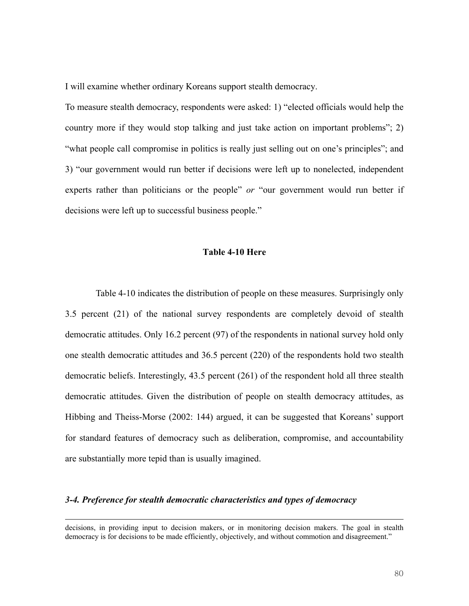I will examine whether ordinary Koreans support stealth democracy.

To measure stealth democracy, respondents were asked: 1) "elected officials would help the country more if they would stop talking and just take action on important problems"; 2) "what people call compromise in politics is really just selling out on one's principles"; and 3) "our government would run better if decisions were left up to nonelected, independent experts rather than politicians or the people" *or* "our government would run better if decisions were left up to successful business people."

# **Table 4-10 Here**

Table 4-10 indicates the distribution of people on these measures. Surprisingly only 3.5 percent (21) of the national survey respondents are completely devoid of stealth democratic attitudes. Only 16.2 percent (97) of the respondents in national survey hold only one stealth democratic attitudes and 36.5 percent (220) of the respondents hold two stealth democratic beliefs. Interestingly, 43.5 percent (261) of the respondent hold all three stealth democratic attitudes. Given the distribution of people on stealth democracy attitudes, as Hibbing and Theiss-Morse (2002: 144) argued, it can be suggested that Koreans' support for standard features of democracy such as deliberation, compromise, and accountability are substantially more tepid than is usually imagined.

## *3-4. Preference for stealth democratic characteristics and types of democracy*

 $\overline{a}$ 

decisions, in providing input to decision makers, or in monitoring decision makers. The goal in stealth democracy is for decisions to be made efficiently, objectively, and without commotion and disagreement."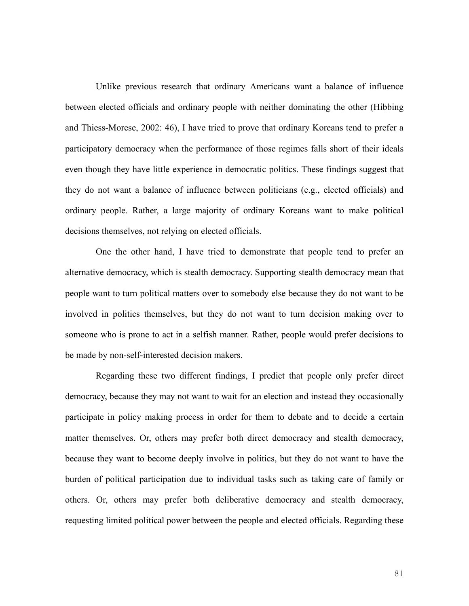Unlike previous research that ordinary Americans want a balance of influence between elected officials and ordinary people with neither dominating the other (Hibbing and Thiess-Morese, 2002: 46), I have tried to prove that ordinary Koreans tend to prefer a participatory democracy when the performance of those regimes falls short of their ideals even though they have little experience in democratic politics. These findings suggest that they do not want a balance of influence between politicians (e.g., elected officials) and ordinary people. Rather, a large majority of ordinary Koreans want to make political decisions themselves, not relying on elected officials.

One the other hand, I have tried to demonstrate that people tend to prefer an alternative democracy, which is stealth democracy. Supporting stealth democracy mean that people want to turn political matters over to somebody else because they do not want to be involved in politics themselves, but they do not want to turn decision making over to someone who is prone to act in a selfish manner. Rather, people would prefer decisions to be made by non-self-interested decision makers.

Regarding these two different findings, I predict that people only prefer direct democracy, because they may not want to wait for an election and instead they occasionally participate in policy making process in order for them to debate and to decide a certain matter themselves. Or, others may prefer both direct democracy and stealth democracy, because they want to become deeply involve in politics, but they do not want to have the burden of political participation due to individual tasks such as taking care of family or others. Or, others may prefer both deliberative democracy and stealth democracy, requesting limited political power between the people and elected officials. Regarding these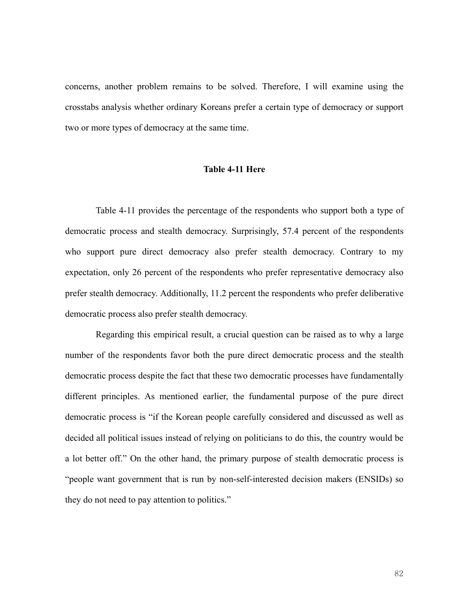concerns, another problem remains to be solved. Therefore, I will examine using the crosstabs analysis whether ordinary Koreans prefer a certain type of democracy or support two or more types of democracy at the same time.

# **Table 4-11 Here**

Table 4-11 provides the percentage of the respondents who support both a type of democratic process and stealth democracy. Surprisingly, 57.4 percent of the respondents who support pure direct democracy also prefer stealth democracy. Contrary to my expectation, only 26 percent of the respondents who prefer representative democracy also prefer stealth democracy. Additionally, 11.2 percent the respondents who prefer deliberative democratic process also prefer stealth democracy.

Regarding this empirical result, a crucial question can be raised as to why a large number of the respondents favor both the pure direct democratic process and the stealth democratic process despite the fact that these two democratic processes have fundamentally different principles. As mentioned earlier, the fundamental purpose of the pure direct democratic process is "if the Korean people carefully considered and discussed as well as decided all political issues instead of relying on politicians to do this, the country would be a lot better off." On the other hand, the primary purpose of stealth democratic process is "people want government that is run by non-self-interested decision makers (ENSIDs) so they do not need to pay attention to politics."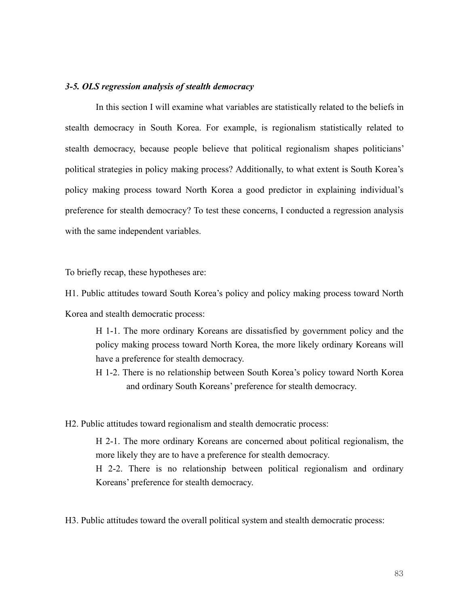## *3-5. OLS regression analysis of stealth democracy*

In this section I will examine what variables are statistically related to the beliefs in stealth democracy in South Korea. For example, is regionalism statistically related to stealth democracy, because people believe that political regionalism shapes politicians' political strategies in policy making process? Additionally, to what extent is South Korea's policy making process toward North Korea a good predictor in explaining individual's preference for stealth democracy? To test these concerns, I conducted a regression analysis with the same independent variables.

To briefly recap, these hypotheses are:

H1. Public attitudes toward South Korea's policy and policy making process toward North Korea and stealth democratic process:

H 1-1. The more ordinary Koreans are dissatisfied by government policy and the policy making process toward North Korea, the more likely ordinary Koreans will have a preference for stealth democracy.

H 1-2. There is no relationship between South Korea's policy toward North Korea and ordinary South Koreans' preference for stealth democracy.

H2. Public attitudes toward regionalism and stealth democratic process:

H 2-1. The more ordinary Koreans are concerned about political regionalism, the more likely they are to have a preference for stealth democracy. H 2-2. There is no relationship between political regionalism and ordinary

Koreans' preference for stealth democracy.

H3. Public attitudes toward the overall political system and stealth democratic process: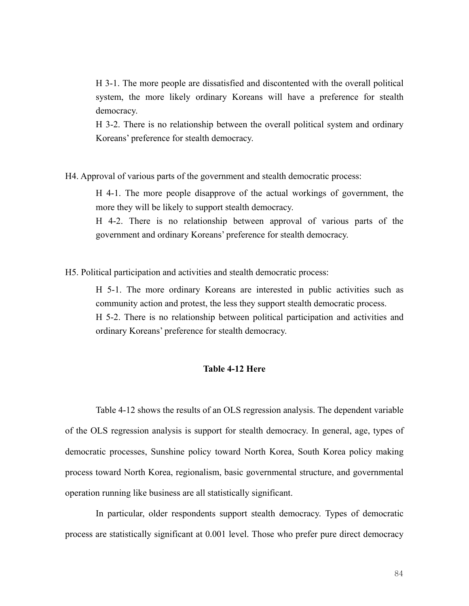H 3-1. The more people are dissatisfied and discontented with the overall political system, the more likely ordinary Koreans will have a preference for stealth democracy.

H 3-2. There is no relationship between the overall political system and ordinary Koreans' preference for stealth democracy.

H4. Approval of various parts of the government and stealth democratic process:

H 4-1. The more people disapprove of the actual workings of government, the more they will be likely to support stealth democracy.

H 4-2. There is no relationship between approval of various parts of the government and ordinary Koreans' preference for stealth democracy.

H5. Political participation and activities and stealth democratic process:

H 5-1. The more ordinary Koreans are interested in public activities such as community action and protest, the less they support stealth democratic process. H 5-2. There is no relationship between political participation and activities and ordinary Koreans' preference for stealth democracy.

## **Table 4-12 Here**

 Table 4-12 shows the results of an OLS regression analysis. The dependent variable of the OLS regression analysis is support for stealth democracy. In general, age, types of democratic processes, Sunshine policy toward North Korea, South Korea policy making process toward North Korea, regionalism, basic governmental structure, and governmental operation running like business are all statistically significant.

In particular, older respondents support stealth democracy. Types of democratic process are statistically significant at 0.001 level. Those who prefer pure direct democracy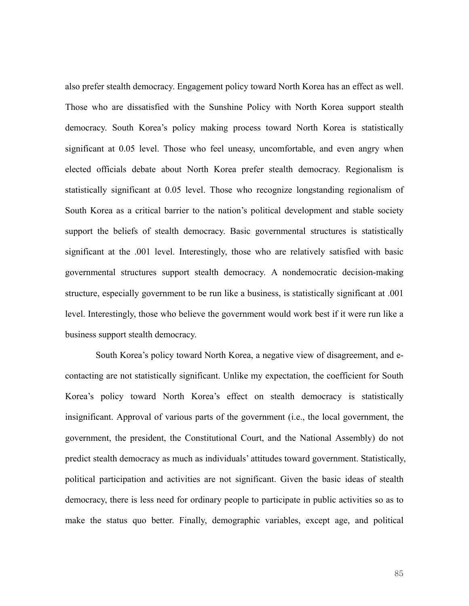also prefer stealth democracy. Engagement policy toward North Korea has an effect as well. Those who are dissatisfied with the Sunshine Policy with North Korea support stealth democracy. South Korea's policy making process toward North Korea is statistically significant at 0.05 level. Those who feel uneasy, uncomfortable, and even angry when elected officials debate about North Korea prefer stealth democracy. Regionalism is statistically significant at 0.05 level. Those who recognize longstanding regionalism of South Korea as a critical barrier to the nation's political development and stable society support the beliefs of stealth democracy. Basic governmental structures is statistically significant at the .001 level. Interestingly, those who are relatively satisfied with basic governmental structures support stealth democracy. A nondemocratic decision-making structure, especially government to be run like a business, is statistically significant at .001 level. Interestingly, those who believe the government would work best if it were run like a business support stealth democracy.

South Korea's policy toward North Korea, a negative view of disagreement, and econtacting are not statistically significant. Unlike my expectation, the coefficient for South Korea's policy toward North Korea's effect on stealth democracy is statistically insignificant. Approval of various parts of the government (i.e., the local government, the government, the president, the Constitutional Court, and the National Assembly) do not predict stealth democracy as much as individuals' attitudes toward government. Statistically, political participation and activities are not significant. Given the basic ideas of stealth democracy, there is less need for ordinary people to participate in public activities so as to make the status quo better. Finally, demographic variables, except age, and political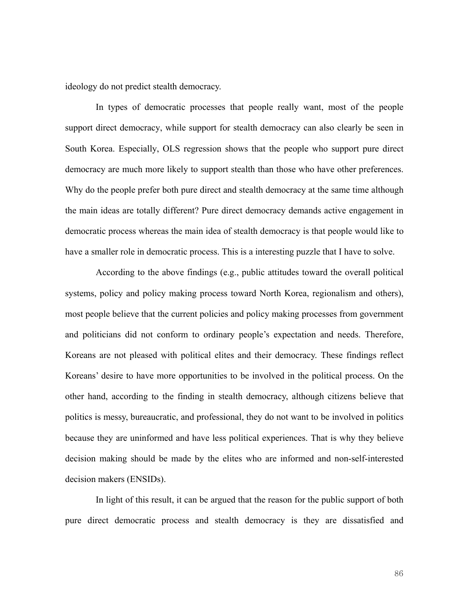ideology do not predict stealth democracy.

In types of democratic processes that people really want, most of the people support direct democracy, while support for stealth democracy can also clearly be seen in South Korea. Especially, OLS regression shows that the people who support pure direct democracy are much more likely to support stealth than those who have other preferences. Why do the people prefer both pure direct and stealth democracy at the same time although the main ideas are totally different? Pure direct democracy demands active engagement in democratic process whereas the main idea of stealth democracy is that people would like to have a smaller role in democratic process. This is a interesting puzzle that I have to solve.

According to the above findings (e.g., public attitudes toward the overall political systems, policy and policy making process toward North Korea, regionalism and others), most people believe that the current policies and policy making processes from government and politicians did not conform to ordinary people's expectation and needs. Therefore, Koreans are not pleased with political elites and their democracy. These findings reflect Koreans' desire to have more opportunities to be involved in the political process. On the other hand, according to the finding in stealth democracy, although citizens believe that politics is messy, bureaucratic, and professional, they do not want to be involved in politics because they are uninformed and have less political experiences. That is why they believe decision making should be made by the elites who are informed and non-self-interested decision makers (ENSIDs).

In light of this result, it can be argued that the reason for the public support of both pure direct democratic process and stealth democracy is they are dissatisfied and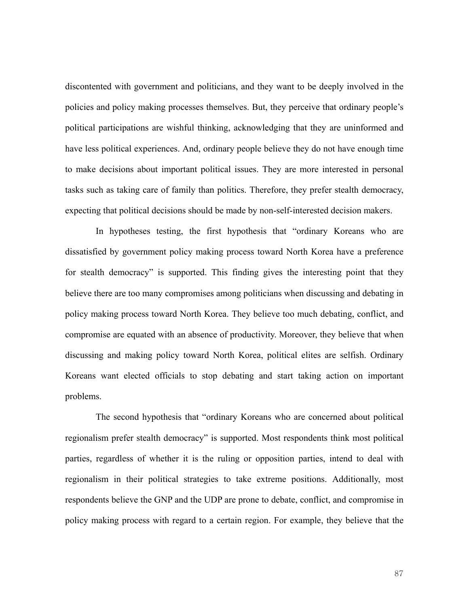discontented with government and politicians, and they want to be deeply involved in the policies and policy making processes themselves. But, they perceive that ordinary people's political participations are wishful thinking, acknowledging that they are uninformed and have less political experiences. And, ordinary people believe they do not have enough time to make decisions about important political issues. They are more interested in personal tasks such as taking care of family than politics. Therefore, they prefer stealth democracy, expecting that political decisions should be made by non-self-interested decision makers.

In hypotheses testing, the first hypothesis that "ordinary Koreans who are dissatisfied by government policy making process toward North Korea have a preference for stealth democracy" is supported. This finding gives the interesting point that they believe there are too many compromises among politicians when discussing and debating in policy making process toward North Korea. They believe too much debating, conflict, and compromise are equated with an absence of productivity. Moreover, they believe that when discussing and making policy toward North Korea, political elites are selfish. Ordinary Koreans want elected officials to stop debating and start taking action on important problems.

The second hypothesis that "ordinary Koreans who are concerned about political regionalism prefer stealth democracy" is supported. Most respondents think most political parties, regardless of whether it is the ruling or opposition parties, intend to deal with regionalism in their political strategies to take extreme positions. Additionally, most respondents believe the GNP and the UDP are prone to debate, conflict, and compromise in policy making process with regard to a certain region. For example, they believe that the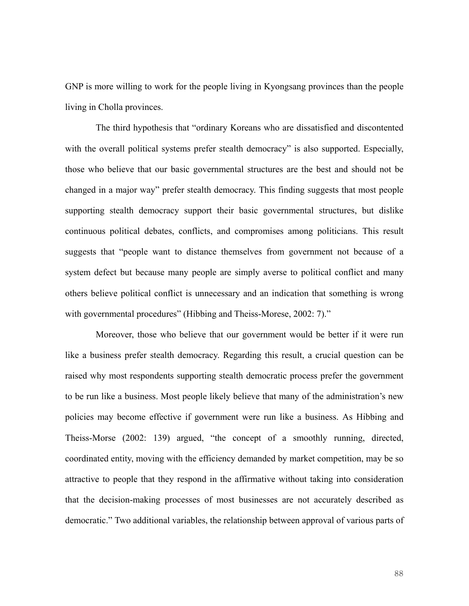GNP is more willing to work for the people living in Kyongsang provinces than the people living in Cholla provinces.

The third hypothesis that "ordinary Koreans who are dissatisfied and discontented with the overall political systems prefer stealth democracy" is also supported. Especially, those who believe that our basic governmental structures are the best and should not be changed in a major way" prefer stealth democracy. This finding suggests that most people supporting stealth democracy support their basic governmental structures, but dislike continuous political debates, conflicts, and compromises among politicians. This result suggests that "people want to distance themselves from government not because of a system defect but because many people are simply averse to political conflict and many others believe political conflict is unnecessary and an indication that something is wrong with governmental procedures" (Hibbing and Theiss-Morese, 2002: 7)."

Moreover, those who believe that our government would be better if it were run like a business prefer stealth democracy. Regarding this result, a crucial question can be raised why most respondents supporting stealth democratic process prefer the government to be run like a business. Most people likely believe that many of the administration's new policies may become effective if government were run like a business. As Hibbing and Theiss-Morse (2002: 139) argued, "the concept of a smoothly running, directed, coordinated entity, moving with the efficiency demanded by market competition, may be so attractive to people that they respond in the affirmative without taking into consideration that the decision-making processes of most businesses are not accurately described as democratic." Two additional variables, the relationship between approval of various parts of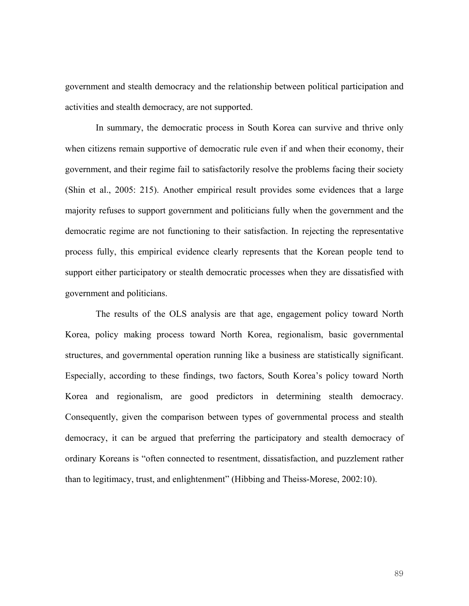government and stealth democracy and the relationship between political participation and activities and stealth democracy, are not supported.

In summary, the democratic process in South Korea can survive and thrive only when citizens remain supportive of democratic rule even if and when their economy, their government, and their regime fail to satisfactorily resolve the problems facing their society (Shin et al., 2005: 215). Another empirical result provides some evidences that a large majority refuses to support government and politicians fully when the government and the democratic regime are not functioning to their satisfaction. In rejecting the representative process fully, this empirical evidence clearly represents that the Korean people tend to support either participatory or stealth democratic processes when they are dissatisfied with government and politicians.

The results of the OLS analysis are that age, engagement policy toward North Korea, policy making process toward North Korea, regionalism, basic governmental structures, and governmental operation running like a business are statistically significant. Especially, according to these findings, two factors, South Korea's policy toward North Korea and regionalism, are good predictors in determining stealth democracy. Consequently, given the comparison between types of governmental process and stealth democracy, it can be argued that preferring the participatory and stealth democracy of ordinary Koreans is "often connected to resentment, dissatisfaction, and puzzlement rather than to legitimacy, trust, and enlightenment" (Hibbing and Theiss-Morese, 2002:10).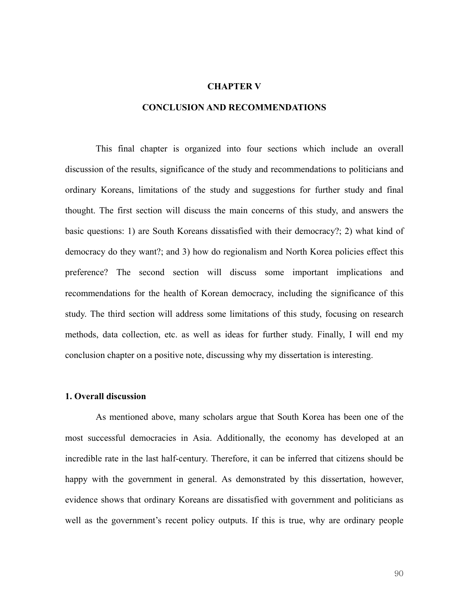#### **CHAPTER V**

## **CONCLUSION AND RECOMMENDATIONS**

This final chapter is organized into four sections which include an overall discussion of the results, significance of the study and recommendations to politicians and ordinary Koreans, limitations of the study and suggestions for further study and final thought. The first section will discuss the main concerns of this study, and answers the basic questions: 1) are South Koreans dissatisfied with their democracy?; 2) what kind of democracy do they want?; and 3) how do regionalism and North Korea policies effect this preference? The second section will discuss some important implications and recommendations for the health of Korean democracy, including the significance of this study. The third section will address some limitations of this study, focusing on research methods, data collection, etc. as well as ideas for further study. Finally, I will end my conclusion chapter on a positive note, discussing why my dissertation is interesting.

#### **1. Overall discussion**

As mentioned above, many scholars argue that South Korea has been one of the most successful democracies in Asia. Additionally, the economy has developed at an incredible rate in the last half-century. Therefore, it can be inferred that citizens should be happy with the government in general. As demonstrated by this dissertation, however, evidence shows that ordinary Koreans are dissatisfied with government and politicians as well as the government's recent policy outputs. If this is true, why are ordinary people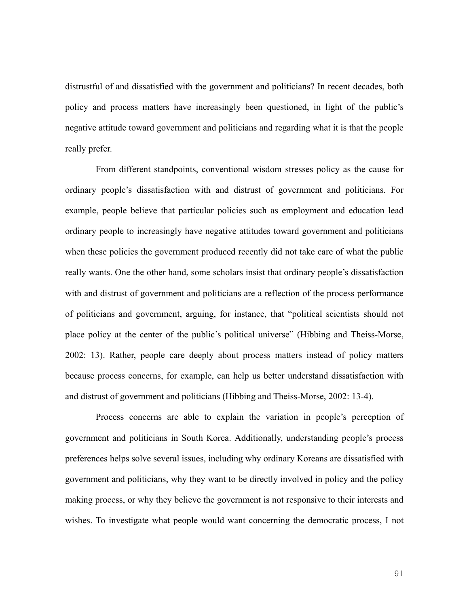distrustful of and dissatisfied with the government and politicians? In recent decades, both policy and process matters have increasingly been questioned, in light of the public's negative attitude toward government and politicians and regarding what it is that the people really prefer.

From different standpoints, conventional wisdom stresses policy as the cause for ordinary people's dissatisfaction with and distrust of government and politicians. For example, people believe that particular policies such as employment and education lead ordinary people to increasingly have negative attitudes toward government and politicians when these policies the government produced recently did not take care of what the public really wants. One the other hand, some scholars insist that ordinary people's dissatisfaction with and distrust of government and politicians are a reflection of the process performance of politicians and government, arguing, for instance, that "political scientists should not place policy at the center of the public's political universe" (Hibbing and Theiss-Morse, 2002: 13). Rather, people care deeply about process matters instead of policy matters because process concerns, for example, can help us better understand dissatisfaction with and distrust of government and politicians (Hibbing and Theiss-Morse, 2002: 13-4).

Process concerns are able to explain the variation in people's perception of government and politicians in South Korea. Additionally, understanding people's process preferences helps solve several issues, including why ordinary Koreans are dissatisfied with government and politicians, why they want to be directly involved in policy and the policy making process, or why they believe the government is not responsive to their interests and wishes. To investigate what people would want concerning the democratic process, I not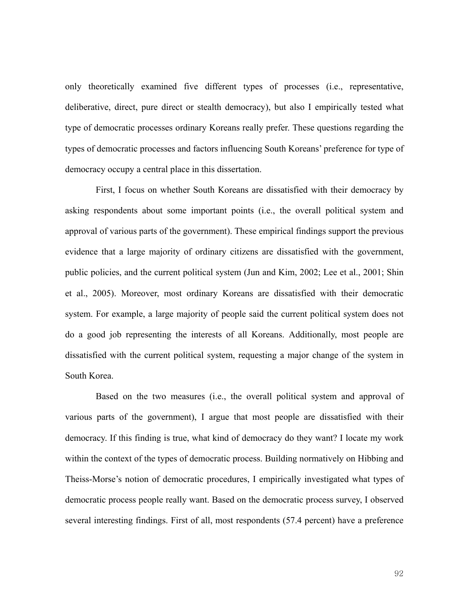only theoretically examined five different types of processes (i.e., representative, deliberative, direct, pure direct or stealth democracy), but also I empirically tested what type of democratic processes ordinary Koreans really prefer. These questions regarding the types of democratic processes and factors influencing South Koreans' preference for type of democracy occupy a central place in this dissertation.

First, I focus on whether South Koreans are dissatisfied with their democracy by asking respondents about some important points (i.e., the overall political system and approval of various parts of the government). These empirical findings support the previous evidence that a large majority of ordinary citizens are dissatisfied with the government, public policies, and the current political system (Jun and Kim, 2002; Lee et al., 2001; Shin et al., 2005). Moreover, most ordinary Koreans are dissatisfied with their democratic system. For example, a large majority of people said the current political system does not do a good job representing the interests of all Koreans. Additionally, most people are dissatisfied with the current political system, requesting a major change of the system in South Korea.

Based on the two measures (i.e., the overall political system and approval of various parts of the government), I argue that most people are dissatisfied with their democracy. If this finding is true, what kind of democracy do they want? I locate my work within the context of the types of democratic process. Building normatively on Hibbing and Theiss-Morse's notion of democratic procedures, I empirically investigated what types of democratic process people really want. Based on the democratic process survey, I observed several interesting findings. First of all, most respondents (57.4 percent) have a preference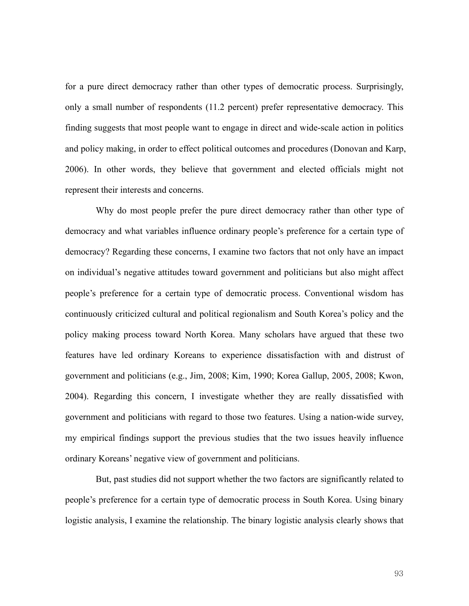for a pure direct democracy rather than other types of democratic process. Surprisingly, only a small number of respondents (11.2 percent) prefer representative democracy. This finding suggests that most people want to engage in direct and wide-scale action in politics and policy making, in order to effect political outcomes and procedures (Donovan and Karp, 2006). In other words, they believe that government and elected officials might not represent their interests and concerns.

Why do most people prefer the pure direct democracy rather than other type of democracy and what variables influence ordinary people's preference for a certain type of democracy? Regarding these concerns, I examine two factors that not only have an impact on individual's negative attitudes toward government and politicians but also might affect people's preference for a certain type of democratic process. Conventional wisdom has continuously criticized cultural and political regionalism and South Korea's policy and the policy making process toward North Korea. Many scholars have argued that these two features have led ordinary Koreans to experience dissatisfaction with and distrust of government and politicians (e.g., Jim, 2008; Kim, 1990; Korea Gallup, 2005, 2008; Kwon, 2004). Regarding this concern, I investigate whether they are really dissatisfied with government and politicians with regard to those two features. Using a nation-wide survey, my empirical findings support the previous studies that the two issues heavily influence ordinary Koreans' negative view of government and politicians.

But, past studies did not support whether the two factors are significantly related to people's preference for a certain type of democratic process in South Korea. Using binary logistic analysis, I examine the relationship. The binary logistic analysis clearly shows that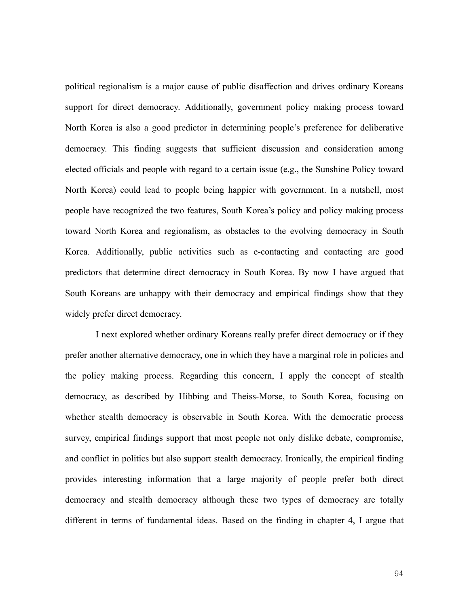political regionalism is a major cause of public disaffection and drives ordinary Koreans support for direct democracy. Additionally, government policy making process toward North Korea is also a good predictor in determining people's preference for deliberative democracy. This finding suggests that sufficient discussion and consideration among elected officials and people with regard to a certain issue (e.g., the Sunshine Policy toward North Korea) could lead to people being happier with government. In a nutshell, most people have recognized the two features, South Korea's policy and policy making process toward North Korea and regionalism, as obstacles to the evolving democracy in South Korea. Additionally, public activities such as e-contacting and contacting are good predictors that determine direct democracy in South Korea. By now I have argued that South Koreans are unhappy with their democracy and empirical findings show that they widely prefer direct democracy.

I next explored whether ordinary Koreans really prefer direct democracy or if they prefer another alternative democracy, one in which they have a marginal role in policies and the policy making process. Regarding this concern, I apply the concept of stealth democracy, as described by Hibbing and Theiss-Morse, to South Korea, focusing on whether stealth democracy is observable in South Korea. With the democratic process survey, empirical findings support that most people not only dislike debate, compromise, and conflict in politics but also support stealth democracy. Ironically, the empirical finding provides interesting information that a large majority of people prefer both direct democracy and stealth democracy although these two types of democracy are totally different in terms of fundamental ideas. Based on the finding in chapter 4, I argue that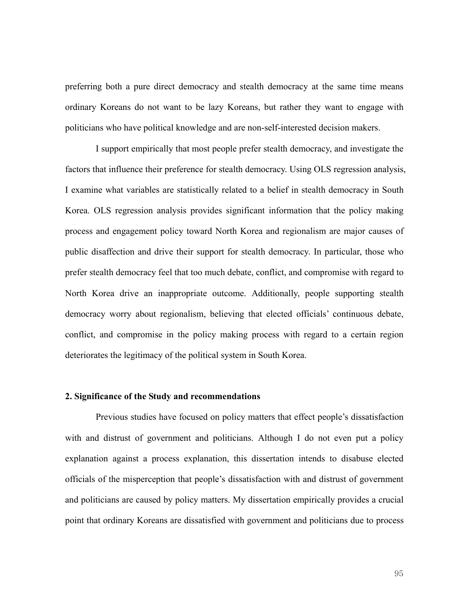preferring both a pure direct democracy and stealth democracy at the same time means ordinary Koreans do not want to be lazy Koreans, but rather they want to engage with politicians who have political knowledge and are non-self-interested decision makers.

I support empirically that most people prefer stealth democracy, and investigate the factors that influence their preference for stealth democracy. Using OLS regression analysis, I examine what variables are statistically related to a belief in stealth democracy in South Korea. OLS regression analysis provides significant information that the policy making process and engagement policy toward North Korea and regionalism are major causes of public disaffection and drive their support for stealth democracy. In particular, those who prefer stealth democracy feel that too much debate, conflict, and compromise with regard to North Korea drive an inappropriate outcome. Additionally, people supporting stealth democracy worry about regionalism, believing that elected officials' continuous debate, conflict, and compromise in the policy making process with regard to a certain region deteriorates the legitimacy of the political system in South Korea.

## **2. Significance of the Study and recommendations**

Previous studies have focused on policy matters that effect people's dissatisfaction with and distrust of government and politicians. Although I do not even put a policy explanation against a process explanation, this dissertation intends to disabuse elected officials of the misperception that people's dissatisfaction with and distrust of government and politicians are caused by policy matters. My dissertation empirically provides a crucial point that ordinary Koreans are dissatisfied with government and politicians due to process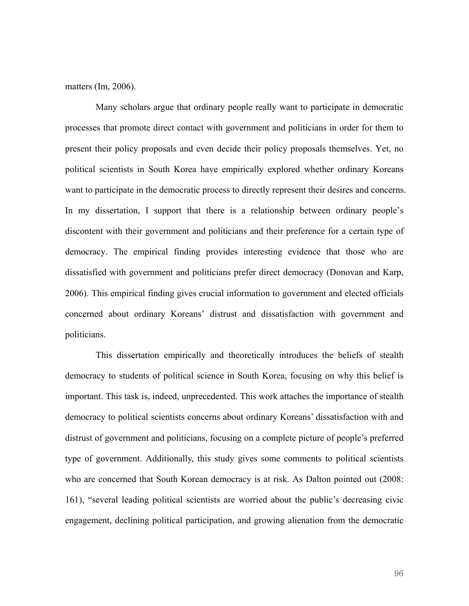matters (Im, 2006).

Many scholars argue that ordinary people really want to participate in democratic processes that promote direct contact with government and politicians in order for them to present their policy proposals and even decide their policy proposals themselves. Yet, no political scientists in South Korea have empirically explored whether ordinary Koreans want to participate in the democratic process to directly represent their desires and concerns. In my dissertation, I support that there is a relationship between ordinary people's discontent with their government and politicians and their preference for a certain type of democracy. The empirical finding provides interesting evidence that those who are dissatisfied with government and politicians prefer direct democracy (Donovan and Karp, 2006). This empirical finding gives crucial information to government and elected officials concerned about ordinary Koreans' distrust and dissatisfaction with government and politicians.

This dissertation empirically and theoretically introduces the beliefs of stealth democracy to students of political science in South Korea, focusing on why this belief is important. This task is, indeed, unprecedented. This work attaches the importance of stealth democracy to political scientists concerns about ordinary Koreans' dissatisfaction with and distrust of government and politicians, focusing on a complete picture of people's preferred type of government. Additionally, this study gives some comments to political scientists who are concerned that South Korean democracy is at risk. As Dalton pointed out (2008: 161), "several leading political scientists are worried about the public's decreasing civic engagement, declining political participation, and growing alienation from the democratic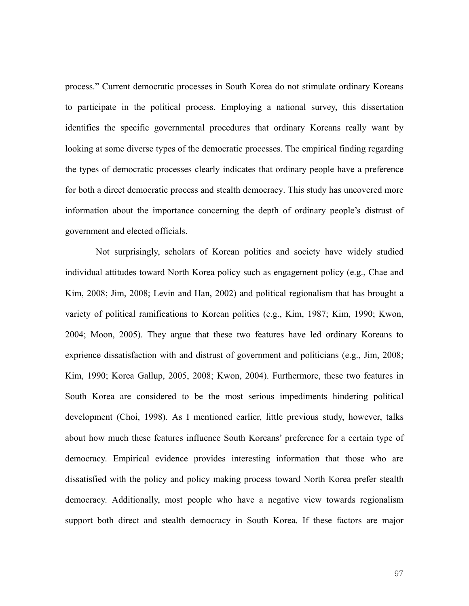process." Current democratic processes in South Korea do not stimulate ordinary Koreans to participate in the political process. Employing a national survey, this dissertation identifies the specific governmental procedures that ordinary Koreans really want by looking at some diverse types of the democratic processes. The empirical finding regarding the types of democratic processes clearly indicates that ordinary people have a preference for both a direct democratic process and stealth democracy. This study has uncovered more information about the importance concerning the depth of ordinary people's distrust of government and elected officials.

Not surprisingly, scholars of Korean politics and society have widely studied individual attitudes toward North Korea policy such as engagement policy (e.g., Chae and Kim, 2008; Jim, 2008; Levin and Han, 2002) and political regionalism that has brought a variety of political ramifications to Korean politics (e.g., Kim, 1987; Kim, 1990; Kwon, 2004; Moon, 2005). They argue that these two features have led ordinary Koreans to exprience dissatisfaction with and distrust of government and politicians (e.g., Jim, 2008; Kim, 1990; Korea Gallup, 2005, 2008; Kwon, 2004). Furthermore, these two features in South Korea are considered to be the most serious impediments hindering political development (Choi, 1998). As I mentioned earlier, little previous study, however, talks about how much these features influence South Koreans' preference for a certain type of democracy. Empirical evidence provides interesting information that those who are dissatisfied with the policy and policy making process toward North Korea prefer stealth democracy. Additionally, most people who have a negative view towards regionalism support both direct and stealth democracy in South Korea. If these factors are major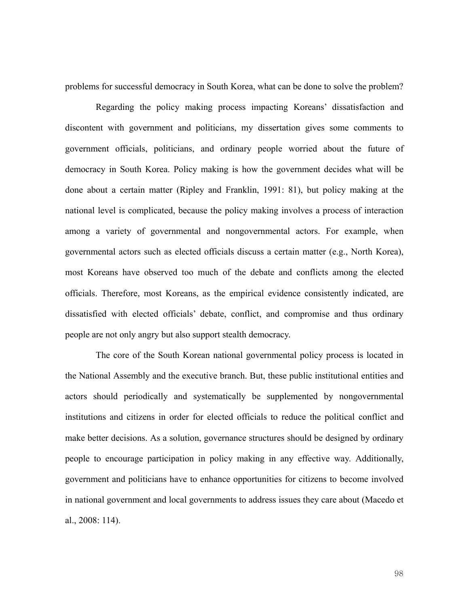problems for successful democracy in South Korea, what can be done to solve the problem?

Regarding the policy making process impacting Koreans' dissatisfaction and discontent with government and politicians, my dissertation gives some comments to government officials, politicians, and ordinary people worried about the future of democracy in South Korea. Policy making is how the government decides what will be done about a certain matter (Ripley and Franklin, 1991: 81), but policy making at the national level is complicated, because the policy making involves a process of interaction among a variety of governmental and nongovernmental actors. For example, when governmental actors such as elected officials discuss a certain matter (e.g., North Korea), most Koreans have observed too much of the debate and conflicts among the elected officials. Therefore, most Koreans, as the empirical evidence consistently indicated, are dissatisfied with elected officials' debate, conflict, and compromise and thus ordinary people are not only angry but also support stealth democracy.

The core of the South Korean national governmental policy process is located in the National Assembly and the executive branch. But, these public institutional entities and actors should periodically and systematically be supplemented by nongovernmental institutions and citizens in order for elected officials to reduce the political conflict and make better decisions. As a solution, governance structures should be designed by ordinary people to encourage participation in policy making in any effective way. Additionally, government and politicians have to enhance opportunities for citizens to become involved in national government and local governments to address issues they care about (Macedo et al., 2008: 114).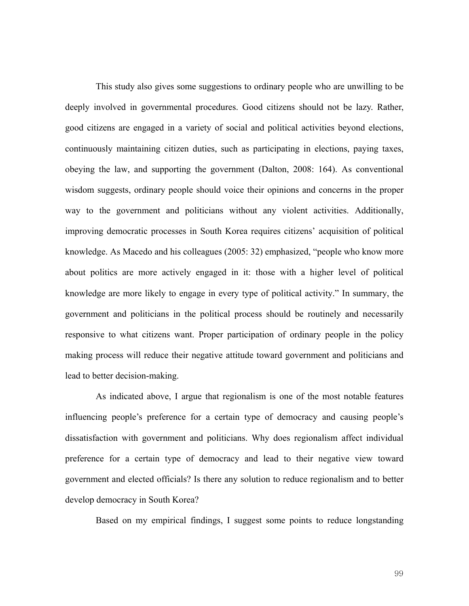This study also gives some suggestions to ordinary people who are unwilling to be deeply involved in governmental procedures. Good citizens should not be lazy. Rather, good citizens are engaged in a variety of social and political activities beyond elections, continuously maintaining citizen duties, such as participating in elections, paying taxes, obeying the law, and supporting the government (Dalton, 2008: 164). As conventional wisdom suggests, ordinary people should voice their opinions and concerns in the proper way to the government and politicians without any violent activities. Additionally, improving democratic processes in South Korea requires citizens' acquisition of political knowledge. As Macedo and his colleagues (2005: 32) emphasized, "people who know more about politics are more actively engaged in it: those with a higher level of political knowledge are more likely to engage in every type of political activity." In summary, the government and politicians in the political process should be routinely and necessarily responsive to what citizens want. Proper participation of ordinary people in the policy making process will reduce their negative attitude toward government and politicians and lead to better decision-making.

As indicated above, I argue that regionalism is one of the most notable features influencing people's preference for a certain type of democracy and causing people's dissatisfaction with government and politicians. Why does regionalism affect individual preference for a certain type of democracy and lead to their negative view toward government and elected officials? Is there any solution to reduce regionalism and to better develop democracy in South Korea?

Based on my empirical findings, I suggest some points to reduce longstanding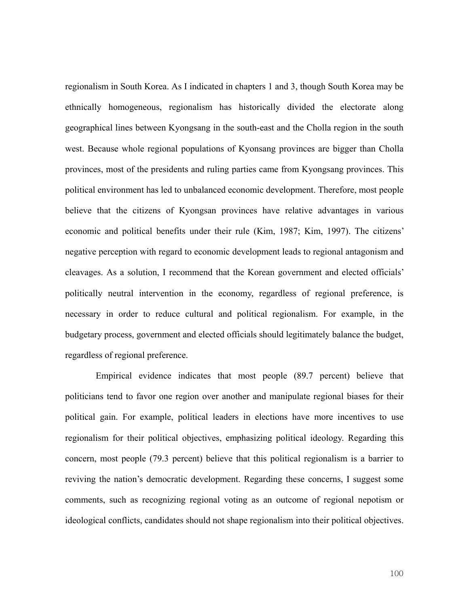regionalism in South Korea. As I indicated in chapters 1 and 3, though South Korea may be ethnically homogeneous, regionalism has historically divided the electorate along geographical lines between Kyongsang in the south-east and the Cholla region in the south west. Because whole regional populations of Kyonsang provinces are bigger than Cholla provinces, most of the presidents and ruling parties came from Kyongsang provinces. This political environment has led to unbalanced economic development. Therefore, most people believe that the citizens of Kyongsan provinces have relative advantages in various economic and political benefits under their rule (Kim, 1987; Kim, 1997). The citizens' negative perception with regard to economic development leads to regional antagonism and cleavages. As a solution, I recommend that the Korean government and elected officials' politically neutral intervention in the economy, regardless of regional preference, is necessary in order to reduce cultural and political regionalism. For example, in the budgetary process, government and elected officials should legitimately balance the budget, regardless of regional preference.

Empirical evidence indicates that most people (89.7 percent) believe that politicians tend to favor one region over another and manipulate regional biases for their political gain. For example, political leaders in elections have more incentives to use regionalism for their political objectives, emphasizing political ideology. Regarding this concern, most people (79.3 percent) believe that this political regionalism is a barrier to reviving the nation's democratic development. Regarding these concerns, I suggest some comments, such as recognizing regional voting as an outcome of regional nepotism or ideological conflicts, candidates should not shape regionalism into their political objectives.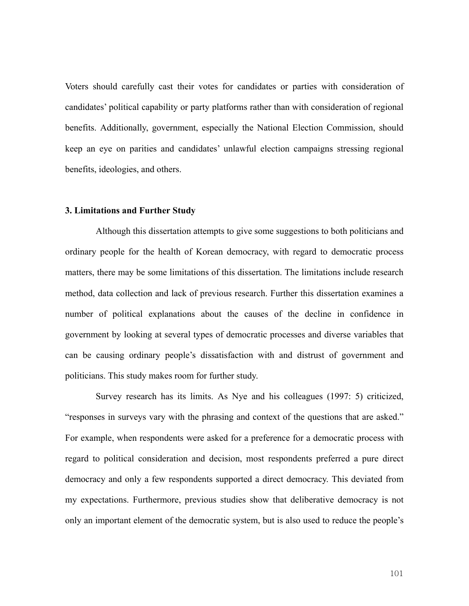Voters should carefully cast their votes for candidates or parties with consideration of candidates' political capability or party platforms rather than with consideration of regional benefits. Additionally, government, especially the National Election Commission, should keep an eye on parities and candidates' unlawful election campaigns stressing regional benefits, ideologies, and others.

#### **3. Limitations and Further Study**

Although this dissertation attempts to give some suggestions to both politicians and ordinary people for the health of Korean democracy, with regard to democratic process matters, there may be some limitations of this dissertation. The limitations include research method, data collection and lack of previous research. Further this dissertation examines a number of political explanations about the causes of the decline in confidence in government by looking at several types of democratic processes and diverse variables that can be causing ordinary people's dissatisfaction with and distrust of government and politicians. This study makes room for further study.

Survey research has its limits. As Nye and his colleagues (1997: 5) criticized, "responses in surveys vary with the phrasing and context of the questions that are asked." For example, when respondents were asked for a preference for a democratic process with regard to political consideration and decision, most respondents preferred a pure direct democracy and only a few respondents supported a direct democracy. This deviated from my expectations. Furthermore, previous studies show that deliberative democracy is not only an important element of the democratic system, but is also used to reduce the people's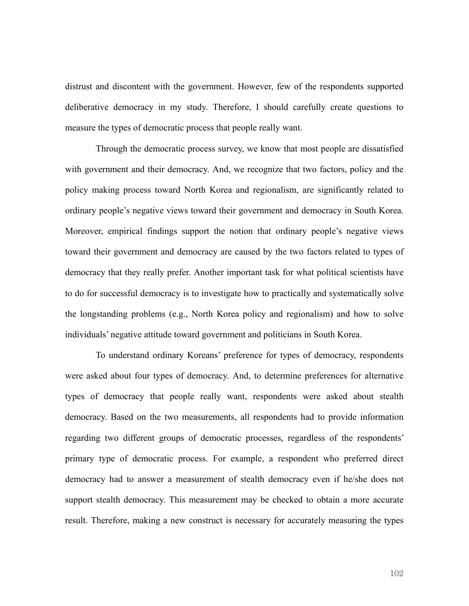distrust and discontent with the government. However, few of the respondents supported deliberative democracy in my study. Therefore, I should carefully create questions to measure the types of democratic process that people really want.

Through the democratic process survey, we know that most people are dissatisfied with government and their democracy. And, we recognize that two factors, policy and the policy making process toward North Korea and regionalism, are significantly related to ordinary people's negative views toward their government and democracy in South Korea. Moreover, empirical findings support the notion that ordinary people's negative views toward their government and democracy are caused by the two factors related to types of democracy that they really prefer. Another important task for what political scientists have to do for successful democracy is to investigate how to practically and systematically solve the longstanding problems (e.g., North Korea policy and regionalism) and how to solve individuals' negative attitude toward government and politicians in South Korea.

To understand ordinary Koreans' preference for types of democracy, respondents were asked about four types of democracy. And, to determine preferences for alternative types of democracy that people really want, respondents were asked about stealth democracy. Based on the two measurements, all respondents had to provide information regarding two different groups of democratic processes, regardless of the respondents' primary type of democratic process. For example, a respondent who preferred direct democracy had to answer a measurement of stealth democracy even if he/she does not support stealth democracy. This measurement may be checked to obtain a more accurate result. Therefore, making a new construct is necessary for accurately measuring the types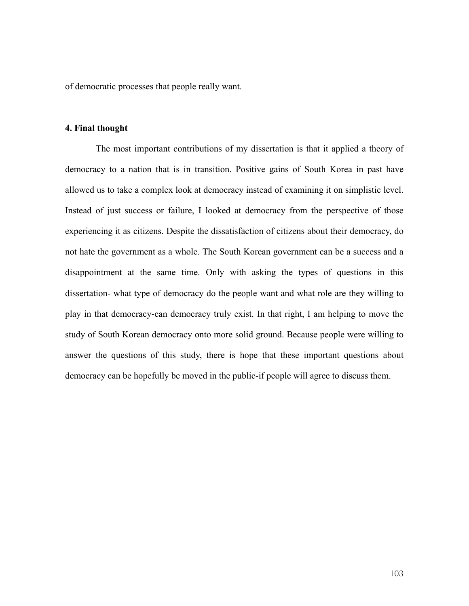of democratic processes that people really want.

# **4. Final thought**

 The most important contributions of my dissertation is that it applied a theory of democracy to a nation that is in transition. Positive gains of South Korea in past have allowed us to take a complex look at democracy instead of examining it on simplistic level. Instead of just success or failure, I looked at democracy from the perspective of those experiencing it as citizens. Despite the dissatisfaction of citizens about their democracy, do not hate the government as a whole. The South Korean government can be a success and a disappointment at the same time. Only with asking the types of questions in this dissertation- what type of democracy do the people want and what role are they willing to play in that democracy-can democracy truly exist. In that right, I am helping to move the study of South Korean democracy onto more solid ground. Because people were willing to answer the questions of this study, there is hope that these important questions about democracy can be hopefully be moved in the public-if people will agree to discuss them.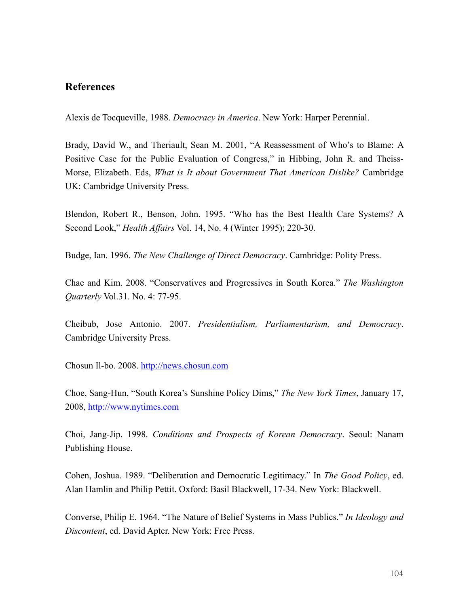# **References**

Alexis de Tocqueville, 1988. *Democracy in America*. New York: Harper Perennial.

Brady, David W., and Theriault, Sean M. 2001, "A Reassessment of Who's to Blame: A Positive Case for the Public Evaluation of Congress," in Hibbing, John R. and Theiss-Morse, Elizabeth. Eds, *What is It about Government That American Dislike?* Cambridge UK: Cambridge University Press.

Blendon, Robert R., Benson, John. 1995. "Who has the Best Health Care Systems? A Second Look," *Health Affairs* Vol. 14, No. 4 (Winter 1995); 220-30.

Budge, Ian. 1996. *The New Challenge of Direct Democracy*. Cambridge: Polity Press.

Chae and Kim. 2008. "Conservatives and Progressives in South Korea." *The Washington Quarterly* Vol.31. No. 4: 77-95.

Cheibub, Jose Antonio. 2007. *Presidentialism, Parliamentarism, and Democracy*. Cambridge University Press.

Chosun Il-bo. 2008. http://news.chosun.com

Choe, Sang-Hun, "South Korea's Sunshine Policy Dims," *The New York Times*, January 17, 2008, http://www.nytimes.com

Choi, Jang-Jip. 1998. *Conditions and Prospects of Korean Democracy*. Seoul: Nanam Publishing House.

Cohen, Joshua. 1989. "Deliberation and Democratic Legitimacy." In *The Good Policy*, ed. Alan Hamlin and Philip Pettit. Oxford: Basil Blackwell, 17-34. New York: Blackwell.

Converse, Philip E. 1964. "The Nature of Belief Systems in Mass Publics." *In Ideology and Discontent*, ed. David Apter. New York: Free Press.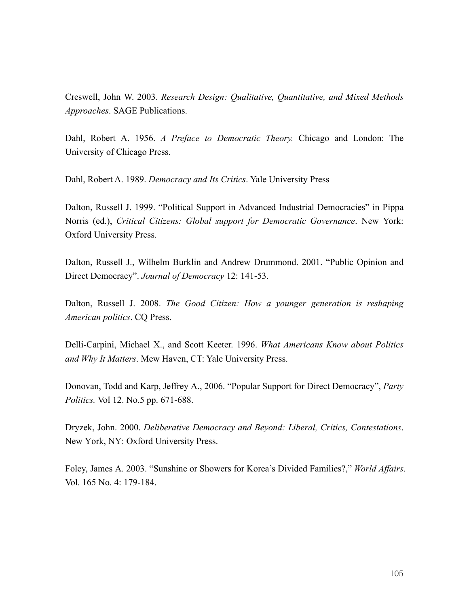Creswell, John W. 2003. *Research Design: Qualitative, Quantitative, and Mixed Methods Approaches*. SAGE Publications.

Dahl, Robert A. 1956. *A Preface to Democratic Theory.* Chicago and London: The University of Chicago Press.

Dahl, Robert A. 1989. *Democracy and Its Critics*. Yale University Press

Dalton, Russell J. 1999. "Political Support in Advanced Industrial Democracies" in Pippa Norris (ed.), *Critical Citizens: Global support for Democratic Governance*. New York: Oxford University Press.

Dalton, Russell J., Wilhelm Burklin and Andrew Drummond. 2001. "Public Opinion and Direct Democracy". *Journal of Democracy* 12: 141-53.

Dalton, Russell J. 2008. *The Good Citizen: How a younger generation is reshaping American politics*. CQ Press.

Delli-Carpini, Michael X., and Scott Keeter. 1996. *What Americans Know about Politics and Why It Matters*. Mew Haven, CT: Yale University Press.

Donovan, Todd and Karp, Jeffrey A., 2006. "Popular Support for Direct Democracy", *Party Politics.* Vol 12. No.5 pp. 671-688.

Dryzek, John. 2000. *Deliberative Democracy and Beyond: Liberal, Critics, Contestations*. New York, NY: Oxford University Press.

Foley, James A. 2003. "Sunshine or Showers for Korea's Divided Families?," *World Affairs*. Vol. 165 No. 4: 179-184.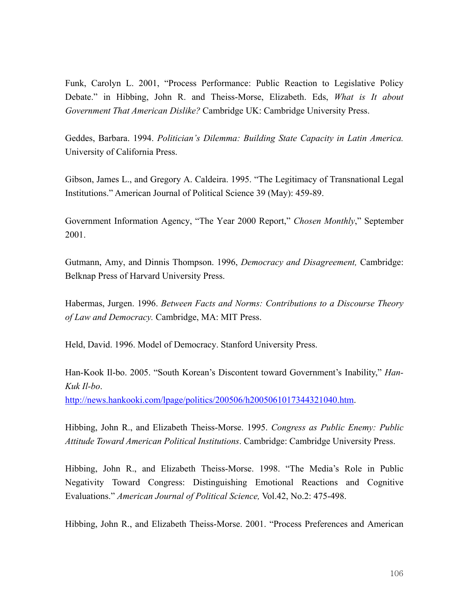Funk, Carolyn L. 2001, "Process Performance: Public Reaction to Legislative Policy Debate." in Hibbing, John R. and Theiss-Morse, Elizabeth. Eds, *What is It about Government That American Dislike?* Cambridge UK: Cambridge University Press.

Geddes, Barbara. 1994. *Politician's Dilemma: Building State Capacity in Latin America.* University of California Press.

Gibson, James L., and Gregory A. Caldeira. 1995. "The Legitimacy of Transnational Legal Institutions." American Journal of Political Science 39 (May): 459-89.

Government Information Agency, "The Year 2000 Report," *Chosen Monthly*," September 2001.

Gutmann, Amy, and Dinnis Thompson. 1996, *Democracy and Disagreement,* Cambridge: Belknap Press of Harvard University Press.

Habermas, Jurgen. 1996. *Between Facts and Norms: Contributions to a Discourse Theory of Law and Democracy.* Cambridge, MA: MIT Press.

Held, David. 1996. Model of Democracy. Stanford University Press.

Han-Kook Il-bo. 2005. "South Korean's Discontent toward Government's Inability," *Han-Kuk Il-bo*.

http://news.hankooki.com/lpage/politics/200506/h2005061017344321040.htm.

Hibbing, John R., and Elizabeth Theiss-Morse. 1995. *Congress as Public Enemy: Public Attitude Toward American Political Institutions*. Cambridge: Cambridge University Press.

Hibbing, John R., and Elizabeth Theiss-Morse. 1998. "The Media's Role in Public Negativity Toward Congress: Distinguishing Emotional Reactions and Cognitive Evaluations." *American Journal of Political Science,* Vol.42, No.2: 475-498.

Hibbing, John R., and Elizabeth Theiss-Morse. 2001. "Process Preferences and American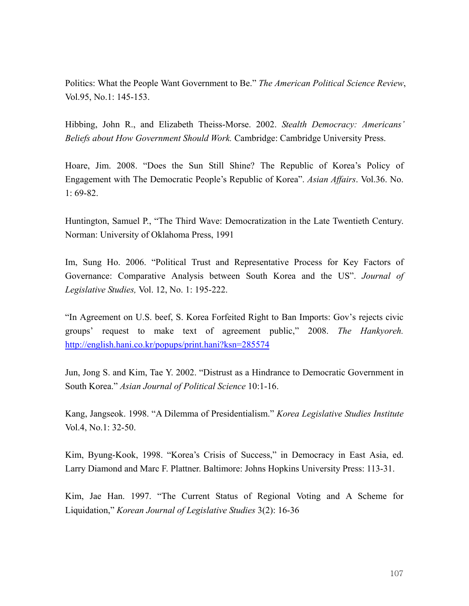Politics: What the People Want Government to Be." *The American Political Science Review*, Vol.95, No.1: 145-153.

Hibbing, John R., and Elizabeth Theiss-Morse. 2002. *Stealth Democracy: Americans' Beliefs about How Government Should Work.* Cambridge: Cambridge University Press.

Hoare, Jim. 2008. "Does the Sun Still Shine? The Republic of Korea's Policy of Engagement with The Democratic People's Republic of Korea". *Asian Affairs*. Vol.36. No.  $1:69-82.$ 

Huntington, Samuel P., "The Third Wave: Democratization in the Late Twentieth Century. Norman: University of Oklahoma Press, 1991

Im, Sung Ho. 2006. "Political Trust and Representative Process for Key Factors of Governance: Comparative Analysis between South Korea and the US". *Journal of Legislative Studies,* Vol. 12, No. 1: 195-222.

"In Agreement on U.S. beef, S. Korea Forfeited Right to Ban Imports: Gov's rejects civic groups' request to make text of agreement public," 2008. *The Hankyoreh.* http://english.hani.co.kr/popups/print.hani?ksn=285574

Jun, Jong S. and Kim, Tae Y. 2002. "Distrust as a Hindrance to Democratic Government in South Korea." *Asian Journal of Political Science* 10:1-16.

Kang, Jangseok. 1998. "A Dilemma of Presidentialism." *Korea Legislative Studies Institute* Vol.4, No.1: 32-50.

Kim, Byung-Kook, 1998. "Korea's Crisis of Success," in Democracy in East Asia, ed. Larry Diamond and Marc F. Plattner. Baltimore: Johns Hopkins University Press: 113-31.

Kim, Jae Han. 1997. "The Current Status of Regional Voting and A Scheme for Liquidation," *Korean Journal of Legislative Studies* 3(2): 16-36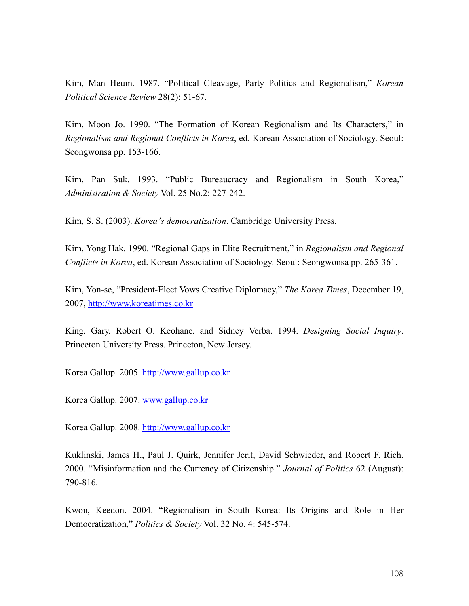Kim, Man Heum. 1987. "Political Cleavage, Party Politics and Regionalism," *Korean Political Science Review* 28(2): 51-67.

Kim, Moon Jo. 1990. "The Formation of Korean Regionalism and Its Characters," in *Regionalism and Regional Conflicts in Korea*, ed. Korean Association of Sociology. Seoul: Seongwonsa pp. 153-166.

Kim, Pan Suk. 1993. "Public Bureaucracy and Regionalism in South Korea," *Administration & Society* Vol. 25 No.2: 227-242.

Kim, S. S. (2003). *Korea's democratization*. Cambridge University Press.

Kim, Yong Hak. 1990. "Regional Gaps in Elite Recruitment," in *Regionalism and Regional Conflicts in Korea*, ed. Korean Association of Sociology. Seoul: Seongwonsa pp. 265-361.

Kim, Yon-se, "President-Elect Vows Creative Diplomacy," *The Korea Times*, December 19, 2007, http://www.koreatimes.co.kr

King, Gary, Robert O. Keohane, and Sidney Verba. 1994. *Designing Social Inquiry*. Princeton University Press. Princeton, New Jersey.

Korea Gallup. 2005. http://www.gallup.co.kr

Korea Gallup. 2007. www.gallup.co.kr

Korea Gallup. 2008. http://www.gallup.co.kr

Kuklinski, James H., Paul J. Quirk, Jennifer Jerit, David Schwieder, and Robert F. Rich. 2000. "Misinformation and the Currency of Citizenship." *Journal of Politics* 62 (August): 790-816.

Kwon, Keedon. 2004. "Regionalism in South Korea: Its Origins and Role in Her Democratization," *Politics & Society* Vol. 32 No. 4: 545-574.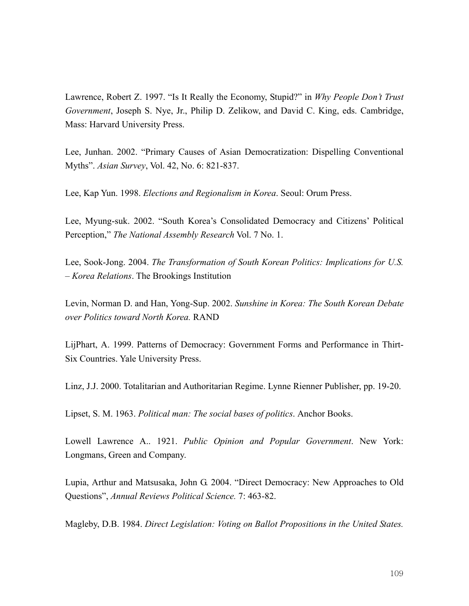Lawrence, Robert Z. 1997. "Is It Really the Economy, Stupid?" in *Why People Don't Trust Government*, Joseph S. Nye, Jr., Philip D. Zelikow, and David C. King, eds. Cambridge, Mass: Harvard University Press.

Lee, Junhan. 2002. "Primary Causes of Asian Democratization: Dispelling Conventional Myths". *Asian Survey*, Vol. 42, No. 6: 821-837.

Lee, Kap Yun. 1998. *Elections and Regionalism in Korea*. Seoul: Orum Press.

Lee, Myung-suk. 2002. "South Korea's Consolidated Democracy and Citizens' Political Perception," *The National Assembly Research* Vol. 7 No. 1.

Lee, Sook-Jong. 2004. *The Transformation of South Korean Politics: Implications for U.S. – Korea Relations*. The Brookings Institution

Levin, Norman D. and Han, Yong-Sup. 2002. *Sunshine in Korea: The South Korean Debate over Politics toward North Korea.* RAND

LijPhart, A. 1999. Patterns of Democracy: Government Forms and Performance in Thirt-Six Countries. Yale University Press.

Linz, J.J. 2000. Totalitarian and Authoritarian Regime. Lynne Rienner Publisher, pp. 19-20.

Lipset, S. M. 1963. *Political man: The social bases of politics*. Anchor Books.

Lowell Lawrence A.. 1921. *Public Opinion and Popular Government*. New York: Longmans, Green and Company.

Lupia, Arthur and Matsusaka, John G. 2004. "Direct Democracy: New Approaches to Old Questions", *Annual Reviews Political Science.* 7: 463-82.

Magleby, D.B. 1984. *Direct Legislation: Voting on Ballot Propositions in the United States.*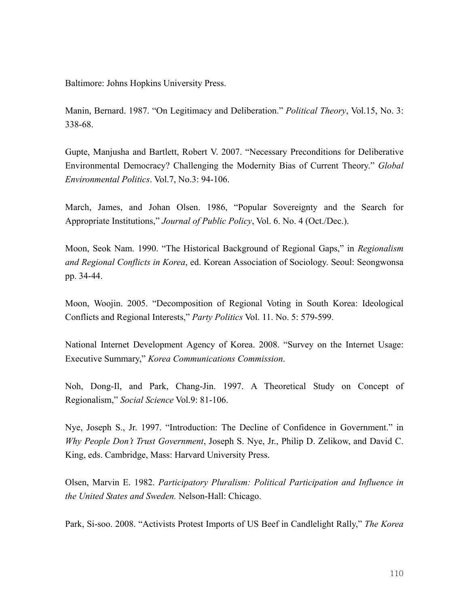Baltimore: Johns Hopkins University Press.

Manin, Bernard. 1987. "On Legitimacy and Deliberation." *Political Theory*, Vol.15, No. 3: 338-68.

Gupte, Manjusha and Bartlett, Robert V. 2007. "Necessary Preconditions for Deliberative Environmental Democracy? Challenging the Modernity Bias of Current Theory." *Global Environmental Politics*. Vol.7, No.3: 94-106.

March, James, and Johan Olsen. 1986, "Popular Sovereignty and the Search for Appropriate Institutions," *Journal of Public Policy*, Vol. 6. No. 4 (Oct./Dec.).

Moon, Seok Nam. 1990. "The Historical Background of Regional Gaps," in *Regionalism and Regional Conflicts in Korea*, ed. Korean Association of Sociology. Seoul: Seongwonsa pp. 34-44.

Moon, Woojin. 2005. "Decomposition of Regional Voting in South Korea: Ideological Conflicts and Regional Interests," *Party Politics* Vol. 11. No. 5: 579-599.

National Internet Development Agency of Korea. 2008. "Survey on the Internet Usage: Executive Summary," *Korea Communications Commission*.

Noh, Dong-Il, and Park, Chang-Jin. 1997. A Theoretical Study on Concept of Regionalism," *Social Science* Vol.9: 81-106.

Nye, Joseph S., Jr. 1997. "Introduction: The Decline of Confidence in Government." in *Why People Don't Trust Government*, Joseph S. Nye, Jr., Philip D. Zelikow, and David C. King, eds. Cambridge, Mass: Harvard University Press.

Olsen, Marvin E. 1982. *Participatory Pluralism: Political Participation and Influence in the United States and Sweden.* Nelson-Hall: Chicago.

Park, Si-soo. 2008. "Activists Protest Imports of US Beef in Candlelight Rally," *The Korea*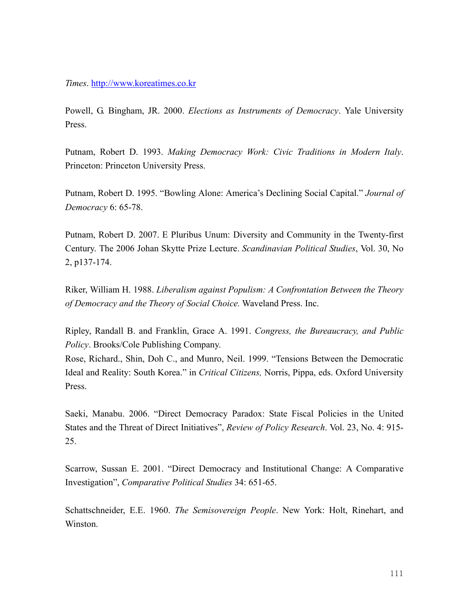*Times*. http://www.koreatimes.co.kr

Powell, G. Bingham, JR. 2000. *Elections as Instruments of Democracy*. Yale University Press.

Putnam, Robert D. 1993. *Making Democracy Work: Civic Traditions in Modern Italy*. Princeton: Princeton University Press.

Putnam, Robert D. 1995. "Bowling Alone: America's Declining Social Capital." *Journal of Democracy* 6: 65-78.

Putnam, Robert D. 2007. E Pluribus Unum: Diversity and Community in the Twenty-first Century. The 2006 Johan Skytte Prize Lecture. *Scandinavian Political Studies*, Vol. 30, No 2, p137-174.

Riker, William H. 1988. *Liberalism against Populism: A Confrontation Between the Theory of Democracy and the Theory of Social Choice.* Waveland Press. Inc.

Ripley, Randall B. and Franklin, Grace A. 1991. *Congress, the Bureaucracy, and Public Policy*. Brooks/Cole Publishing Company.

Rose, Richard., Shin, Doh C., and Munro, Neil. 1999. "Tensions Between the Democratic Ideal and Reality: South Korea." in *Critical Citizens,* Norris, Pippa, eds. Oxford University Press.

Saeki, Manabu. 2006. "Direct Democracy Paradox: State Fiscal Policies in the United States and the Threat of Direct Initiatives", *Review of Policy Research*. Vol. 23, No. 4: 915- 25.

Scarrow, Sussan E. 2001. "Direct Democracy and Institutional Change: A Comparative Investigation", *Comparative Political Studies* 34: 651-65.

Schattschneider, E.E. 1960. *The Semisovereign People*. New York: Holt, Rinehart, and Winston.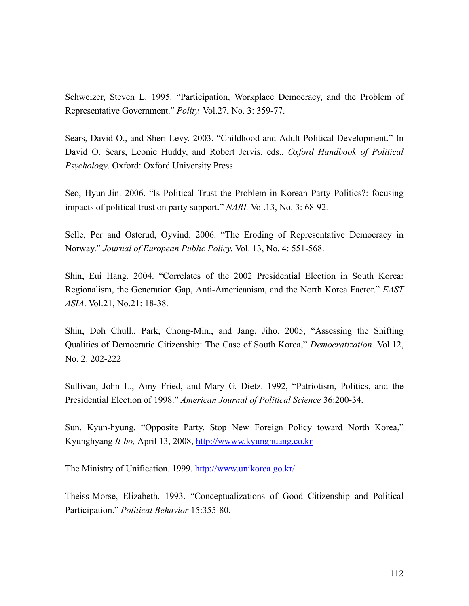Schweizer, Steven L. 1995. "Participation, Workplace Democracy, and the Problem of Representative Government." *Polity.* Vol.27, No. 3: 359-77.

Sears, David O., and Sheri Levy. 2003. "Childhood and Adult Political Development." In David O. Sears, Leonie Huddy, and Robert Jervis, eds., *Oxford Handbook of Political Psychology*. Oxford: Oxford University Press.

Seo, Hyun-Jin. 2006. "Is Political Trust the Problem in Korean Party Politics?: focusing impacts of political trust on party support." *NARI.* Vol.13, No. 3: 68-92.

Selle, Per and Osterud, Oyvind. 2006. "The Eroding of Representative Democracy in Norway." *Journal of European Public Policy.* Vol. 13, No. 4: 551-568.

Shin, Eui Hang. 2004. "Correlates of the 2002 Presidential Election in South Korea: Regionalism, the Generation Gap, Anti-Americanism, and the North Korea Factor." *EAST ASIA*. Vol.21, No.21: 18-38.

Shin, Doh Chull., Park, Chong-Min., and Jang, Jiho. 2005, "Assessing the Shifting Qualities of Democratic Citizenship: The Case of South Korea," *Democratization*. Vol.12, No. 2: 202-222

Sullivan, John L., Amy Fried, and Mary G. Dietz. 1992, "Patriotism, Politics, and the Presidential Election of 1998." *American Journal of Political Science* 36:200-34.

Sun, Kyun-hyung. "Opposite Party, Stop New Foreign Policy toward North Korea," Kyunghyang *Il-bo,* April 13, 2008, http://wwww.kyunghuang.co.kr

The Ministry of Unification. 1999. http://www.unikorea.go.kr/

Theiss-Morse, Elizabeth. 1993. "Conceptualizations of Good Citizenship and Political Participation." *Political Behavior* 15:355-80.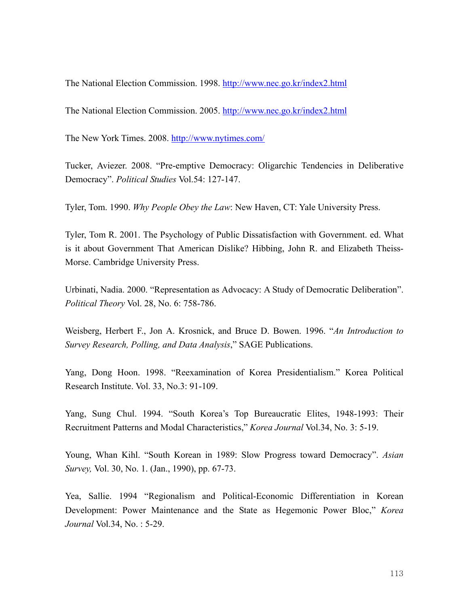The National Election Commission. 1998. http://www.nec.go.kr/index2.html

The National Election Commission. 2005. http://www.nec.go.kr/index2.html

The New York Times. 2008. http://www.nytimes.com/

Tucker, Aviezer. 2008. "Pre-emptive Democracy: Oligarchic Tendencies in Deliberative Democracy". *Political Studies* Vol.54: 127-147.

Tyler, Tom. 1990. *Why People Obey the Law*: New Haven, CT: Yale University Press.

Tyler, Tom R. 2001. The Psychology of Public Dissatisfaction with Government. ed. What is it about Government That American Dislike? Hibbing, John R. and Elizabeth Theiss-Morse. Cambridge University Press.

Urbinati, Nadia. 2000. "Representation as Advocacy: A Study of Democratic Deliberation". *Political Theory* Vol. 28, No. 6: 758-786.

Weisberg, Herbert F., Jon A. Krosnick, and Bruce D. Bowen. 1996. "*An Introduction to Survey Research, Polling, and Data Analysis*," SAGE Publications.

Yang, Dong Hoon. 1998. "Reexamination of Korea Presidentialism." Korea Political Research Institute. Vol. 33, No.3: 91-109.

Yang, Sung Chul. 1994. "South Korea's Top Bureaucratic Elites, 1948-1993: Their Recruitment Patterns and Modal Characteristics," *Korea Journal* Vol.34, No. 3: 5-19.

Young, Whan Kihl. "South Korean in 1989: Slow Progress toward Democracy". *Asian Survey,* Vol. 30, No. 1. (Jan., 1990), pp. 67-73.

Yea, Sallie. 1994 "Regionalism and Political-Economic Differentiation in Korean Development: Power Maintenance and the State as Hegemonic Power Bloc," *Korea Journal* Vol.34, No. : 5-29.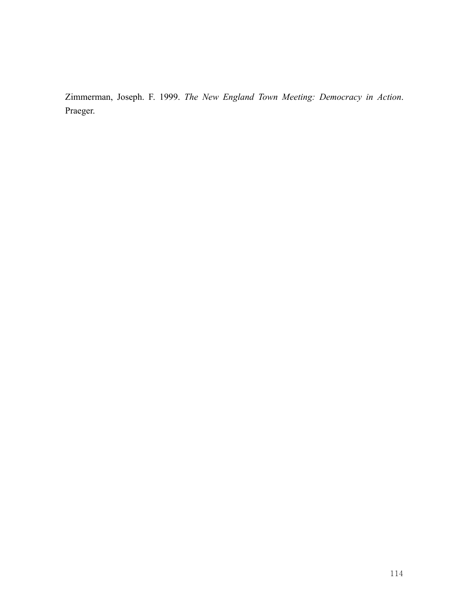Zimmerman, Joseph. F. 1999. *The New England Town Meeting: Democracy in Action*. Praeger.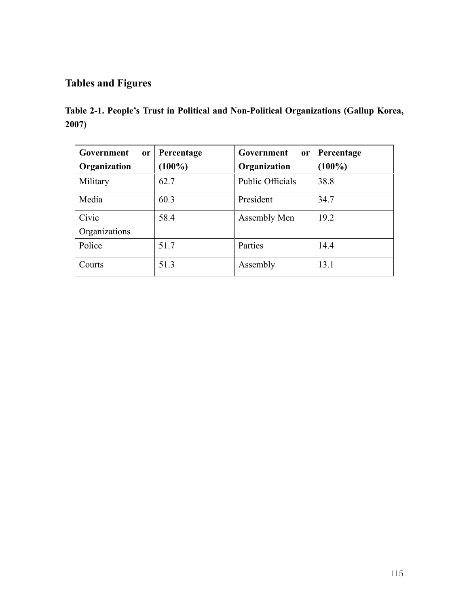# **Tables and Figures**

|       |  |  | Table 2-1. People's Trust in Political and Non-Political Organizations (Gallup Korea, |  |
|-------|--|--|---------------------------------------------------------------------------------------|--|
| 2007) |  |  |                                                                                       |  |

| Government    | or Percentage | Government<br><sub>or</sub> | Percentage |
|---------------|---------------|-----------------------------|------------|
| Organization  | $(100\%)$     | Organization                | $(100\%)$  |
| Military      | 62.7          | <b>Public Officials</b>     | 38.8       |
| Media         | 60.3          | President                   | 34.7       |
| Civic         | 58.4          | Assembly Men                | 19.2       |
| Organizations |               |                             |            |
| Police        | 51.7          | Parties                     | 14.4       |
| Courts        | 51.3          | Assembly                    | 13.1       |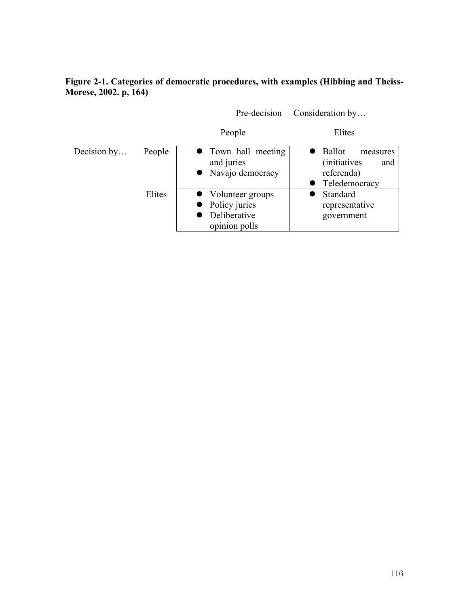# **Figure 2-1. Categories of democratic procedures, with examples (Hibbing and Theiss-Morese, 2002. p, 164)**

|             |        | Pre-decision                                                         | Consideration by                                                                          |
|-------------|--------|----------------------------------------------------------------------|-------------------------------------------------------------------------------------------|
|             |        | People                                                               | Elites                                                                                    |
| Decision by | People | • Town hall meeting<br>and juries<br>• Navajo democracy              | <b>Ballot</b><br>measures<br><i>(initiatives)</i><br>and<br>referenda)<br>• Teledemocracy |
|             | Elites | • Volunteer groups<br>Policy juries<br>Deliberative<br>opinion polls | Standard<br>representative<br>government                                                  |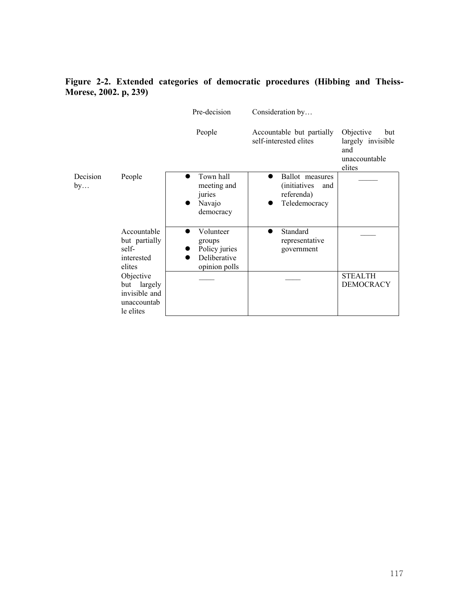# **Figure 2-2. Extended categories of democratic procedures (Hibbing and Theiss-Morese, 2002. p, 239)**

|                |                                                                       | Pre-decision                                                          | Consideration by                                                              |                                                                         |
|----------------|-----------------------------------------------------------------------|-----------------------------------------------------------------------|-------------------------------------------------------------------------------|-------------------------------------------------------------------------|
|                |                                                                       | People                                                                | Accountable but partially<br>self-interested elites                           | Objective<br>but<br>largely invisible<br>and<br>unaccountable<br>elites |
| Decision<br>by | People                                                                | Town hall<br>meeting and<br>juries<br>Navajo<br>democracy             | Ballot measures<br><i>(initiatives)</i><br>and<br>referenda)<br>Teledemocracy |                                                                         |
|                | Accountable<br>but partially<br>self-<br>interested<br>elites         | Volunteer<br>groups<br>Policy juries<br>Deliberative<br>opinion polls | Standard<br>representative<br>government                                      |                                                                         |
|                | Objective<br>but largely<br>invisible and<br>unaccountab<br>le elites |                                                                       |                                                                               | <b>STEALTH</b><br><b>DEMOCRACY</b>                                      |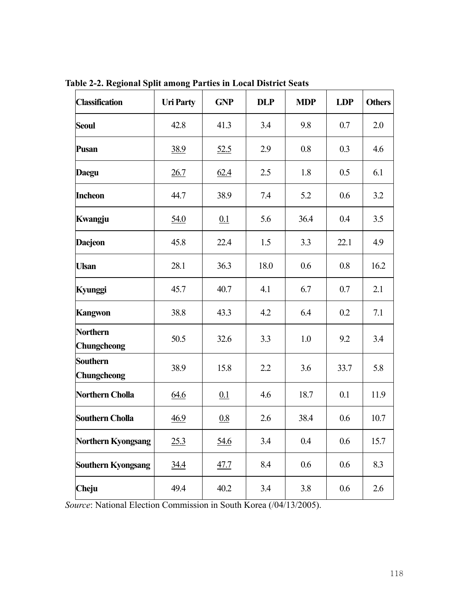| <b>Classification</b>          | <b>Uri Party</b> | <b>GNP</b>  | <b>DLP</b> | <b>MDP</b> | <b>LDP</b> | <b>Others</b> |
|--------------------------------|------------------|-------------|------------|------------|------------|---------------|
| <b>Seoul</b>                   | 42.8             | 41.3        | 3.4        | 9.8        | 0.7        | 2.0           |
| <b>Pusan</b>                   | 38.9             | 52.5        | 2.9        | 0.8        | 0.3        | 4.6           |
| Daegu                          | 26.7             | 62.4        | 2.5        | 1.8        | 0.5        | 6.1           |
| <b>Incheon</b>                 | 44.7             | 38.9        | 7.4        | 5.2        | 0.6        | 3.2           |
| Kwangju                        | 54.0             | 0.1         | 5.6        | 36.4       | 0.4        | 3.5           |
| <b>Daejeon</b>                 | 45.8             | 22.4        | 1.5        | 3.3        | 22.1       | 4.9           |
| <b>Ulsan</b>                   | 28.1             | 36.3        | 18.0       | 0.6        | 0.8        | 16.2          |
| Kyunggi                        | 45.7             | 40.7        | 4.1        | 6.7        | 0.7        | 2.1           |
| <b>Kangwon</b>                 | 38.8             | 43.3        | 4.2        | 6.4        | 0.2        | 7.1           |
| <b>Northern</b><br>Chungcheong | 50.5             | 32.6        | 3.3        | 1.0        | 9.2        | 3.4           |
| <b>Southern</b><br>Chungcheong | 38.9             | 15.8        | 2.2        | 3.6        | 33.7       | 5.8           |
| <b>Northern Cholla</b>         | 64.6             | 0.1         | 4.6        | 18.7       | 0.1        | 11.9          |
| <b>Southern Cholla</b>         | 46.9             | 0.8         | 2.6        | 38.4       | 0.6        | 10.7          |
| <b>Northern Kyongsang</b>      | 25.3             | <u>54.6</u> | 3.4        | 0.4        | 0.6        | 15.7          |
| <b>Southern Kyongsang</b>      | <u>34.4</u>      | <u>47.7</u> | 8.4        | 0.6        | 0.6        | 8.3           |
| Cheju                          | 49.4             | 40.2        | 3.4        | 3.8        | 0.6        | 2.6           |

**Table 2-2. Regional Split among Parties in Local District Seats** 

*Source*: National Election Commission in South Korea (/04/13/2005).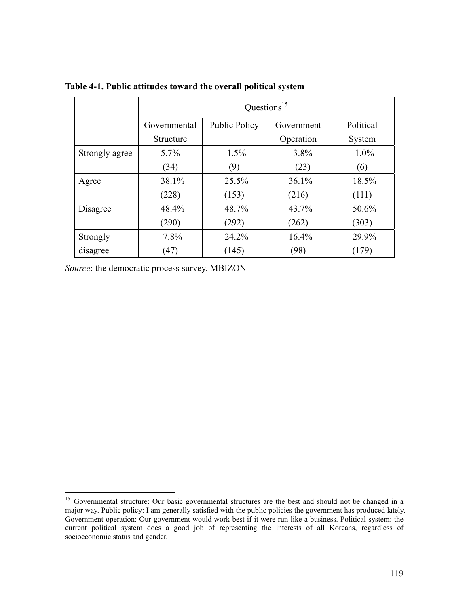|                |              |               | Questions <sup>15</sup> |           |
|----------------|--------------|---------------|-------------------------|-----------|
|                | Governmental | Public Policy | Government              | Political |
|                | Structure    |               | Operation               | System    |
| Strongly agree | $5.7\%$      | 1.5%          | 3.8%                    | 1.0%      |
|                | (34)         | (9)           | (23)                    | (6)       |
| Agree          | 38.1%        | 25.5%         | 36.1%                   | 18.5%     |
|                | (228)        | (153)         | (216)                   | (111)     |
| Disagree       | 48.4%        | 48.7%         | 43.7%                   | 50.6%     |
|                | (290)        | (292)         | (262)                   | (303)     |
| Strongly       | 7.8%         | 24.2%         | 16.4%                   | 29.9%     |
| disagree       | (47)         | (145)         | (98)                    | (179)     |

**Table 4-1. Public attitudes toward the overall political system** 

 $\overline{a}$ 

<sup>&</sup>lt;sup>15</sup> Governmental structure: Our basic governmental structures are the best and should not be changed in a major way. Public policy: I am generally satisfied with the public policies the government has produced lately. Government operation: Our government would work best if it were run like a business. Political system: the current political system does a good job of representing the interests of all Koreans, regardless of socioeconomic status and gender.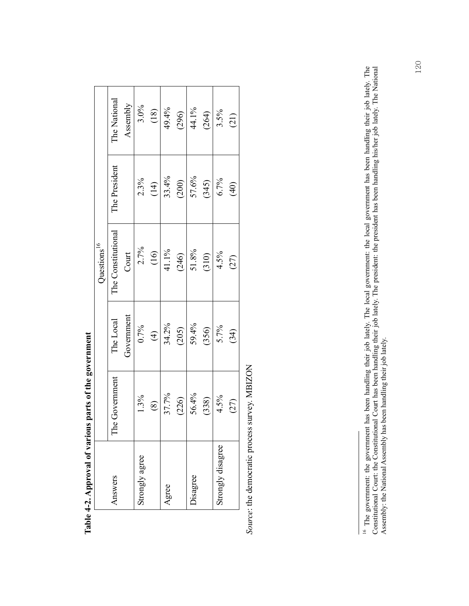|                         | The National       | Assembly   | $3.0\%$        | $(18)$         | 49.4% | (296) | 44.1%           | (264) | 3.5%              | (21)           |
|-------------------------|--------------------|------------|----------------|----------------|-------|-------|-----------------|-------|-------------------|----------------|
|                         | The President      |            | 2.3%           | (14)           | 33.4% | (200) | 57.6%           | (345) | 6.7%              | $\widehat{40}$ |
| Questions <sup>16</sup> | The Constitutional | Court      | 2.7%           | $\frac{16}{1}$ | 41.1% | (246) | $51.8\%$        | (310) | 4.5%              | (27)           |
|                         | The Local          | Government | 0.7%           | $\bigoplus$    | 34.2% | (205) | 59.4%           | (356) | $5.7\%$           | (34)           |
|                         | The Government     |            | 1.3%           | $\circledS$    | 37.7% | (226) | 56.4%           | (338) | 4.5%              | (27)           |
|                         | Answers            |            | Strongly agree |                | Agree |       | <b>Jisagree</b> |       | Strongly disagree |                |

Table 4-2. Approval of various parts of the government **Table 4-2. Approval of various parts of the government** 

Source: the democratic process survey. MBIZON *Source*: the democratic process survey. MBIZON

<sup>&</sup>lt;sup>16</sup> The government: the government has been handling their job lately. The local government: the local government has been handling their job lately. The Constitutional Court: the Constitutional Court has been handling th 16 The government: the government has been handling their job lately. The local government: the local government has been handling their job lately. The Constitutional Court: the Constitutional Court has been handling their job lately. The president: the president has been handling his/her job lately. The National Assembly: the National Assembly has been handling their job lately.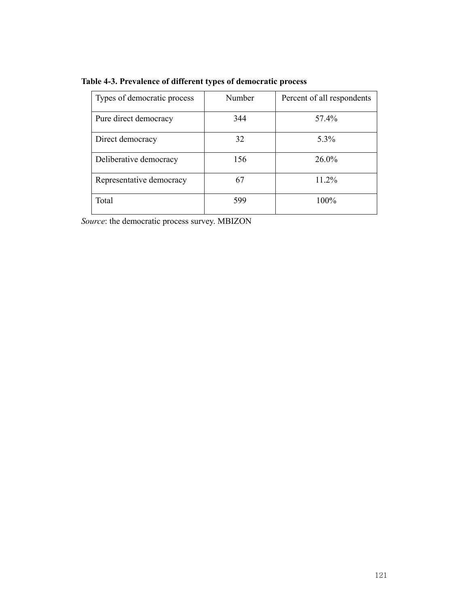| Types of democratic process | Number | Percent of all respondents |
|-----------------------------|--------|----------------------------|
| Pure direct democracy       | 344    | 57.4%                      |
| Direct democracy            | 32     | 5.3%                       |
| Deliberative democracy      | 156    | $26.0\%$                   |
| Representative democracy    | 67     | 11.2%                      |
| Total                       | 599    | 100%                       |

**Table 4-3. Prevalence of different types of democratic process**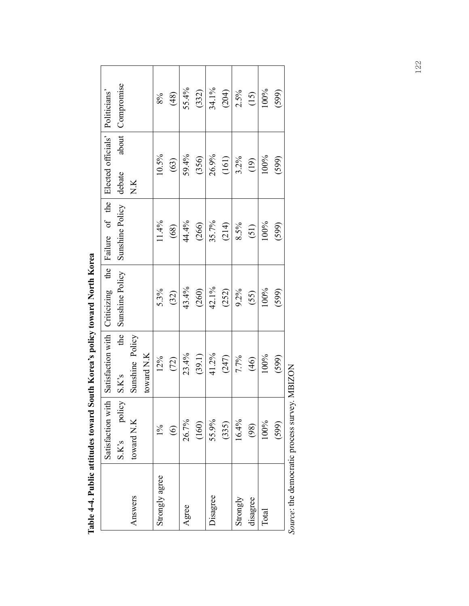|                                   | Satisfaction with | Satisfaction with  | Criticizing the | Failure of the  | Elected officials' | Politicians' |
|-----------------------------------|-------------------|--------------------|-----------------|-----------------|--------------------|--------------|
|                                   | S.K's policy      | the<br>S.Ks        | Sunshine Policy | Sunshine Policy | about<br>debate    | Compromise   |
| Answers                           | toward N.K        | Sunshine Policy    |                 |                 | N.K                |              |
|                                   |                   | $toward$ $\rm N.K$ |                 |                 |                    |              |
| Strongly agree                    | $1\%$             | 12%                | 5.3%            | 11.4%           | 10.5%              | 8%           |
|                                   | $\widehat{\odot}$ | (72)               | (32)            | (68)            | (63)               | (48)         |
| Agree                             | 26.7%             | 23.4%              | 43.4%           | 44.4%           | 59.4%              | 55.4%        |
|                                   | (160)             | (39.1)             | (260)           | (266)           | (356)              | (332)        |
| Disagree                          | 55.9%             | 41.2%              | 42.1%           | 35.7%           | 26.9%              | 34.1%        |
|                                   | (335)             | (247)              | (252)           | (214)           | (161)              | (204)        |
| Strongly                          | 16.4%             | 7.7%               | 9.2%            | 8.5%            | 3.2%               | 2.5%         |
| disagree                          | (98)              | (46)               | (55)            | (51)            | (19)               | (15)         |
| Total                             | 100%              | 100%               | 100%            | 100%            | 100%               | 100%         |
|                                   | (599)             | (599)              | (599)           | (599)           | (599)              | (599)        |
| aura: the democratic process surs |                   | av MPIZON          |                 |                 |                    |              |

Table 4-4. Public attitudes toward South Korea's policy toward North Korea **Table 4-4. Public attitudes toward South Korea's policy toward North Korea** 

Source: the democratic process survey. MBIZON *Source*: the democratic process survey. MBIZON

122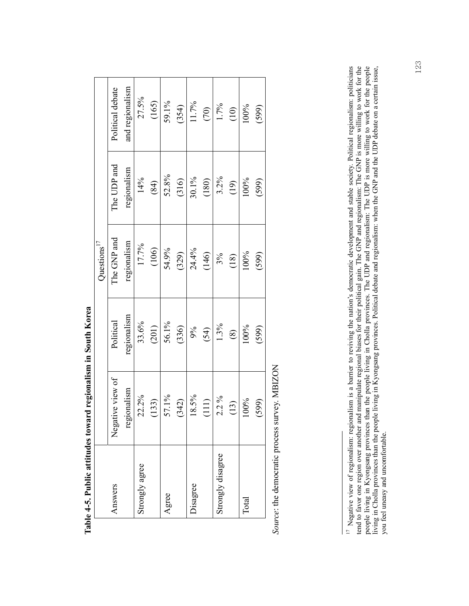|                   |                  |             | Questions $17$ |             |                  |
|-------------------|------------------|-------------|----------------|-------------|------------------|
| Answers           | Negative view of | Political   | The GNP and    | The UDP and | Political debate |
|                   | regionalism      | regionalism | regionalism    | regionalism | and regionalism  |
| Strongly agree    | 22.2%            | 33.6%       | 17.7%          | 14%         | 27.5%            |
|                   | (133)            | (201)       | (106)          | (84)        | (165)            |
| Agree             | 57.1%            | 56.1%       | 54.9%          | 52.8%       | 59.1%            |
|                   | (342)            | (336)       | (329)          | (316)       | (354)            |
| Disagree          | 18.5%            | 9%          | 24.4%          | 30.1%       | 11.7%            |
|                   | (111)            | (54)        | (146)          | (180)       | (70)             |
| Strongly disagree | $2.2\%$          | 1.3%        | 3%             | 3.2%        | $1.7\%$          |
|                   | (13)             | $\circledS$ | (18)           | (19)        | (10)             |
| $\Gamma$ otal     | 100%             | 100%        | 100%           | 100%        | 100%             |
|                   | (599)            | (599)       | (599)          | (599)       | (599)            |

**Table 4-5. Public attitudes toward regionalism in South Korea**  Table 4-5. Public attitudes toward regionalism in South Korea

Source: the democratic process survey. MBIZON *Source*: the democratic process survey. MBIZON

<sup>&</sup>lt;sup>17</sup> Negative view of regionalism: regionalism is a barrier to reviving the nation's democratic development and stable society. Political regionalism: politicians tend to favor one region over another and manipulate regio <sup>17</sup> Negative view of regionalism: regionalism is a barrier to reviving the nation's democratic development and stable society. Political regionalism: politicians tend to favor one region over another and manipulate regional biases for their political gain. The GNP and regionalism: The GNP is more willing to work for the people living in Kyongsang provinces than the people living in Cholla provinces. The UDP and regionalism: The UDP is more willing to work for the people living in Cholla provinces than the people living in Kyongsang provinces. Political debate and regionalism: when the GNP and the UDP debate on a certain issue, you feel uneasy and uncomfortable.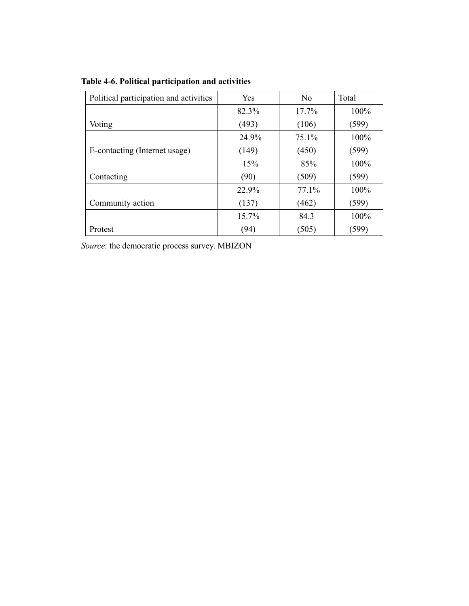| Political participation and activities | Yes   | N <sub>0</sub> | Total |
|----------------------------------------|-------|----------------|-------|
|                                        | 82.3% | 17.7%          | 100%  |
| Voting                                 | (493) | (106)          | (599) |
|                                        | 24.9% | 75.1%          | 100%  |
| E-contacting (Internet usage)          | (149) | (450)          | (599) |
|                                        | 15%   | 85%            | 100%  |
| Contacting                             | (90)  | (509)          | (599) |
|                                        | 22.9% | 77.1%          | 100%  |
| Community action                       | (137) | (462)          | (599) |
|                                        | 15.7% | 84.3           | 100%  |
| Protest                                | (94)  | (505)          | (599) |

 $\sim$ 

**Table 4-6. Political participation and activities**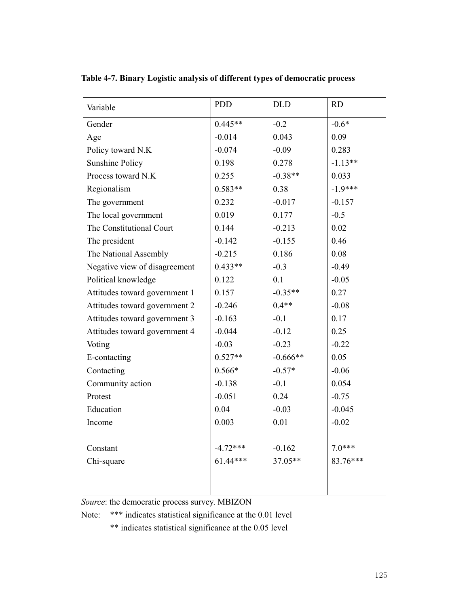| Variable                      | <b>PDD</b> | <b>DLD</b> | RD        |
|-------------------------------|------------|------------|-----------|
| Gender                        | $0.445**$  | $-0.2$     | $-0.6*$   |
| Age                           | $-0.014$   | 0.043      | 0.09      |
| Policy toward N.K             | $-0.074$   | $-0.09$    | 0.283     |
| <b>Sunshine Policy</b>        | 0.198      | 0.278      | $-1.13**$ |
| Process toward N.K            | 0.255      | $-0.38**$  | 0.033     |
| Regionalism                   | $0.583**$  | 0.38       | $-1.9***$ |
| The government                | 0.232      | $-0.017$   | $-0.157$  |
| The local government          | 0.019      | 0.177      | $-0.5$    |
| The Constitutional Court      | 0.144      | $-0.213$   | 0.02      |
| The president                 | $-0.142$   | $-0.155$   | 0.46      |
| The National Assembly         | $-0.215$   | 0.186      | 0.08      |
| Negative view of disagreement | $0.433**$  | $-0.3$     | $-0.49$   |
| Political knowledge           | 0.122      | 0.1        | $-0.05$   |
| Attitudes toward government 1 | 0.157      | $-0.35**$  | 0.27      |
| Attitudes toward government 2 | $-0.246$   | $0.4**$    | $-0.08$   |
| Attitudes toward government 3 | $-0.163$   | $-0.1$     | 0.17      |
| Attitudes toward government 4 | $-0.044$   | $-0.12$    | 0.25      |
| Voting                        | $-0.03$    | $-0.23$    | $-0.22$   |
| E-contacting                  | $0.527**$  | $-0.666**$ | 0.05      |
| Contacting                    | $0.566*$   | $-0.57*$   | $-0.06$   |
| Community action              | $-0.138$   | $-0.1$     | 0.054     |
| Protest                       | $-0.051$   | 0.24       | $-0.75$   |
| Education                     | 0.04       | $-0.03$    | $-0.045$  |
| Income                        | 0.003      | 0.01       | $-0.02$   |
|                               |            |            |           |
| Constant                      | $-4.72***$ | $-0.162$   | $7.0***$  |
| Chi-square                    | $61.44***$ | 37.05**    | 83.76***  |
|                               |            |            |           |
|                               |            |            |           |

**Table 4-7. Binary Logistic analysis of different types of democratic process** 

Note: \*\*\* indicates statistical significance at the 0.01 level

\*\* indicates statistical significance at the 0.05 level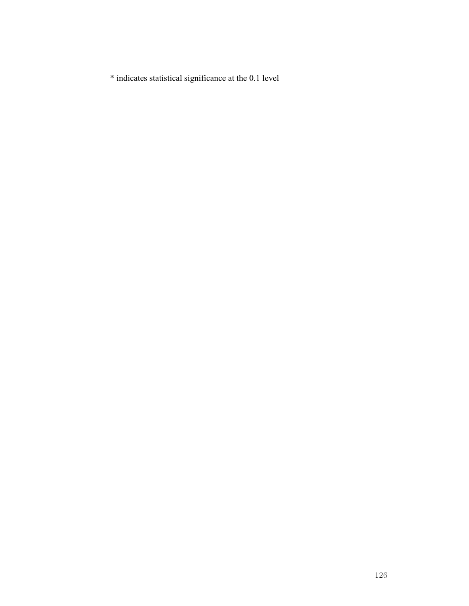\* indicates statistical significance at the 0.1 level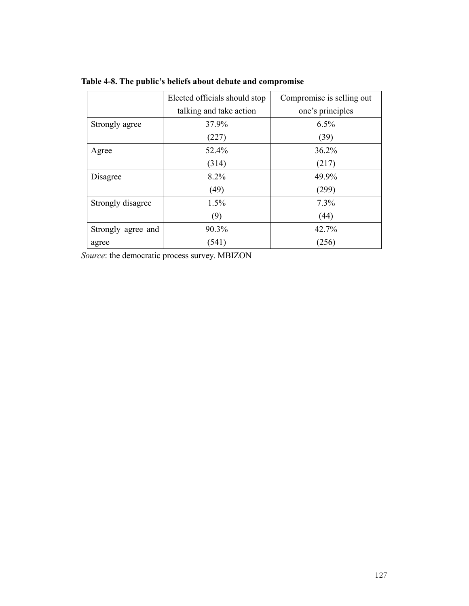|                    | Elected officials should stop | Compromise is selling out |  |
|--------------------|-------------------------------|---------------------------|--|
|                    | talking and take action       | one's principles          |  |
| Strongly agree     | 37.9%                         | 6.5%                      |  |
|                    | (227)                         | (39)                      |  |
| Agree              | 52.4%                         | 36.2%                     |  |
|                    | (314)                         | (217)                     |  |
| Disagree           | 8.2%                          | 49.9%                     |  |
|                    | (49)                          | (299)                     |  |
| Strongly disagree  | 1.5%                          | 7.3%                      |  |
|                    | (9)                           | (44)                      |  |
| Strongly agree and | 90.3%                         | 42.7%                     |  |
| agree              | (541)                         | (256)                     |  |

**Table 4-8. The public's beliefs about debate and compromise**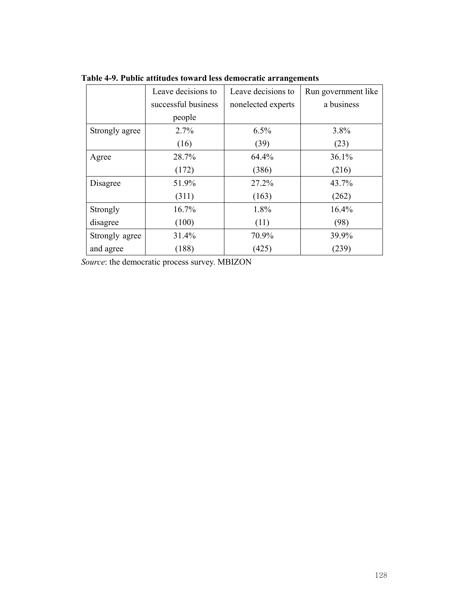|                | Leave decisions to  | Leave decisions to | Run government like |
|----------------|---------------------|--------------------|---------------------|
|                | successful business | nonelected experts | a business          |
|                | people              |                    |                     |
| Strongly agree | 2.7%                | 6.5%               | 3.8%                |
|                | (16)                | (39)               | (23)                |
| Agree          | 28.7%               | 64.4%              | 36.1%               |
|                | (172)               | (386)              | (216)               |
| Disagree       | 51.9%               | 27.2%              | 43.7%               |
|                | (311)               | (163)              | (262)               |
| Strongly       | 16.7%               | 1.8%               | 16.4%               |
| disagree       | (100)               | (11)               | (98)                |
| Strongly agree | 31.4%               | 70.9%              | 39.9%               |
| and agree      | (188)               | (425)              | (239)               |

**Table 4-9. Public attitudes toward less democratic arrangements**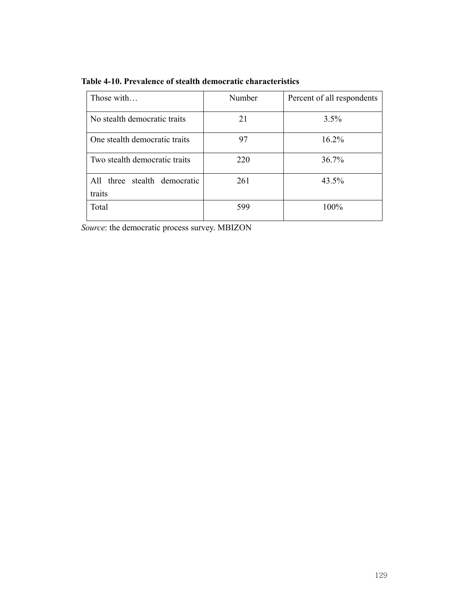| Those with                                | Number | Percent of all respondents |
|-------------------------------------------|--------|----------------------------|
| No stealth democratic traits              | 21     | 3.5%                       |
| One stealth democratic traits             | 97     | 16.2%                      |
| Two stealth democratic traits             | 220    | 36.7%                      |
| three stealth democratic<br>A11<br>traits | 261    | 43.5%                      |
| Total                                     | 599    | 100%                       |

**Table 4-10. Prevalence of stealth democratic characteristics**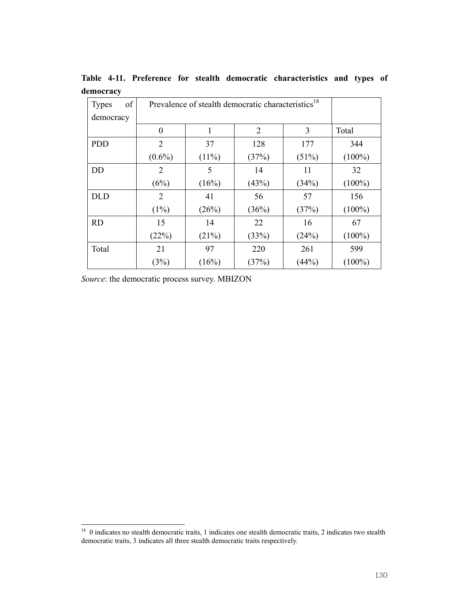| of<br><b>Types</b> | Prevalence of stealth democratic characteristics <sup>18</sup> |          |                |       |           |
|--------------------|----------------------------------------------------------------|----------|----------------|-------|-----------|
| democracy          |                                                                |          |                |       |           |
|                    | $\theta$                                                       | 1        | $\overline{2}$ | 3     | Total     |
| <b>PDD</b>         | 2                                                              | 37       | 128            | 177   | 344       |
|                    | $(0.6\%)$                                                      | $(11\%)$ | (37%)          | (51%) | $(100\%)$ |
| <b>DD</b>          | 2                                                              | 5        | 14             | 11    | 32        |
|                    | (6%)                                                           | (16%)    | (43%)          | (34%) | $(100\%)$ |
| <b>DLD</b>         | 2                                                              | 41       | 56             | 57    | 156       |
|                    | $(1\%)$                                                        | (26%)    | (36%)          | (37%) | $(100\%)$ |
| <b>RD</b>          | 15                                                             | 14       | 22             | 16    | 67        |
|                    | (22%)                                                          | (21%)    | (33%)          | (24%) | $(100\%)$ |
| Total              | 21                                                             | 97       | 220            | 261   | 599       |
|                    | (3%)                                                           | (16%)    | (37%)          | (44%) | $(100\%)$ |

**Table 4-11. Preference for stealth democratic characteristics and types of democracy**

ł

<sup>&</sup>lt;sup>18</sup> 0 indicates no stealth democratic traits, 1 indicates one stealth democratic traits, 2 indicates two stealth democratic traits, 3 indicates all three stealth democratic traits respectively.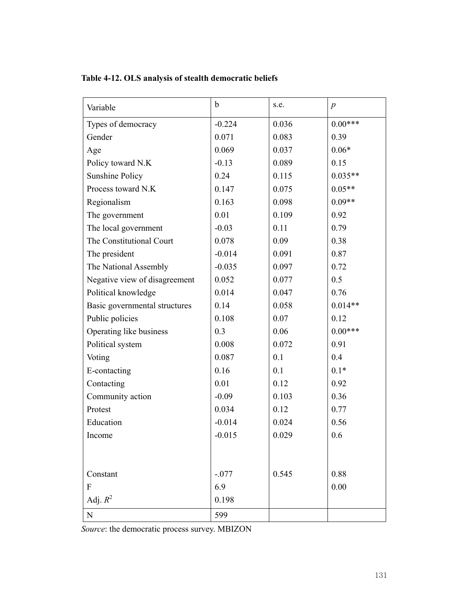| Variable                      | b        | s.e.  | $\boldsymbol{p}$ |
|-------------------------------|----------|-------|------------------|
| Types of democracy            | $-0.224$ | 0.036 | $0.00***$        |
| Gender                        | 0.071    | 0.083 | 0.39             |
| Age                           | 0.069    | 0.037 | $0.06*$          |
| Policy toward N.K             | $-0.13$  | 0.089 | 0.15             |
| <b>Sunshine Policy</b>        | 0.24     | 0.115 | $0.035**$        |
| Process toward N.K            | 0.147    | 0.075 | $0.05**$         |
| Regionalism                   | 0.163    | 0.098 | $0.09**$         |
| The government                | 0.01     | 0.109 | 0.92             |
| The local government          | $-0.03$  | 0.11  | 0.79             |
| The Constitutional Court      | 0.078    | 0.09  | 0.38             |
| The president                 | $-0.014$ | 0.091 | 0.87             |
| The National Assembly         | $-0.035$ | 0.097 | 0.72             |
| Negative view of disagreement | 0.052    | 0.077 | 0.5              |
| Political knowledge           | 0.014    | 0.047 | 0.76             |
| Basic governmental structures | 0.14     | 0.058 | $0.014**$        |
| Public policies               | 0.108    | 0.07  | 0.12             |
| Operating like business       | 0.3      | 0.06  | $0.00***$        |
| Political system              | 0.008    | 0.072 | 0.91             |
| Voting                        | 0.087    | 0.1   | 0.4              |
| E-contacting                  | 0.16     | 0.1   | $0.1*$           |
| Contacting                    | 0.01     | 0.12  | 0.92             |
| Community action              | $-0.09$  | 0.103 | 0.36             |
| Protest                       | 0.034    | 0.12  | 0.77             |
| Education                     | $-0.014$ | 0.024 | 0.56             |
| Income                        | $-0.015$ | 0.029 | 0.6              |
|                               |          |       |                  |
|                               |          |       |                  |
| Constant                      | $-.077$  | 0.545 | 0.88             |
| $\mathbf{F}$                  | 6.9      |       | 0.00             |
| Adj. $R^2$                    | 0.198    |       |                  |
| ${\bf N}$                     | 599      |       |                  |

**Table 4-12. OLS analysis of stealth democratic beliefs**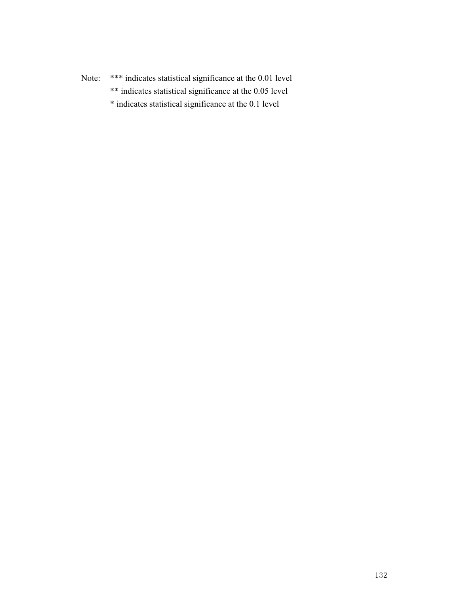Note: \*\*\* indicates statistical significance at the 0.01 level

- \*\* indicates statistical significance at the 0.05 level
- \* indicates statistical significance at the 0.1 level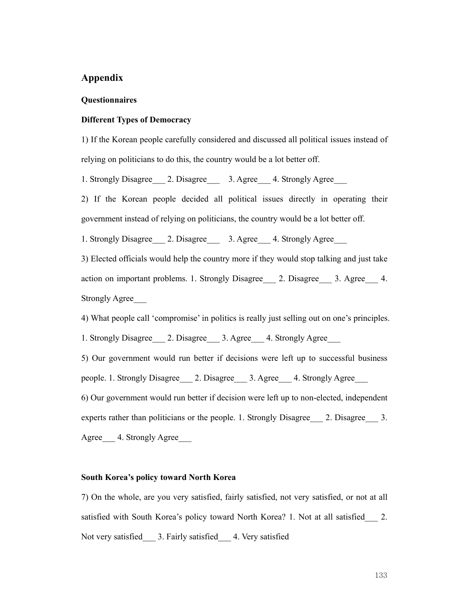## **Appendix**

#### **Questionnaires**

#### **Different Types of Democracy**

1) If the Korean people carefully considered and discussed all political issues instead of relying on politicians to do this, the country would be a lot better off.

1. Strongly Disagree 2. Disagree 3. Agree 4. Strongly Agree

2) If the Korean people decided all political issues directly in operating their government instead of relying on politicians, the country would be a lot better off.

1. Strongly Disagree 2. Disagree 3. Agree 4. Strongly Agree

3) Elected officials would help the country more if they would stop talking and just take action on important problems. 1. Strongly Disagree 2. Disagree 3. Agree 4. Strongly Agree\_\_\_

4) What people call 'compromise' in politics is really just selling out on one's principles.

1. Strongly Disagree 2. Disagree 3. Agree 4. Strongly Agree

5) Our government would run better if decisions were left up to successful business people. 1. Strongly Disagree 2. Disagree 3. Agree 4. Strongly Agree

6) Our government would run better if decision were left up to non-elected, independent experts rather than politicians or the people. 1. Strongly Disagree 2. Disagree 3. Agree 4. Strongly Agree

# **South Korea's policy toward North Korea**

7) On the whole, are you very satisfied, fairly satisfied, not very satisfied, or not at all satisfied with South Korea's policy toward North Korea? 1. Not at all satisfied 2. Not very satisfied 3. Fairly satisfied 4. Very satisfied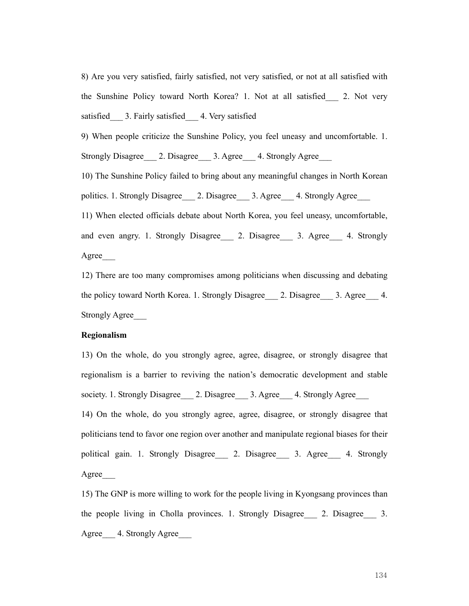8) Are you very satisfied, fairly satisfied, not very satisfied, or not at all satisfied with the Sunshine Policy toward North Korea? 1. Not at all satisfied\_\_\_ 2. Not very satisfied 3. Fairly satisfied 4. Very satisfied

9) When people criticize the Sunshine Policy, you feel uneasy and uncomfortable. 1. Strongly Disagree 2. Disagree 3. Agree 4. Strongly Agree

10) The Sunshine Policy failed to bring about any meaningful changes in North Korean politics. 1. Strongly Disagree\_\_\_ 2. Disagree\_\_\_ 3. Agree\_\_\_ 4. Strongly Agree\_\_\_

11) When elected officials debate about North Korea, you feel uneasy, uncomfortable, and even angry. 1. Strongly Disagree 2. Disagree 3. Agree 4. Strongly Agree\_\_\_

12) There are too many compromises among politicians when discussing and debating the policy toward North Korea. 1. Strongly Disagree \_\_\_ 2. Disagree \_\_\_ 3. Agree \_\_\_ 4. Strongly Agree\_\_\_

### **Regionalism**

13) On the whole, do you strongly agree, agree, disagree, or strongly disagree that regionalism is a barrier to reviving the nation's democratic development and stable society. 1. Strongly Disagree  $\qquad$  2. Disagree  $\qquad$  3. Agree  $\qquad$  4. Strongly Agree 14) On the whole, do you strongly agree, agree, disagree, or strongly disagree that politicians tend to favor one region over another and manipulate regional biases for their political gain. 1. Strongly Disagree\_\_\_ 2. Disagree\_\_\_ 3. Agree\_\_ 4. Strongly

Agree\_\_\_

15) The GNP is more willing to work for the people living in Kyongsang provinces than the people living in Cholla provinces. 1. Strongly Disagree 2. Disagree 3. Agree 4. Strongly Agree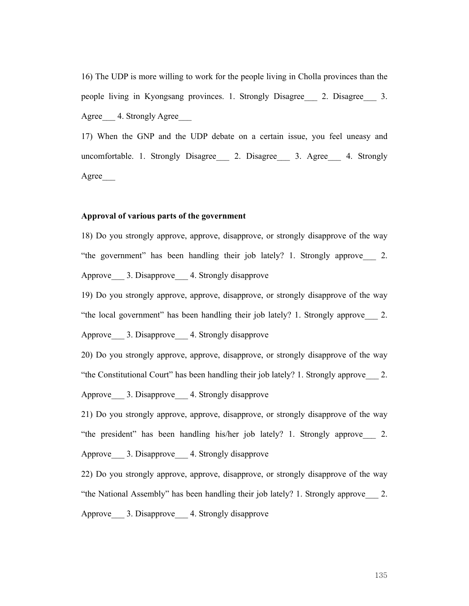16) The UDP is more willing to work for the people living in Cholla provinces than the people living in Kyongsang provinces. 1. Strongly Disagree\_\_\_ 2. Disagree\_\_\_ 3. Agree 4. Strongly Agree

17) When the GNP and the UDP debate on a certain issue, you feel uneasy and uncomfortable. 1. Strongly Disagree 2. Disagree 3. Agree 4. Strongly Agree\_\_\_

### **Approval of various parts of the government**

18) Do you strongly approve, approve, disapprove, or strongly disapprove of the way "the government" has been handling their job lately? 1. Strongly approve\_\_\_ 2. Approve 3. Disapprove 4. Strongly disapprove

19) Do you strongly approve, approve, disapprove, or strongly disapprove of the way "the local government" has been handling their job lately? 1. Strongly approve\_\_\_ 2. Approve 3. Disapprove 4. Strongly disapprove

20) Do you strongly approve, approve, disapprove, or strongly disapprove of the way "the Constitutional Court" has been handling their job lately? 1. Strongly approve\_\_\_ 2. Approve 3. Disapprove 4. Strongly disapprove

21) Do you strongly approve, approve, disapprove, or strongly disapprove of the way "the president" has been handling his/her job lately? 1. Strongly approve\_\_\_ 2. Approve 3. Disapprove 4. Strongly disapprove

22) Do you strongly approve, approve, disapprove, or strongly disapprove of the way "the National Assembly" has been handling their job lately? 1. Strongly approve\_\_\_ 2. Approve 3. Disapprove 4. Strongly disapprove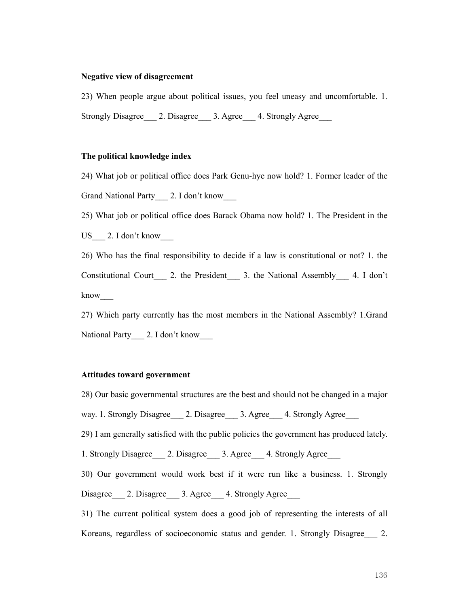#### **Negative view of disagreement**

23) When people argue about political issues, you feel uneasy and uncomfortable. 1. Strongly Disagree 2. Disagree 3. Agree 4. Strongly Agree

### **The political knowledge index**

24) What job or political office does Park Genu-hye now hold? 1. Former leader of the Grand National Party 2. I don't know

25) What job or political office does Barack Obama now hold? 1. The President in the US 2. I don't know

26) Who has the final responsibility to decide if a law is constitutional or not? 1. the Constitutional Court 2. the President 3. the National Assembly 4. I don't know\_\_\_

27) Which party currently has the most members in the National Assembly? 1.Grand National Party 2. I don't know

### **Attitudes toward government**

28) Our basic governmental structures are the best and should not be changed in a major

way. 1. Strongly Disagree 2. Disagree 3. Agree 4. Strongly Agree

29) I am generally satisfied with the public policies the government has produced lately.

1. Strongly Disagree \_\_\_ 2. Disagree \_\_\_ 3. Agree \_\_\_ 4. Strongly Agree

30) Our government would work best if it were run like a business. 1. Strongly Disagree 2. Disagree 3. Agree 4. Strongly Agree

31) The current political system does a good job of representing the interests of all Koreans, regardless of socioeconomic status and gender. 1. Strongly Disagree 2.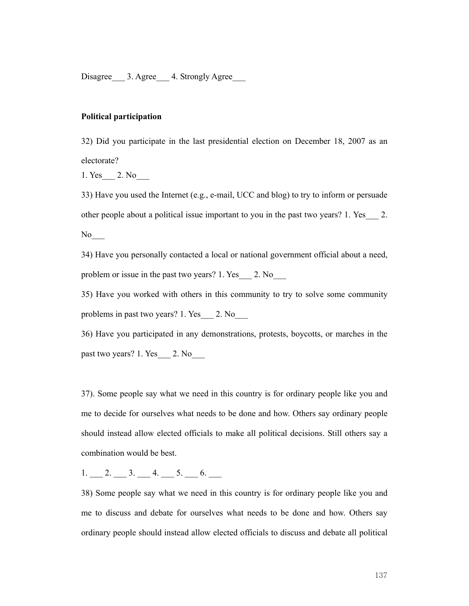Disagree 3. Agree 4. Strongly Agree

### **Political participation**

32) Did you participate in the last presidential election on December 18, 2007 as an electorate?

1. Yes 2. No

33) Have you used the Internet (e.g., e-mail, UCC and blog) to try to inform or persuade other people about a political issue important to you in the past two years? 1. Yes\_\_\_ 2. No

34) Have you personally contacted a local or national government official about a need, problem or issue in the past two years? 1. Yes  $\qquad$  2. No

35) Have you worked with others in this community to try to solve some community problems in past two years? 1. Yes\_\_\_ 2. No\_\_\_

36) Have you participated in any demonstrations, protests, boycotts, or marches in the past two years? 1. Yes  $\qquad$  2. No

37). Some people say what we need in this country is for ordinary people like you and me to decide for ourselves what needs to be done and how. Others say ordinary people should instead allow elected officials to make all political decisions. Still others say a combination would be best.

# 1. 2. 3. 4. 5. 6.

38) Some people say what we need in this country is for ordinary people like you and me to discuss and debate for ourselves what needs to be done and how. Others say ordinary people should instead allow elected officials to discuss and debate all political